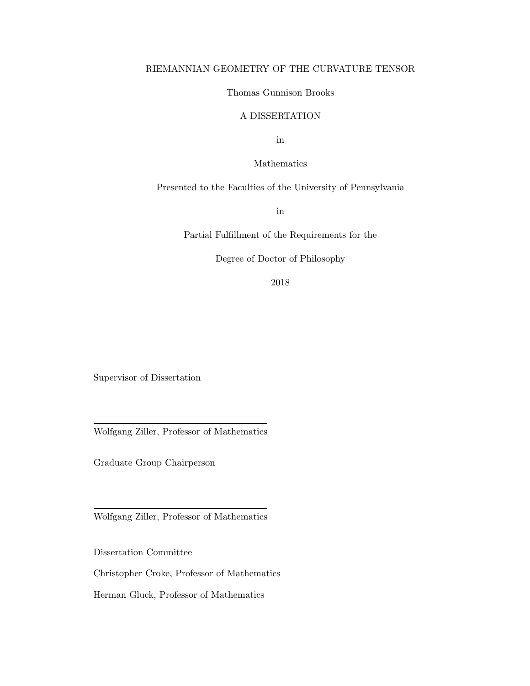## RIEMANNIAN GEOMETRY OF THE CURVATURE TENSOR

## Thomas Gunnison Brooks

## A DISSERTATION

in

Mathematics

Presented to the Faculties of the University of Pennsylvania

in

Partial Fulfillment of the Requirements for the

Degree of Doctor of Philosophy

2018

Supervisor of Dissertation

Wolfgang Ziller, Professor of Mathematics

Graduate Group Chairperson

Wolfgang Ziller, Professor of Mathematics

Dissertation Committee

Christopher Croke, Professor of Mathematics

Herman Gluck, Professor of Mathematics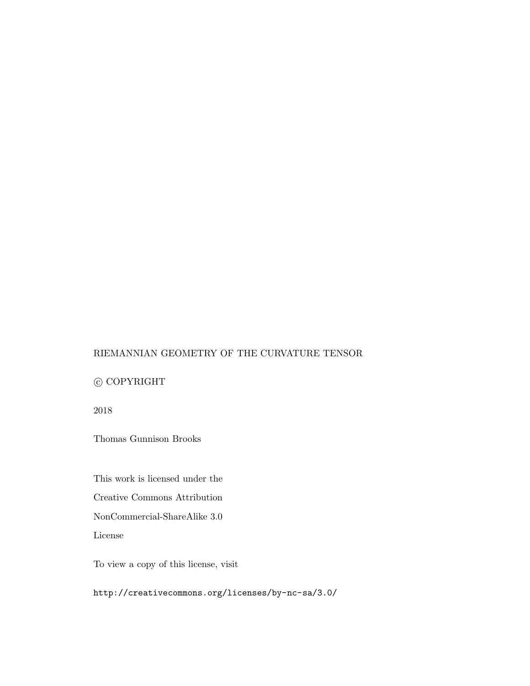## RIEMANNIAN GEOMETRY OF THE CURVATURE TENSOR

## $\copyright$  COPYRIGHT

2018

Thomas Gunnison Brooks

This work is licensed under the

Creative Commons Attribution

NonCommercial-ShareAlike 3.0

License

To view a copy of this license, visit

<http://creativecommons.org/licenses/by-nc-sa/3.0/>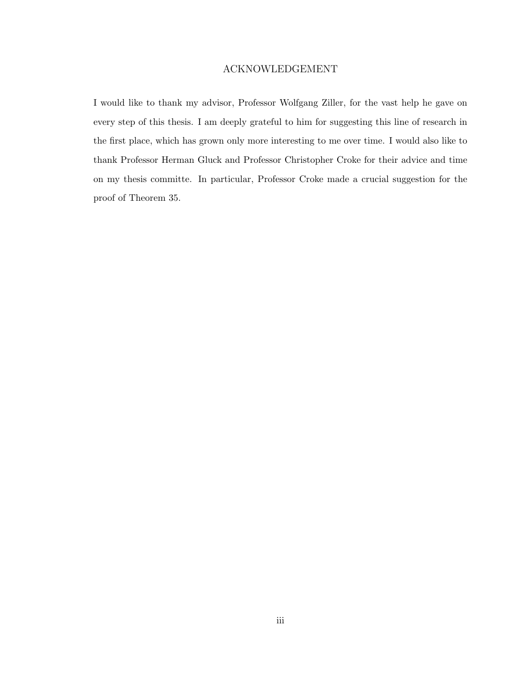## ACKNOWLEDGEMENT

<span id="page-2-0"></span>I would like to thank my advisor, Professor Wolfgang Ziller, for the vast help he gave on every step of this thesis. I am deeply grateful to him for suggesting this line of research in the first place, which has grown only more interesting to me over time. I would also like to thank Professor Herman Gluck and Professor Christopher Croke for their advice and time on my thesis committe. In particular, Professor Croke made a crucial suggestion for the proof of Theorem [35.](#page-65-0)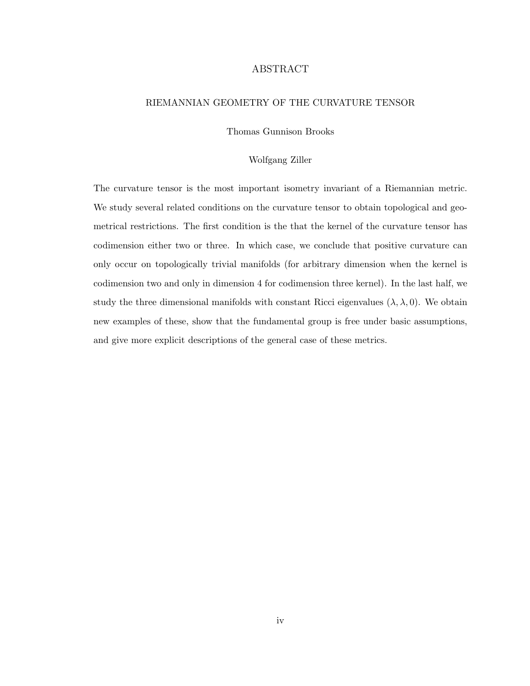## ABSTRACT

#### <span id="page-3-0"></span>RIEMANNIAN GEOMETRY OF THE CURVATURE TENSOR

Thomas Gunnison Brooks

#### Wolfgang Ziller

The curvature tensor is the most important isometry invariant of a Riemannian metric. We study several related conditions on the curvature tensor to obtain topological and geometrical restrictions. The first condition is the that the kernel of the curvature tensor has codimension either two or three. In which case, we conclude that positive curvature can only occur on topologically trivial manifolds (for arbitrary dimension when the kernel is codimension two and only in dimension 4 for codimension three kernel). In the last half, we study the three dimensional manifolds with constant Ricci eigenvalues  $(\lambda, \lambda, 0)$ . We obtain new examples of these, show that the fundamental group is free under basic assumptions, and give more explicit descriptions of the general case of these metrics.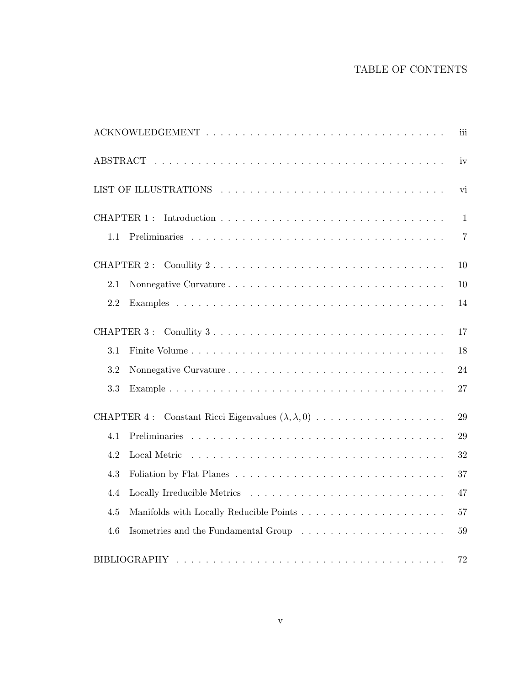# TABLE OF CONTENTS

|                       | iii            |
|-----------------------|----------------|
|                       | iv             |
| LIST OF ILLUSTRATIONS | vi             |
| <b>CHAPTER 1:</b>     | $\mathbf{1}$   |
| 1.1                   | $\overline{7}$ |
| <b>CHAPTER 2:</b>     | 10             |
| 2.1                   | 10             |
| 2.2                   | 14             |
| CHAPTER 3 :           | 17             |
| 3.1                   | 18             |
| 3.2                   | 24             |
| 3.3                   | 27             |
| CHAPTER 4:            | 29             |
| 4.1                   | 29             |
| 4.2                   | 32             |
| 4.3                   | 37             |
| 4.4                   | 47             |
| 4.5                   | 57             |
| 4.6                   | 59             |
|                       | 72             |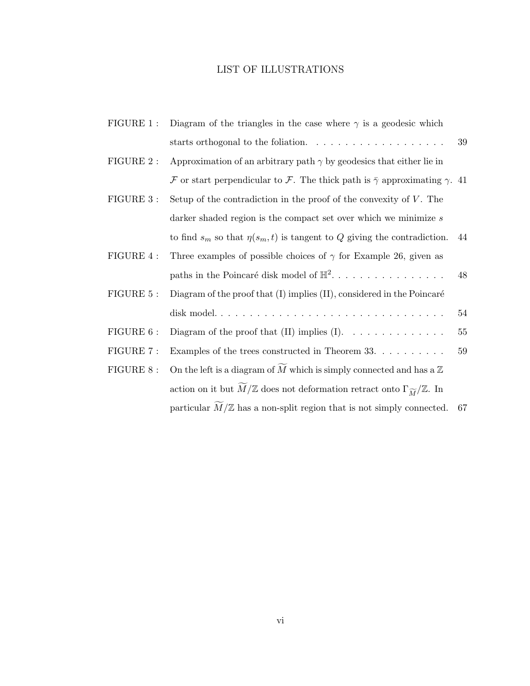# LIST OF ILLUSTRATIONS

| FIGURE 1 : | Diagram of the triangles in the case where $\gamma$ is a geodesic which                                               |    |
|------------|-----------------------------------------------------------------------------------------------------------------------|----|
|            | starts orthogonal to the foliation.<br>$\hfill\ldots\ldots\ldots\ldots\ldots\ldots\ldots\ldots\ldots$                 | 39 |
| FIGURE 2 : | Approximation of an arbitrary path $\gamma$ by geodesics that either lie in                                           |    |
|            | F or start perpendicular to F. The thick path is $\bar{\gamma}$ approximating $\gamma$ . 41                           |    |
| FIGURE 3 : | Setup of the contradiction in the proof of the convexity of $V$ . The                                                 |    |
|            | darker shaded region is the compact set over which we minimize $s$                                                    |    |
|            | to find $s_m$ so that $\eta(s_m, t)$ is tangent to Q giving the contradiction.                                        | 44 |
| FIGURE 4 : | Three examples of possible choices of $\gamma$ for Example 26, given as                                               |    |
|            | paths in the Poincaré disk model of $\mathbb{H}^2$                                                                    | 48 |
| FIGURE 5 : | Diagram of the proof that (I) implies (II), considered in the Poincaré                                                |    |
|            |                                                                                                                       | 54 |
| FIGURE 6 : | Diagram of the proof that $(II)$ implies $(I)$ .                                                                      | 55 |
| FIGURE 7 : | Examples of the trees constructed in Theorem 33. $\dots \dots \dots$                                                  | 59 |
| FIGURE 8 : | On the left is a diagram of $M$ which is simply connected and has a $\mathbb Z$                                       |    |
|            | action on it but $\overline{M}/\mathbb{Z}$ does not deformation retract onto $\Gamma_{\widetilde{M}}/\mathbb{Z}$ . In |    |
|            | particular $M/\mathbb{Z}$ has a non-split region that is not simply connected. 67                                     |    |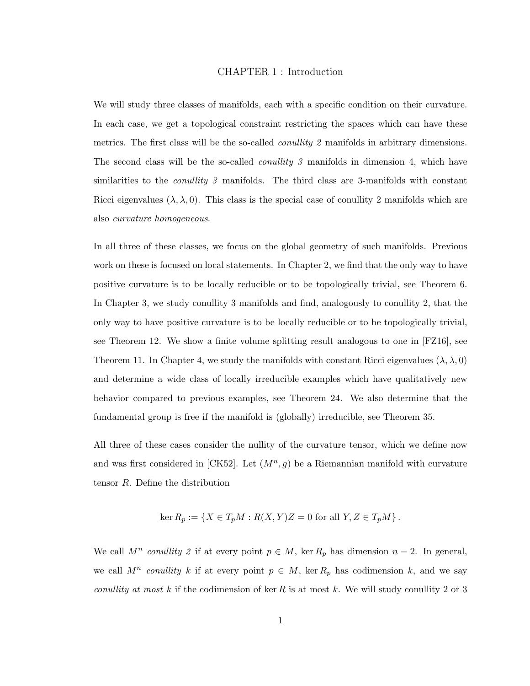#### CHAPTER 1 : Introduction

<span id="page-6-0"></span>We will study three classes of manifolds, each with a specific condition on their curvature. In each case, we get a topological constraint restricting the spaces which can have these metrics. The first class will be the so-called *conullity 2* manifolds in arbitrary dimensions. The second class will be the so-called *conullity 3* manifolds in dimension 4, which have similarities to the *conullity 3* manifolds. The third class are 3-manifolds with constant Ricci eigenvalues  $(\lambda, \lambda, 0)$ . This class is the special case of conullity 2 manifolds which are also curvature homogeneous.

In all three of these classes, we focus on the global geometry of such manifolds. Previous work on these is focused on local statements. In Chapter [2,](#page-15-0) we find that the only way to have positive curvature is to be locally reducible or to be topologically trivial, see Theorem [6.](#page-15-2) In Chapter [3,](#page-22-0) we study conullity 3 manifolds and find, analogously to conullity 2, that the only way to have positive curvature is to be locally reducible or to be topologically trivial, see Theorem [12.](#page-22-1) We show a finite volume splitting result analogous to one in [\[FZ16\]](#page-78-0), see Theorem [11.](#page-22-2) In Chapter [4,](#page-34-0) we study the manifolds with constant Ricci eigenvalues  $(\lambda, \lambda, 0)$ and determine a wide class of locally irreducible examples which have qualitatively new behavior compared to previous examples, see Theorem [24.](#page-52-1) We also determine that the fundamental group is free if the manifold is (globally) irreducible, see Theorem [35.](#page-65-0)

All three of these cases consider the nullity of the curvature tensor, which we define now and was first considered in [\[CK52\]](#page-78-1). Let  $(M^n, g)$  be a Riemannian manifold with curvature tensor R. Define the distribution

$$
\ker R_p := \{ X \in T_p M : R(X, Y)Z = 0 \text{ for all } Y, Z \in T_p M \}.
$$

We call  $M^n$  conullity 2 if at every point  $p \in M$ , ker  $R_p$  has dimension  $n-2$ . In general, we call  $M^n$  conullity k if at every point  $p \in M$ , ker  $R_p$  has codimension k, and we say *conullity at most* k if the codimension of ker R is at most k. We will study conullity 2 or 3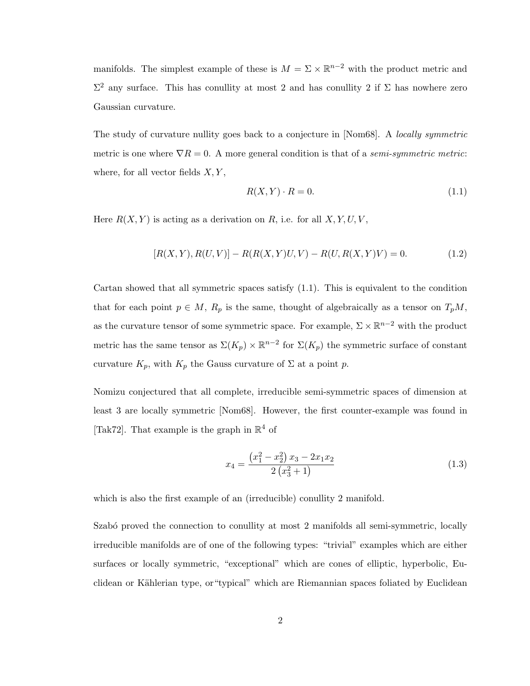manifolds. The simplest example of these is  $M = \Sigma \times \mathbb{R}^{n-2}$  with the product metric and  $\Sigma^2$  any surface. This has conullity at most 2 and has conullity 2 if Σ has nowhere zero Gaussian curvature.

The study of curvature nullity goes back to a conjecture in [\[Nom68\]](#page-79-0). A *locally symmetric* metric is one where  $\nabla R = 0$ . A more general condition is that of a *semi-symmetric metric*: where, for all vector fields  $X, Y$ ,

<span id="page-7-0"></span>
$$
R(X,Y) \cdot R = 0. \tag{1.1}
$$

Here  $R(X, Y)$  is acting as a derivation on R, i.e. for all  $X, Y, U, V$ ,

$$
[R(X,Y), R(U,V)] - R(R(X,Y)U,V) - R(U,R(X,Y)V) = 0.
$$
\n(1.2)

Cartan showed that all symmetric spaces satisfy [\(1.1\)](#page-7-0). This is equivalent to the condition that for each point  $p \in M$ ,  $R_p$  is the same, thought of algebraically as a tensor on  $T_pM$ , as the curvature tensor of some symmetric space. For example,  $\Sigma \times \mathbb{R}^{n-2}$  with the product metric has the same tensor as  $\Sigma(K_p) \times \mathbb{R}^{n-2}$  for  $\Sigma(K_p)$  the symmetric surface of constant curvature  $K_p$ , with  $K_p$  the Gauss curvature of  $\Sigma$  at a point p.

Nomizu conjectured that all complete, irreducible semi-symmetric spaces of dimension at least 3 are locally symmetric [\[Nom68\]](#page-79-0). However, the first counter-example was found in [\[Tak72\]](#page-80-0). That example is the graph in  $\mathbb{R}^4$  of

$$
x_4 = \frac{\left(x_1^2 - x_2^2\right)x_3 - 2x_1x_2}{2\left(x_3^2 + 1\right)}\tag{1.3}
$$

which is also the first example of an (irreducible) conullity 2 manifold.

Szabó proved the connection to conullity at most 2 manifolds all semi-symmetric, locally irreducible manifolds are of one of the following types: "trivial" examples which are either surfaces or locally symmetric, "exceptional" which are cones of elliptic, hyperbolic, Euclidean or Kählerian type, or "typical" which are Riemannian spaces foliated by Euclidean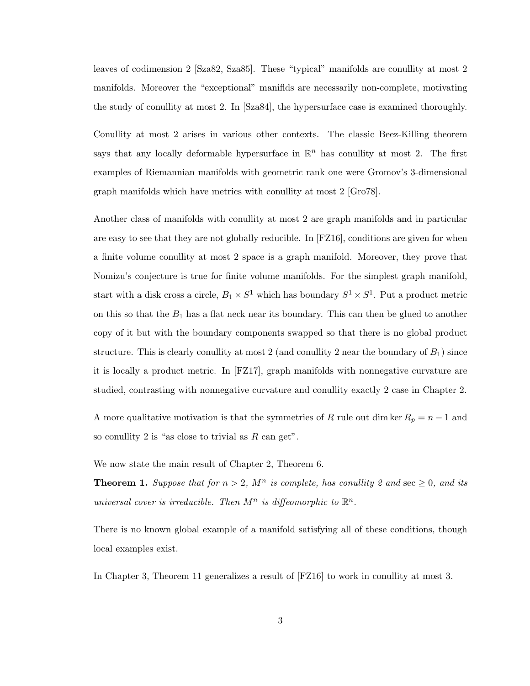leaves of codimension 2 [\[Sza82,](#page-79-1) [Sza85\]](#page-80-1). These "typical" manifolds are conullity at most 2 manifolds. Moreover the "exceptional" maniflds are necessarily non-complete, motivating the study of conullity at most 2. In [\[Sza84\]](#page-80-2), the hypersurface case is examined thoroughly.

Conullity at most 2 arises in various other contexts. The classic Beez-Killing theorem says that any locally deformable hypersurface in  $\mathbb{R}^n$  has conullity at most 2. The first examples of Riemannian manifolds with geometric rank one were Gromov's 3-dimensional graph manifolds which have metrics with conullity at most 2 [\[Gro78\]](#page-78-2).

Another class of manifolds with conullity at most 2 are graph manifolds and in particular are easy to see that they are not globally reducible. In [\[FZ16\]](#page-78-0), conditions are given for when a finite volume conullity at most 2 space is a graph manifold. Moreover, they prove that Nomizu's conjecture is true for finite volume manifolds. For the simplest graph manifold, start with a disk cross a circle,  $B_1 \times S^1$  which has boundary  $S^1 \times S^1$ . Put a product metric on this so that the  $B_1$  has a flat neck near its boundary. This can then be glued to another copy of it but with the boundary components swapped so that there is no global product structure. This is clearly conullity at most 2 (and conullity 2 near the boundary of  $B_1$ ) since it is locally a product metric. In [\[FZ17\]](#page-78-3), graph manifolds with nonnegative curvature are studied, contrasting with nonnegative curvature and conullity exactly 2 case in Chapter [2.](#page-15-0)

A more qualitative motivation is that the symmetries of R rule out dim ker  $R_p = n - 1$  and so conullity 2 is "as close to trivial as  $R$  can get".

We now state the main result of Chapter [2,](#page-15-0) Theorem [6.](#page-15-2)

**Theorem 1.** Suppose that for  $n > 2$ ,  $M^n$  is complete, has conullity 2 and sec  $\geq 0$ , and its universal cover is irreducible. Then  $M^n$  is diffeomorphic to  $\mathbb{R}^n$ .

There is no known global example of a manifold satisfying all of these conditions, though local examples exist.

In Chapter [3,](#page-22-0) Theorem [11](#page-22-2) generalizes a result of [\[FZ16\]](#page-78-0) to work in conullity at most 3.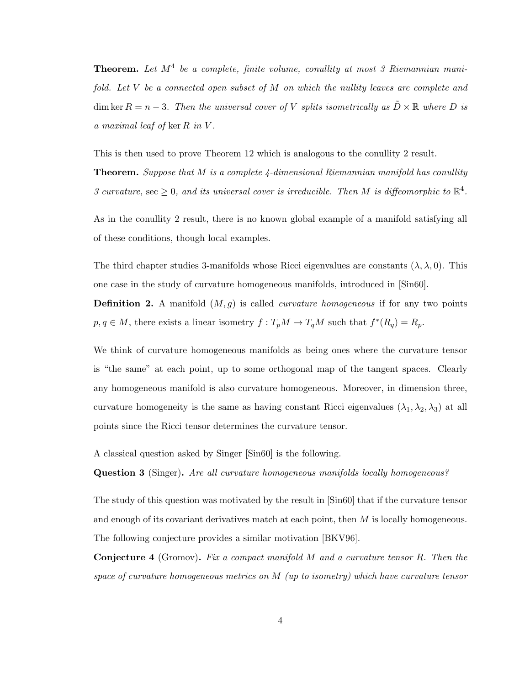**Theorem.** Let  $M^4$  be a complete, finite volume, conullity at most 3 Riemannian manifold. Let V be a connected open subset of M on which the nullity leaves are complete and dim ker  $R = n - 3$ . Then the universal cover of V splits isometrically as  $\tilde{D} \times \mathbb{R}$  where D is a maximal leaf of ker R in V .

This is then used to prove Theorem [12](#page-22-1) which is analogous to the conullity 2 result.

**Theorem.** Suppose that M is a complete  $\lambda$ -dimensional Riemannian manifold has conullity 3 curvature, sec  $\geq 0$ , and its universal cover is irreducible. Then M is diffeomorphic to  $\mathbb{R}^4$ .

As in the conullity 2 result, there is no known global example of a manifold satisfying all of these conditions, though local examples.

The third chapter studies 3-manifolds whose Ricci eigenvalues are constants  $(\lambda, \lambda, 0)$ . This one case in the study of curvature homogeneous manifolds, introduced in [\[Sin60\]](#page-79-2).

**Definition 2.** A manifold  $(M, g)$  is called *curvature homogeneous* if for any two points  $p, q \in M$ , there exists a linear isometry  $f: T_pM \to T_qM$  such that  $f^*(R_q) = R_p$ .

We think of curvature homogeneous manifolds as being ones where the curvature tensor is "the same" at each point, up to some orthogonal map of the tangent spaces. Clearly any homogeneous manifold is also curvature homogeneous. Moreover, in dimension three, curvature homogeneity is the same as having constant Ricci eigenvalues  $(\lambda_1, \lambda_2, \lambda_3)$  at all points since the Ricci tensor determines the curvature tensor.

A classical question asked by Singer [\[Sin60\]](#page-79-2) is the following.

Question 3 (Singer). Are all curvature homogeneous manifolds locally homogeneous?

The study of this question was motivated by the result in [\[Sin60\]](#page-79-2) that if the curvature tensor and enough of its covariant derivatives match at each point, then M is locally homogeneous. The following conjecture provides a similar motivation [\[BKV96\]](#page-78-4).

Conjecture 4 (Gromov). Fix a compact manifold M and a curvature tensor R. Then the space of curvature homogeneous metrics on M (up to isometry) which have curvature tensor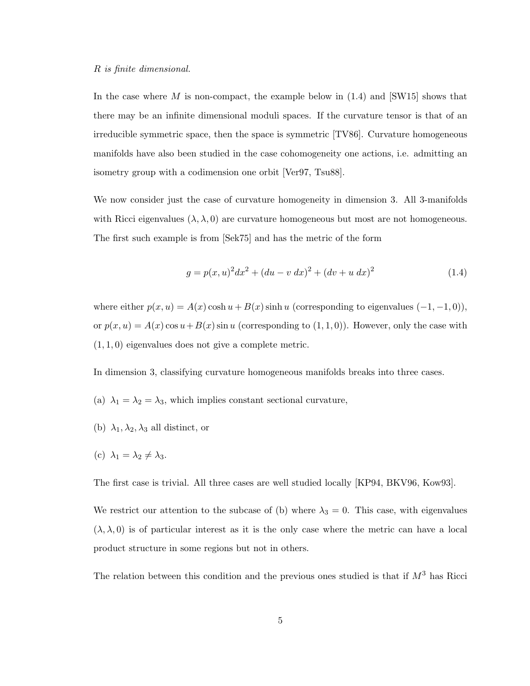In the case where M is non-compact, the example below in  $(1.4)$  and  $\text{[SW15]}$  shows that there may be an infinite dimensional moduli spaces. If the curvature tensor is that of an irreducible symmetric space, then the space is symmetric [\[TV86\]](#page-80-3). Curvature homogeneous manifolds have also been studied in the case cohomogeneity one actions, i.e. admitting an isometry group with a codimension one orbit [\[Ver97,](#page-80-4) [Tsu88\]](#page-80-5).

We now consider just the case of curvature homogeneity in dimension 3. All 3-manifolds with Ricci eigenvalues  $(\lambda, \lambda, 0)$  are curvature homogeneous but most are not homogeneous. The first such example is from [\[Sek75\]](#page-79-4) and has the metric of the form

<span id="page-10-0"></span>
$$
g = p(x, u)^{2} dx^{2} + (du - v dx)^{2} + (dv + u dx)^{2}
$$
\n(1.4)

where either  $p(x, u) = A(x) \cosh u + B(x) \sinh u$  (corresponding to eigenvalues  $(-1, -1, 0)$ ), or  $p(x, u) = A(x) \cos u + B(x) \sin u$  (corresponding to  $(1, 1, 0)$ ). However, only the case with  $(1, 1, 0)$  eigenvalues does not give a complete metric.

In dimension 3, classifying curvature homogeneous manifolds breaks into three cases.

- (a)  $\lambda_1 = \lambda_2 = \lambda_3$ , which implies constant sectional curvature,
- (b)  $\lambda_1, \lambda_2, \lambda_3$  all distinct, or
- (c)  $\lambda_1 = \lambda_2 \neq \lambda_3$ .

The first case is trivial. All three cases are well studied locally [\[KP94,](#page-78-5) [BKV96,](#page-78-4) [Kow93\]](#page-78-6).

We restrict our attention to the subcase of (b) where  $\lambda_3 = 0$ . This case, with eigenvalues  $(\lambda, \lambda, 0)$  is of particular interest as it is the only case where the metric can have a local product structure in some regions but not in others.

The relation between this condition and the previous ones studied is that if  $M^3$  has Ricci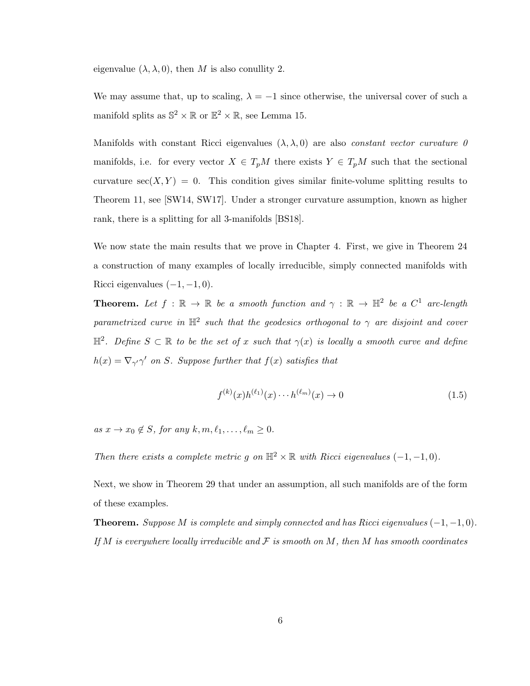eigenvalue  $(\lambda, \lambda, 0)$ , then M is also conullity 2.

We may assume that, up to scaling,  $\lambda = -1$  since otherwise, the universal cover of such a manifold splits as  $\mathbb{S}^2 \times \mathbb{R}$  or  $\mathbb{E}^2 \times \mathbb{R}$ , see Lemma [15.](#page-35-0)

Manifolds with constant Ricci eigenvalues  $(\lambda, \lambda, 0)$  are also *constant vector curvature 0* manifolds, i.e. for every vector  $X \in T_pM$  there exists  $Y \in T_pM$  such that the sectional curvature  $\sec(X, Y) = 0$ . This condition gives similar finite-volume splitting results to Theorem [11,](#page-22-2) see [\[SW14,](#page-79-5) [SW17\]](#page-79-6). Under a stronger curvature assumption, known as higher rank, there is a splitting for all 3-manifolds [\[BS18\]](#page-78-7).

We now state the main results that we prove in Chapter [4.](#page-34-0) First, we give in Theorem [24](#page-52-1) a construction of many examples of locally irreducible, simply connected manifolds with Ricci eigenvalues  $(-1, -1, 0)$ .

**Theorem.** Let  $f : \mathbb{R} \to \mathbb{R}$  be a smooth function and  $\gamma : \mathbb{R} \to \mathbb{H}^2$  be a  $C^1$  arc-length parametrized curve in  $\mathbb{H}^2$  such that the geodesics orthogonal to  $\gamma$  are disjoint and cover  $\mathbb{H}^2$ . Define  $S \subset \mathbb{R}$  to be the set of x such that  $\gamma(x)$  is locally a smooth curve and define  $h(x) = \nabla_{\gamma'}\gamma'$  on S. Suppose further that  $f(x)$  satisfies that

$$
f^{(k)}(x)h^{(\ell_1)}(x)\cdots h^{(\ell_m)}(x) \to 0
$$
\n(1.5)

as  $x \to x_0 \notin S$ , for any  $k, m, \ell_1, \ldots, \ell_m \geq 0$ .

Then there exists a complete metric g on  $\mathbb{H}^2 \times \mathbb{R}$  with Ricci eigenvalues  $(-1, -1, 0)$ .

Next, we show in Theorem [29](#page-58-0) that under an assumption, all such manifolds are of the form of these examples.

**Theorem.** Suppose M is complete and simply connected and has Ricci eigenvalues  $(-1, -1, 0)$ . If M is everywhere locally irreducible and  $\mathcal F$  is smooth on M, then M has smooth coordinates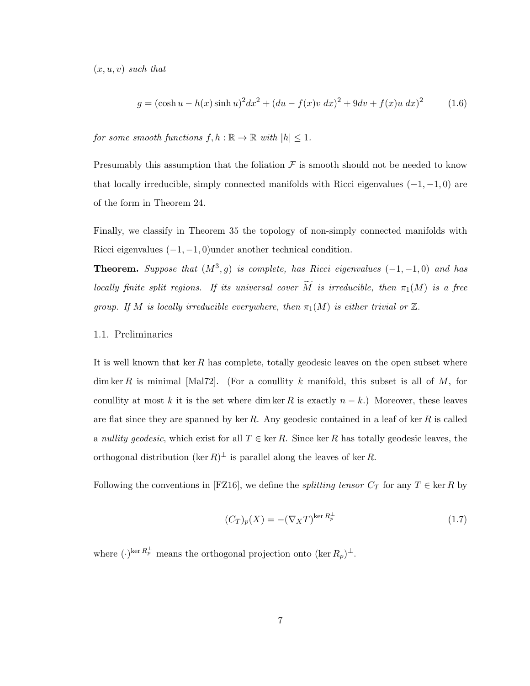$(x, u, v)$  such that

$$
g = (\cosh u - h(x) \sinh u)^{2} dx^{2} + (du - f(x)v dx)^{2} + 9dv + f(x)u dx^{2}
$$
 (1.6)

for some smooth functions  $f, h : \mathbb{R} \to \mathbb{R}$  with  $|h| \leq 1$ .

Presumably this assumption that the foliation  $\mathcal F$  is smooth should not be needed to know that locally irreducible, simply connected manifolds with Ricci eigenvalues  $(-1, -1, 0)$  are of the form in Theorem [24.](#page-52-1)

Finally, we classify in Theorem [35](#page-65-0) the topology of non-simply connected manifolds with Ricci eigenvalues  $(-1, -1, 0)$ under another technical condition.

**Theorem.** Suppose that  $(M^3, g)$  is complete, has Ricci eigenvalues  $(-1, -1, 0)$  and has locally finite split regions. If its universal cover  $\widetilde{M}$  is irreducible, then  $\pi_1(M)$  is a free group. If M is locally irreducible everywhere, then  $\pi_1(M)$  is either trivial or  $\mathbb Z$ .

#### <span id="page-12-0"></span>1.1. Preliminaries

It is well known that ker R has complete, totally geodesic leaves on the open subset where dim ker R is minimal [\[Mal72\]](#page-79-7). (For a conullity k manifold, this subset is all of  $M$ , for conullity at most k it is the set where dim ker R is exactly  $n - k$ .) Moreover, these leaves are flat since they are spanned by ker  $R$ . Any geodesic contained in a leaf of ker  $R$  is called a nullity geodesic, which exist for all  $T \in \text{ker } R$ . Since ker R has totally geodesic leaves, the orthogonal distribution (ker  $R)^{\perp}$  is parallel along the leaves of ker R.

Following the conventions in [\[FZ16\]](#page-78-0), we define the *splitting tensor*  $C_T$  for any  $T \in \text{ker } R$  by

$$
(C_T)_p(X) = -(\nabla_X T)^{\ker R_p^{\perp}} \tag{1.7}
$$

where  $(\cdot)^{\ker R_p^{\perp}}$  means the orthogonal projection onto  $(\ker R_p)^{\perp}$ .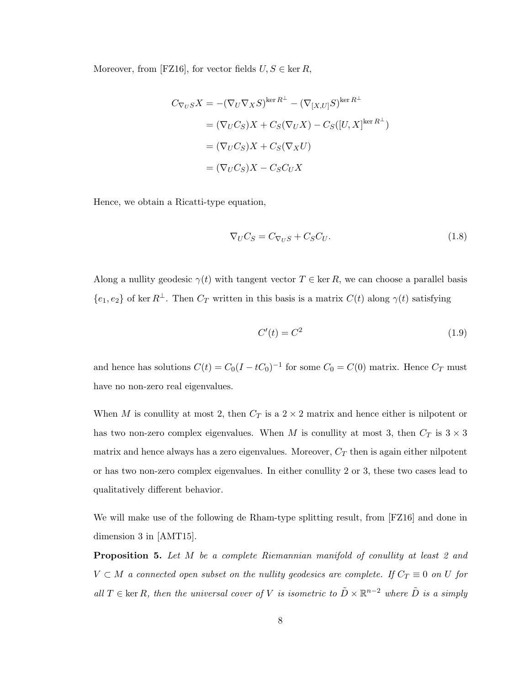Moreover, from [\[FZ16\]](#page-78-0), for vector fields  $U, S \in \text{ker } R$ ,

$$
C_{\nabla_U S} X = -(\nabla_U \nabla_X S)^{\ker R^{\perp}} - (\nabla_{[X,U]} S)^{\ker R^{\perp}}
$$
  
=  $(\nabla_U C_S) X + C_S (\nabla_U X) - C_S ([U, X]^{\ker R^{\perp}})$   
=  $(\nabla_U C_S) X + C_S (\nabla_X U)$   
=  $(\nabla_U C_S) X - C_S C_U X$ 

Hence, we obtain a Ricatti-type equation,

<span id="page-13-0"></span>
$$
\nabla_U C_S = C_{\nabla_U S} + C_S C_U. \tag{1.8}
$$

Along a nullity geodesic  $\gamma(t)$  with tangent vector  $T \in \text{ker } R$ , we can choose a parallel basis  ${e_1, e_2}$  of ker  $R^{\perp}$ . Then  $C_T$  written in this basis is a matrix  $C(t)$  along  $\gamma(t)$  satisfying

<span id="page-13-2"></span>
$$
C'(t) = C^2 \tag{1.9}
$$

and hence has solutions  $C(t) = C_0(I - tC_0)^{-1}$  for some  $C_0 = C(0)$  matrix. Hence  $C_T$  must have no non-zero real eigenvalues.

When M is conullity at most 2, then  $C_T$  is a  $2 \times 2$  matrix and hence either is nilpotent or has two non-zero complex eigenvalues. When M is conullity at most 3, then  $C_T$  is  $3 \times 3$ matrix and hence always has a zero eigenvalues. Moreover,  $C_T$  then is again either nilpotent or has two non-zero complex eigenvalues. In either conullity 2 or 3, these two cases lead to qualitatively different behavior.

We will make use of the following de Rham-type splitting result, from [\[FZ16\]](#page-78-0) and done in dimension 3 in [\[AMT15\]](#page-78-8).

<span id="page-13-1"></span>**Proposition 5.** Let M be a complete Riemannian manifold of conullity at least 2 and  $V \subset M$  a connected open subset on the nullity geodesics are complete. If  $C_T \equiv 0$  on U for all  $T \in \text{ker } R$ , then the universal cover of V is isometric to  $\tilde{D} \times \mathbb{R}^{n-2}$  where  $\tilde{D}$  is a simply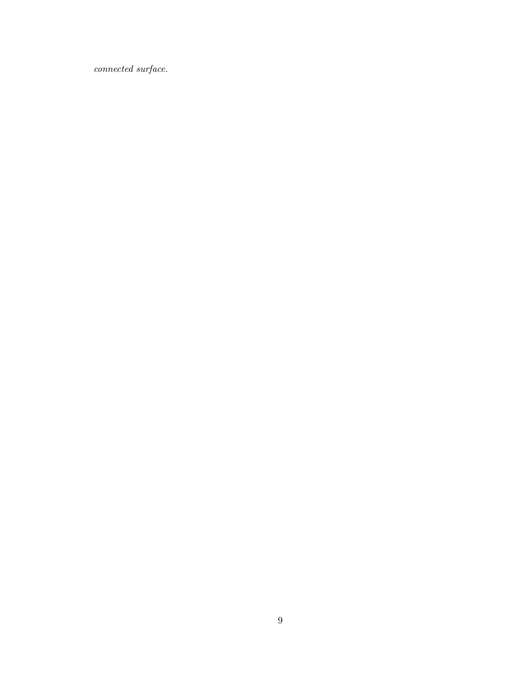$\label{eq:connected} connected\ surface.$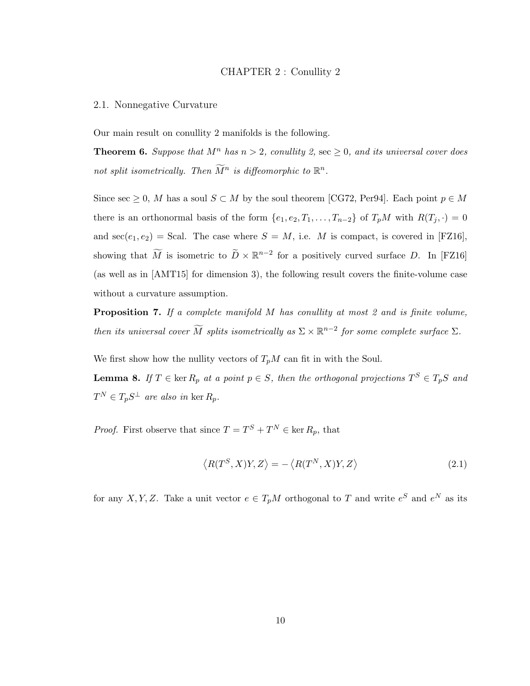#### CHAPTER 2 : Conullity 2

#### <span id="page-15-1"></span><span id="page-15-0"></span>2.1. Nonnegative Curvature

<span id="page-15-2"></span>Our main result on conullity 2 manifolds is the following.

**Theorem 6.** Suppose that  $M^n$  has  $n > 2$ , conullity 2, sec  $\geq 0$ , and its universal cover does not split isometrically. Then  $\widetilde{M}^n$  is diffeomorphic to  $\mathbb{R}^n$ .

Since sec  $\geq 0$ , M has a soul  $S \subset M$  by the soul theorem [\[CG72,](#page-78-9) [Per94\]](#page-79-8). Each point  $p \in M$ there is an orthonormal basis of the form  $\{e_1, e_2, T_1, \ldots, T_{n-2}\}$  of  $T_pM$  with  $R(T_j, \cdot) = 0$ and  $\sec(e_1, e_2)$  = Scal. The case where  $S = M$ , i.e. M is compact, is covered in [\[FZ16\]](#page-78-0), showing that  $\widetilde{M}$  is isometric to  $\widetilde{D} \times \mathbb{R}^{n-2}$  for a positively curved surface D. In [\[FZ16\]](#page-78-0) (as well as in [\[AMT15\]](#page-78-8) for dimension 3), the following result covers the finite-volume case without a curvature assumption.

<span id="page-15-4"></span>**Proposition 7.** If a complete manifold  $M$  has conullity at most 2 and is finite volume, then its universal cover  $\widetilde{M}$  splits isometrically as  $\Sigma \times \mathbb{R}^{n-2}$  for some complete surface  $\Sigma$ .

We first show how the nullity vectors of  $T_pM$  can fit in with the Soul.

**Lemma 8.** If  $T \in \text{ker } R_p$  at a point  $p \in S$ , then the orthogonal projections  $T^S \in T_pS$  and  $T^N \in T_p S^{\perp}$  are also in ker  $R_p$ .

*Proof.* First observe that since  $T = T^S + T^N \in \text{ker } R_p$ , that

<span id="page-15-3"></span>
$$
\langle R(T^S, X)Y, Z \rangle = -\langle R(T^N, X)Y, Z \rangle \tag{2.1}
$$

for any X, Y, Z. Take a unit vector  $e \in T_pM$  orthogonal to T and write  $e^S$  and  $e^N$  as its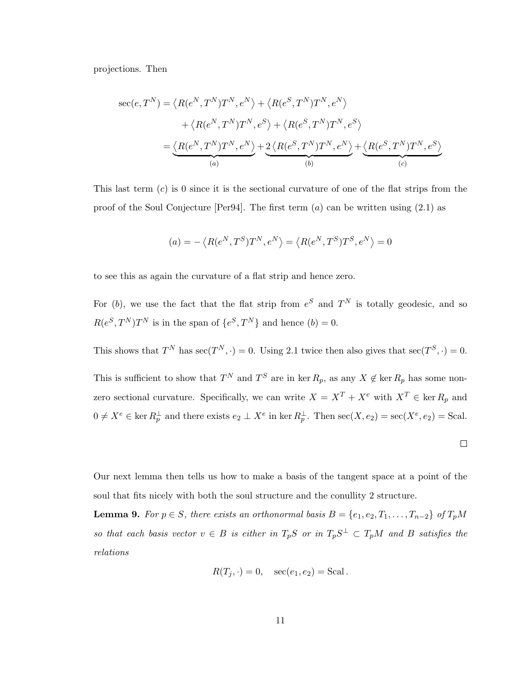projections. Then

$$
\sec(e, T^N) = \langle R(e^N, T^N) T^N, e^N \rangle + \langle R(e^S, T^N) T^N, e^N \rangle
$$
  
+  $\langle R(e^N, T^N) T^N, e^S \rangle + \langle R(e^S, T^N) T^N, e^S \rangle$   
=  $\underbrace{\langle R(e^N, T^N) T^N, e^N \rangle}_{(a)} + \underbrace{2 \langle R(e^S, T^N) T^N, e^N \rangle}_{(b)} + \underbrace{\langle R(e^S, T^N) T^N, e^S \rangle}_{(c)}$ 

This last term  $(c)$  is 0 since it is the sectional curvature of one of the flat strips from the proof of the Soul Conjecture [\[Per94\]](#page-79-8). The first term  $(a)$  can be written using  $(2.1)$  as

$$
(a)=-\left\langle R(e^N,T^S)T^N,e^N\right\rangle =\left\langle R(e^N,T^S)T^S,e^N\right\rangle =0
$$

to see this as again the curvature of a flat strip and hence zero.

For (b), we use the fact that the flat strip from  $e^S$  and  $T^N$  is totally geodesic, and so  $R(e^S, T^N)T^N$  is in the span of  $\{e^S, T^N\}$  and hence  $(b) = 0$ .

This shows that  $T^N$  has  $\sec(T^N, \cdot) = 0$ . Using [2.1](#page-15-3) twice then also gives that  $\sec(T^S, \cdot) = 0$ .

This is sufficient to show that  $T^N$  and  $T^S$  are in ker  $R_p$ , as any  $X \notin \text{ker } R_p$  has some nonzero sectional curvature. Specifically, we can write  $X = X^T + X^e$  with  $X^T \in \text{ker } R_p$  and  $0 \neq X^e \in \ker R_p^{\perp}$  and there exists  $e_2 \perp X^e$  in ker  $R_p^{\perp}$ . Then  $\sec(X, e_2) = \sec(X^e, e_2) = \text{Scal}$ .

Our next lemma then tells us how to make a basis of the tangent space at a point of the soul that fits nicely with both the soul structure and the conullity 2 structure.

**Lemma 9.** For  $p \in S$ , there exists an orthonormal basis  $B = \{e_1, e_2, T_1, \ldots, T_{n-2}\}$  of  $T_pM$ so that each basis vector  $v \in B$  is either in  $T_pS$  or in  $T_pS^{\perp} \subset T_pM$  and B satisfies the relations

$$
R(T_j, \cdot) = 0, \quad \sec(e_1, e_2) = \text{Scal}.
$$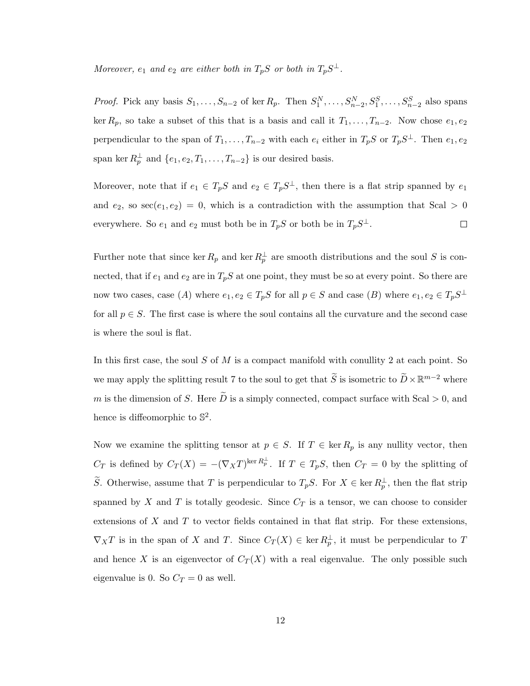Moreover,  $e_1$  and  $e_2$  are either both in  $T_pS$  or both in  $T_pS^{\perp}$ .

*Proof.* Pick any basis  $S_1, \ldots, S_{n-2}$  of ker  $R_p$ . Then  $S_1^N, \ldots, S_{n-2}^N, S_1^S, \ldots, S_{n-2}^S$  also spans ker  $R_p$ , so take a subset of this that is a basis and call it  $T_1, \ldots, T_{n-2}$ . Now chose  $e_1, e_2$ perpendicular to the span of  $T_1, \ldots, T_{n-2}$  with each  $e_i$  either in  $T_pS$  or  $T_pS^{\perp}$ . Then  $e_1, e_2$ span ker  $R_p^{\perp}$  and  $\{e_1, e_2, T_1, \ldots, T_{n-2}\}$  is our desired basis.

Moreover, note that if  $e_1 \in T_pS$  and  $e_2 \in T_pS^{\perp}$ , then there is a flat strip spanned by  $e_1$ and  $e_2$ , so  $\sec(e_1, e_2) = 0$ , which is a contradiction with the assumption that Scal > 0 everywhere. So  $e_1$  and  $e_2$  must both be in  $T_pS$  or both be in  $T_pS^{\perp}$ .  $\Box$ 

Further note that since ker  $R_p$  and ker  $R_p^{\perp}$  are smooth distributions and the soul S is connected, that if  $e_1$  and  $e_2$  are in  $T_pS$  at one point, they must be so at every point. So there are now two cases, case (A) where  $e_1, e_2 \in T_pS$  for all  $p \in S$  and case (B) where  $e_1, e_2 \in T_pS^{\perp}$ for all  $p \in S$ . The first case is where the soul contains all the curvature and the second case is where the soul is flat.

In this first case, the soul  $S$  of  $M$  is a compact manifold with conullity 2 at each point. So we may apply the splitting result [7](#page-15-4) to the soul to get that  $\widetilde{S}$  is isometric to  $\widetilde{D} \times \mathbb{R}^{m-2}$  where m is the dimension of S. Here  $\tilde{D}$  is a simply connected, compact surface with Scal  $> 0$ , and hence is diffeomorphic to  $\mathbb{S}^2$ .

Now we examine the splitting tensor at  $p \in S$ . If  $T \in \text{ker } R_p$  is any nullity vector, then  $C_T$  is defined by  $C_T(X) = -(\nabla_X T)^{\ker R_P^{\perp}}$ . If  $T \in T_pS$ , then  $C_T = 0$  by the splitting of S. Otherwise, assume that T is perpendicular to  $T_pS$ . For  $X \in \text{ker } R_p^{\perp}$ , then the flat strip spanned by X and T is totally geodesic. Since  $C_T$  is a tensor, we can choose to consider extensions of  $X$  and  $T$  to vector fields contained in that flat strip. For these extensions,  $\nabla_X T$  is in the span of X and T. Since  $C_T(X) \in \ker R_p^{\perp}$ , it must be perpendicular to T and hence X is an eigenvector of  $C_T(X)$  with a real eigenvalue. The only possible such eigenvalue is 0. So  $C_T = 0$  as well.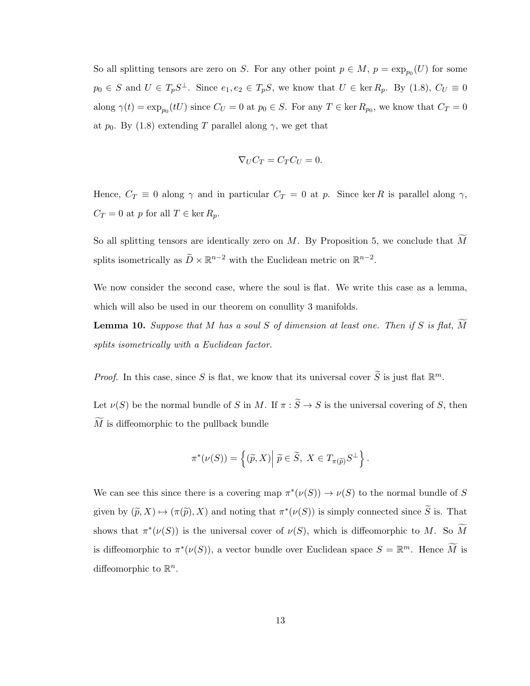So all splitting tensors are zero on S. For any other point  $p \in M$ ,  $p = \exp_{p_0}(U)$  for some  $p_0 \in S$  and  $U \in T_pS^{\perp}$ . Since  $e_1, e_2 \in T_pS$ , we know that  $U \in \text{ker } R_p$ . By [\(1.8\)](#page-13-0),  $C_U \equiv 0$ along  $\gamma(t) = \exp_{p_0}(tU)$  since  $C_U = 0$  at  $p_0 \in S$ . For any  $T \in \text{ker } R_{p_0}$ , we know that  $C_T = 0$ at  $p_0$ . By [\(1.8\)](#page-13-0) extending T parallel along  $\gamma$ , we get that

$$
\nabla_U C_T = C_T C_U = 0.
$$

Hence,  $C_T \equiv 0$  along  $\gamma$  and in particular  $C_T = 0$  at p. Since ker R is parallel along  $\gamma$ ,  $C_T = 0$  at p for all  $T \in \ker R_p$ .

So all splitting tensors are identically zero on M. By Proposition [5,](#page-13-1) we conclude that  $\widetilde{M}$ splits isometrically as  $\widetilde{D} \times \mathbb{R}^{n-2}$  with the Euclidean metric on  $\mathbb{R}^{n-2}$ .

We now consider the second case, where the soul is flat. We write this case as a lemma, which will also be used in our theorem on conullity 3 manifolds.

<span id="page-18-0"></span>**Lemma 10.** Suppose that M has a soul S of dimension at least one. Then if S is flat,  $\overline{M}$ splits isometrically with a Euclidean factor.

*Proof.* In this case, since S is flat, we know that its universal cover  $\widetilde{S}$  is just flat  $\mathbb{R}^m$ .

Let  $\nu(S)$  be the normal bundle of S in M. If  $\pi : \widetilde{S} \to S$  is the universal covering of S, then  $\widetilde{M}$  is diffeomorphic to the pullback bundle

$$
\pi^*(\nu(S)) = \left\{ (\widetilde{p}, X) \middle| \ \widetilde{p} \in \widetilde{S}, \ X \in T_{\pi(\widetilde{p})} S^{\perp} \right\}.
$$

We can see this since there is a covering map  $\pi^*(\nu(S)) \to \nu(S)$  to the normal bundle of S given by  $(\tilde{p}, X) \mapsto (\pi(\tilde{p}), X)$  and noting that  $\pi^*(\nu(S))$  is simply connected since  $\tilde{S}$  is. That shows that  $\pi^*(\nu(S))$  is the universal cover of  $\nu(S)$ , which is diffeomorphic to M. So M is diffeomorphic to  $\pi^*(\nu(S))$ , a vector bundle over Euclidean space  $S = \mathbb{R}^m$ . Hence  $\widetilde{M}$  is diffeomorphic to  $\mathbb{R}^n$ .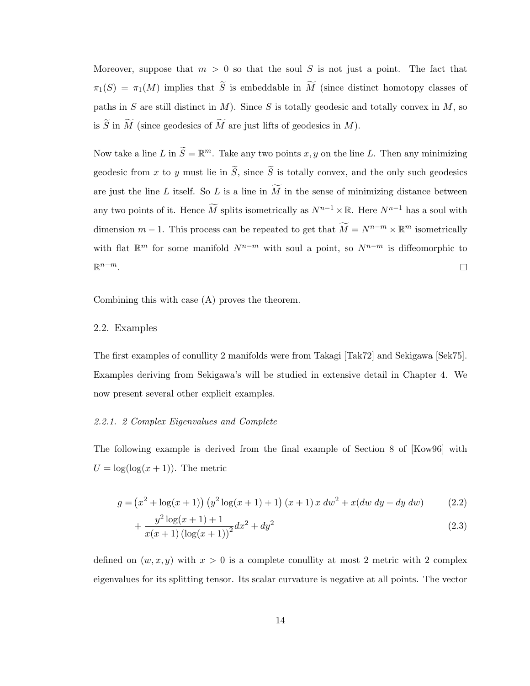Moreover, suppose that  $m > 0$  so that the soul S is not just a point. The fact that  $\pi_1(S) = \pi_1(M)$  implies that  $\widetilde{S}$  is embeddable in  $\widetilde{M}$  (since distinct homotopy classes of paths in S are still distinct in  $M$ ). Since S is totally geodesic and totally convex in  $M$ , so is  $\widetilde{S}$  in  $\widetilde{M}$  (since geodesics of  $\widetilde{M}$  are just lifts of geodesics in M).

Now take a line L in  $\widetilde{S} = \mathbb{R}^m$ . Take any two points  $x, y$  on the line L. Then any minimizing geodesic from x to y must lie in  $\tilde{S}$ , since  $\tilde{S}$  is totally convex, and the only such geodesics are just the line L itself. So L is a line in  $\widetilde{M}$  in the sense of minimizing distance between any two points of it. Hence  $\widetilde{M}$  splits isometrically as  $N^{n-1}\times\mathbb{R}$ . Here  $N^{n-1}$  has a soul with dimension  $m-1$ . This process can be repeated to get that  $\widetilde{M} = N^{n-m} \times \mathbb{R}^m$  isometrically with flat  $\mathbb{R}^m$  for some manifold  $N^{n-m}$  with soul a point, so  $N^{n-m}$  is diffeomorphic to  $\mathbb{R}^{n-m}$ .  $\Box$ 

<span id="page-19-0"></span>Combining this with case (A) proves the theorem.

## 2.2. Examples

The first examples of conullity 2 manifolds were from Takagi [\[Tak72\]](#page-80-0) and Sekigawa [\[Sek75\]](#page-79-4). Examples deriving from Sekigawa's will be studied in extensive detail in Chapter [4.](#page-34-0) We now present several other explicit examples.

#### 2.2.1. 2 Complex Eigenvalues and Complete

The following example is derived from the final example of Section 8 of [\[Kow96\]](#page-78-10) with  $U = \log(\log(x + 1))$ . The metric

$$
g = (x^{2} + \log(x+1)) (y^{2} \log(x+1) + 1) (x+1) x dw^{2} + x(dw dy + dy dw)
$$
 (2.2)

$$
+\frac{y^2\log(x+1)+1}{x(x+1)\left(\log(x+1)\right)^2}dx^2+dy^2\tag{2.3}
$$

defined on  $(w, x, y)$  with  $x > 0$  is a complete conullity at most 2 metric with 2 complex eigenvalues for its splitting tensor. Its scalar curvature is negative at all points. The vector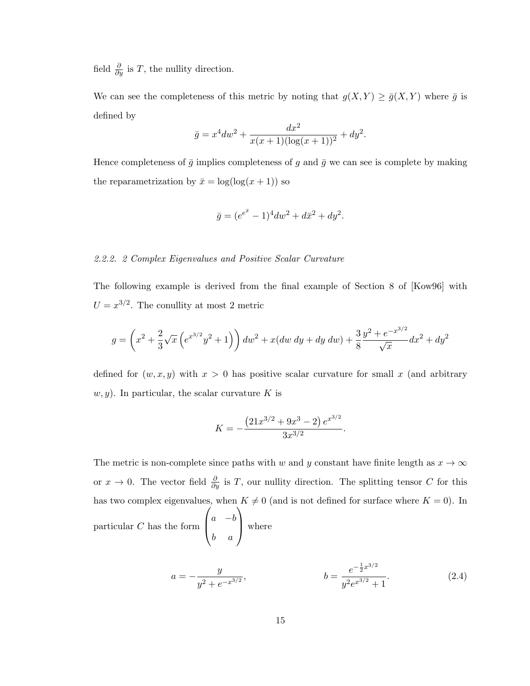field  $\frac{\partial}{\partial y}$  is T, the nullity direction.

We can see the completeness of this metric by noting that  $g(X, Y) \ge \bar{g}(X, Y)$  where  $\bar{g}$  is defined by

$$
\bar{g} = x^4 dw^2 + \frac{dx^2}{x(x+1)(\log(x+1))^2} + dy^2.
$$

Hence completeness of  $\bar{g}$  implies completeness of g and  $\bar{g}$  we can see is complete by making the reparametrization by  $\bar{x} = \log(\log(x + 1))$  so

$$
\bar{g} = (e^{e^{\bar{x}}} - 1)^4 dw^2 + d\bar{x}^2 + dy^2.
$$

#### 2.2.2. 2 Complex Eigenvalues and Positive Scalar Curvature

The following example is derived from the final example of Section 8 of [\[Kow96\]](#page-78-10) with  $U = x^{3/2}$ . The conullity at most 2 metric

$$
g = \left(x^2 + \frac{2}{3}\sqrt{x}\left(e^{x^{3/2}}y^2 + 1\right)\right)dw^2 + x(dw\ dy + dy\ dw) + \frac{3}{8}\frac{y^2 + e^{-x^{3/2}}}{\sqrt{x}}dx^2 + dy^2
$$

defined for  $(w, x, y)$  with  $x > 0$  has positive scalar curvature for small x (and arbitrary  $w, y$ ). In particular, the scalar curvature K is

$$
K = -\frac{(21x^{3/2} + 9x^3 - 2) e^{x^{3/2}}}{3x^{3/2}}.
$$

The metric is non-complete since paths with w and y constant have finite length as  $x \to \infty$ or  $x \to 0$ . The vector field  $\frac{\partial}{\partial y}$  is T, our nullity direction. The splitting tensor C for this has two complex eigenvalues, when  $K \neq 0$  (and is not defined for surface where  $K = 0$ ). In particular C has the form  $\sqrt{ }$  $\left\lfloor \right\rfloor$  $a - b$ b a  $\setminus$ | where

$$
a = -\frac{y}{y^2 + e^{-x^{3/2}}}, \qquad b = \frac{e^{-\frac{1}{2}x^{3/2}}}{y^2 e^{x^{3/2}} + 1}.
$$
 (2.4)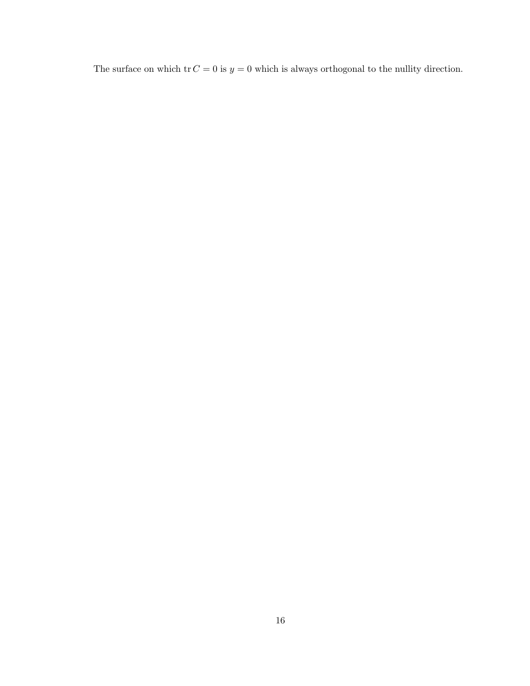The surface on which  $\operatorname{tr} C = 0$  is  $y = 0$  which is always orthogonal to the nullity direction.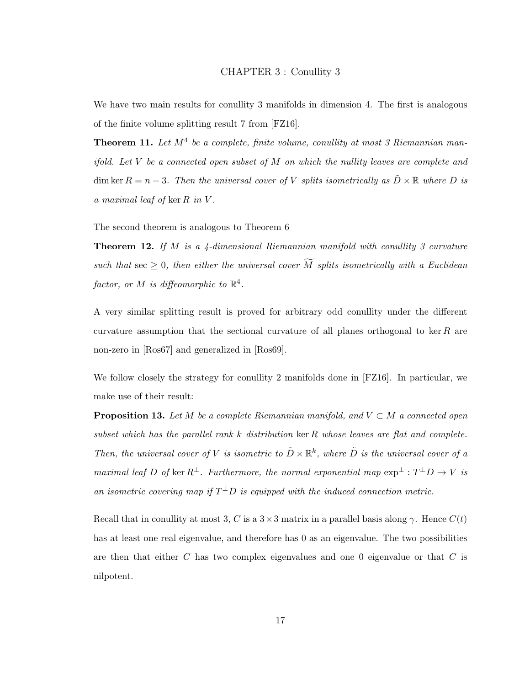<span id="page-22-0"></span>We have two main results for conullity 3 manifolds in dimension 4. The first is analogous of the finite volume splitting result [7](#page-15-4) from [\[FZ16\]](#page-78-0).

<span id="page-22-2"></span>**Theorem 11.** Let  $M^4$  be a complete, finite volume, conullity at most 3 Riemannian manifold. Let  $V$  be a connected open subset of  $M$  on which the nullity leaves are complete and dim ker  $R = n - 3$ . Then the universal cover of V splits isometrically as  $\ddot{D} \times \mathbb{R}$  where D is a maximal leaf of ker  $R$  in  $V$ .

<span id="page-22-1"></span>The second theorem is analogous to Theorem [6](#page-15-2)

**Theorem 12.** If M is a 4-dimensional Riemannian manifold with conullity 3 curvature such that sec  $\geq 0$ , then either the universal cover  $\widetilde{M}$  splits isometrically with a Euclidean factor, or M is diffeomorphic to  $\mathbb{R}^4$ .

A very similar splitting result is proved for arbitrary odd conullity under the different curvature assumption that the sectional curvature of all planes orthogonal to ker  $R$  are non-zero in [\[Ros67\]](#page-79-9) and generalized in [\[Ros69\]](#page-79-10).

We follow closely the strategy for conullity 2 manifolds done in [\[FZ16\]](#page-78-0). In particular, we make use of their result:

<span id="page-22-3"></span>**Proposition 13.** Let M be a complete Riemannian manifold, and  $V \subset M$  a connected open subset which has the parallel rank  $k$  distribution ker  $R$  whose leaves are flat and complete. Then, the universal cover of V is isometric to  $\tilde{D} \times \mathbb{R}^k$ , where  $\tilde{D}$  is the universal cover of a maximal leaf D of ker  $R^{\perp}$ . Furthermore, the normal exponential map  $\exp^{\perp}: T^{\perp}D \to V$  is an isometric covering map if  $T^{\perp}D$  is equipped with the induced connection metric.

Recall that in conullity at most 3, C is a  $3 \times 3$  matrix in a parallel basis along  $\gamma$ . Hence  $C(t)$ has at least one real eigenvalue, and therefore has 0 as an eigenvalue. The two possibilities are then that either  $C$  has two complex eigenvalues and one  $0$  eigenvalue or that  $C$  is nilpotent.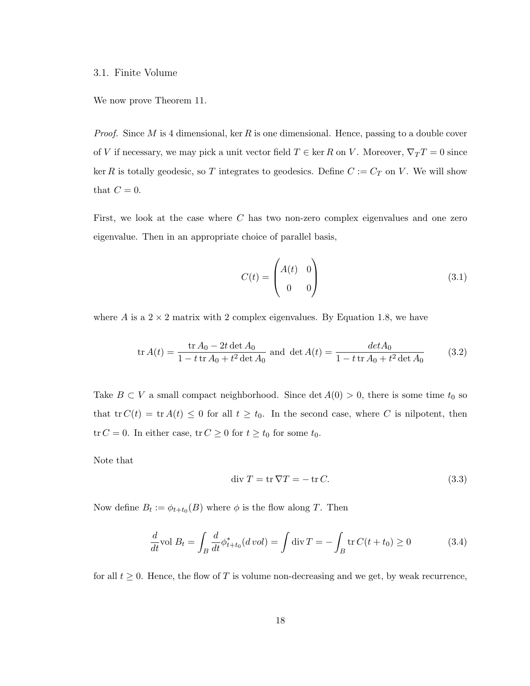#### <span id="page-23-0"></span>3.1. Finite Volume

We now prove Theorem [11.](#page-22-2)

*Proof.* Since M is 4 dimensional, ker R is one dimensional. Hence, passing to a double cover of V if necessary, we may pick a unit vector field  $T \in \ker R$  on V. Moreover,  $\nabla_T T = 0$  since ker R is totally geodesic, so T integrates to geodesics. Define  $C := C_T$  on V. We will show that  $C=0$ .

First, we look at the case where C has two non-zero complex eigenvalues and one zero eigenvalue. Then in an appropriate choice of parallel basis,

$$
C(t) = \begin{pmatrix} A(t) & 0 \\ 0 & 0 \end{pmatrix}
$$
 (3.1)

where A is a  $2 \times 2$  matrix with 2 complex eigenvalues. By Equation [1.8,](#page-13-0) we have

<span id="page-23-1"></span>
$$
\text{tr}\,A(t) = \frac{\text{tr}\,A_0 - 2t\,\text{det}\,A_0}{1 - t\,\text{tr}\,A_0 + t^2\,\text{det}\,A_0} \text{ and } \text{det}\,A(t) = \frac{det A_0}{1 - t\,\text{tr}\,A_0 + t^2\,\text{det}\,A_0} \tag{3.2}
$$

Take  $B \subset V$  a small compact neighborhood. Since det  $A(0) > 0$ , there is some time  $t_0$  so that tr  $C(t) = \text{tr } A(t) \leq 0$  for all  $t \geq t_0$ . In the second case, where C is nilpotent, then tr  $C = 0$ . In either case, tr  $C \ge 0$  for  $t \ge t_0$  for some  $t_0$ .

Note that

$$
\operatorname{div} T = \operatorname{tr} \nabla T = -\operatorname{tr} C. \tag{3.3}
$$

Now define  $B_t := \phi_{t+t_0}(B)$  where  $\phi$  is the flow along T. Then

$$
\frac{d}{dt}\text{vol }B_t = \int_B \frac{d}{dt}\phi_{t+t_0}^*(d\text{ vol}) = \int \text{div}\,T = -\int_B \text{tr}\,C(t+t_0) \ge 0\tag{3.4}
$$

for all  $t \geq 0$ . Hence, the flow of T is volume non-decreasing and we get, by weak recurrence,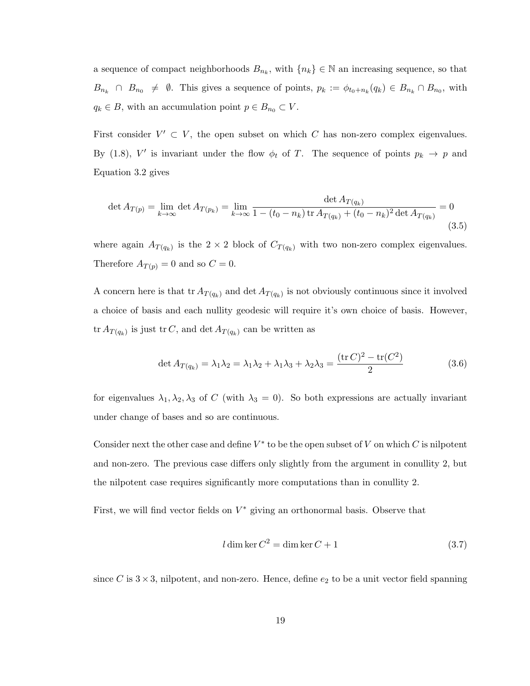a sequence of compact neighborhoods  $B_{n_k}$ , with  $\{n_k\} \in \mathbb{N}$  an increasing sequence, so that  $B_{n_k} \cap B_{n_0} \neq \emptyset$ . This gives a sequence of points,  $p_k := \phi_{t_0+n_k}(q_k) \in B_{n_k} \cap B_{n_0}$ , with  $q_k \in B$ , with an accumulation point  $p \in B_{n_0} \subset V$ .

First consider  $V' \subset V$ , the open subset on which C has non-zero complex eigenvalues. By [\(1.8\)](#page-13-0), V' is invariant under the flow  $\phi_t$  of T. The sequence of points  $p_k \to p$  and Equation [3.2](#page-23-1) gives

$$
\det A_{T(p)} = \lim_{k \to \infty} \det A_{T(p_k)} = \lim_{k \to \infty} \frac{\det A_{T(q_k)}}{1 - (t_0 - n_k) \operatorname{tr} A_{T(q_k)} + (t_0 - n_k)^2 \det A_{T(q_k)}} = 0
$$
\n(3.5)

where again  $A_{T(q_k)}$  is the 2 × 2 block of  $C_{T(q_k)}$  with two non-zero complex eigenvalues. Therefore  $A_{T(p)} = 0$  and so  $C = 0$ .

A concern here is that tr $A_{T(q_k)}$  and det  $A_{T(q_k)}$  is not obviously continuous since it involved a choice of basis and each nullity geodesic will require it's own choice of basis. However, tr  $A_{T(q_k)}$  is just tr C, and det  $A_{T(q_k)}$  can be written as

$$
\det A_{T(q_k)} = \lambda_1 \lambda_2 = \lambda_1 \lambda_2 + \lambda_1 \lambda_3 + \lambda_2 \lambda_3 = \frac{(\text{tr}\, C)^2 - \text{tr}(C^2)}{2} \tag{3.6}
$$

for eigenvalues  $\lambda_1, \lambda_2, \lambda_3$  of C (with  $\lambda_3 = 0$ ). So both expressions are actually invariant under change of bases and so are continuous.

Consider next the other case and define  $V^*$  to be the open subset of V on which C is nilpotent and non-zero. The previous case differs only slightly from the argument in conullity 2, but the nilpotent case requires significantly more computations than in conullity 2.

First, we will find vector fields on  $V^*$  giving an orthonormal basis. Observe that

$$
l \dim \ker C^2 = \dim \ker C + 1 \tag{3.7}
$$

since C is  $3 \times 3$ , nilpotent, and non-zero. Hence, define  $e_2$  to be a unit vector field spanning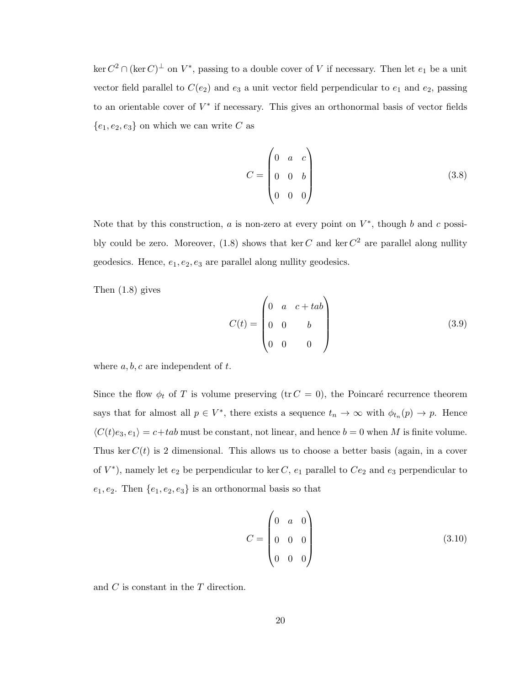$\ker C^2 \cap (\ker C)^{\perp}$  on  $V^*$ , passing to a double cover of V if necessary. Then let  $e_1$  be a unit vector field parallel to  $C(e_2)$  and  $e_3$  a unit vector field perpendicular to  $e_1$  and  $e_2$ , passing to an orientable cover of  $V^*$  if necessary. This gives an orthonormal basis of vector fields  ${e_1, e_2, e_3}$  on which we can write C as

$$
C = \begin{pmatrix} 0 & a & c \\ 0 & 0 & b \\ 0 & 0 & 0 \end{pmatrix}
$$
 (3.8)

Note that by this construction,  $a$  is non-zero at every point on  $V^*$ , though  $b$  and  $c$  possi-bly could be zero. Moreover, [\(1.8\)](#page-13-0) shows that ker C and ker  $C^2$  are parallel along nullity geodesics. Hence,  $e_1, e_2, e_3$  are parallel along nullity geodesics.

Then [\(1.8\)](#page-13-0) gives

$$
C(t) = \begin{pmatrix} 0 & a & c + tab \\ 0 & 0 & b \\ 0 & 0 & 0 \end{pmatrix}
$$
 (3.9)

where  $a, b, c$  are independent of  $t$ .

Since the flow  $\phi_t$  of T is volume preserving (tr  $C = 0$ ), the Poincaré recurrence theorem says that for almost all  $p \in V^*$ , there exists a sequence  $t_n \to \infty$  with  $\phi_{t_n}(p) \to p$ . Hence  $\langle C(t)e_3, e_1 \rangle = c + tab$  must be constant, not linear, and hence  $b = 0$  when M is finite volume. Thus ker  $C(t)$  is 2 dimensional. This allows us to choose a better basis (again, in a cover of  $V^*$ ), namely let  $e_2$  be perpendicular to ker C,  $e_1$  parallel to  $Ce_2$  and  $e_3$  perpendicular to  $e_1, e_2$ . Then  $\{e_1, e_2, e_3\}$  is an orthonormal basis so that

$$
C = \begin{pmatrix} 0 & a & 0 \\ 0 & 0 & 0 \\ 0 & 0 & 0 \end{pmatrix}
$$
 (3.10)

and C is constant in the T direction.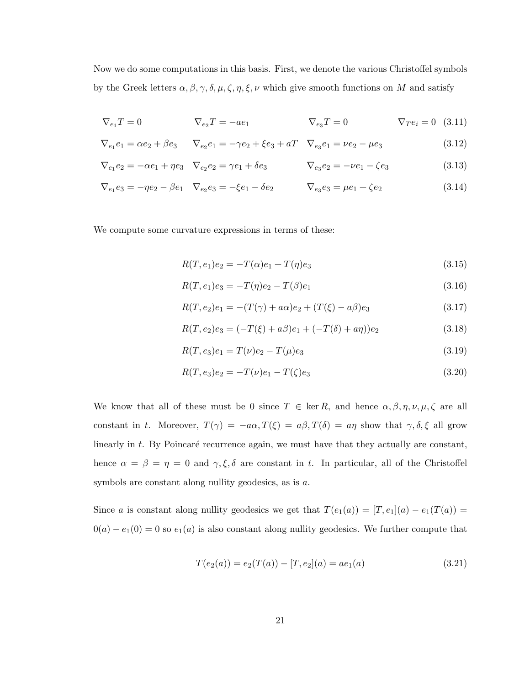Now we do some computations in this basis. First, we denote the various Christoffel symbols by the Greek letters  $\alpha, \beta, \gamma, \delta, \mu, \zeta, \eta, \xi, \nu$  which give smooth functions on M and satisfy

$$
\nabla_{e_1} T = 0 \qquad \qquad \nabla_{e_2} T = -ae_1 \qquad \qquad \nabla_{e_3} T = 0 \qquad \qquad \nabla_T e_i = 0 \quad (3.11)
$$

$$
\nabla_{e_1} e_1 = \alpha e_2 + \beta e_3 \qquad \nabla_{e_2} e_1 = -\gamma e_2 + \xi e_3 + aT \qquad \nabla_{e_3} e_1 = \nu e_2 - \mu e_3 \tag{3.12}
$$

$$
\nabla_{e_1} e_2 = -\alpha e_1 + \eta e_3 \quad \nabla_{e_2} e_2 = \gamma e_1 + \delta e_3 \qquad \qquad \nabla_{e_3} e_2 = -\nu e_1 - \zeta e_3 \tag{3.13}
$$

$$
\nabla_{e_1} e_3 = -\eta e_2 - \beta e_1 \quad \nabla_{e_2} e_3 = -\xi e_1 - \delta e_2 \qquad \qquad \nabla_{e_3} e_3 = \mu e_1 + \zeta e_2 \tag{3.14}
$$

We compute some curvature expressions in terms of these:

$$
R(T, e_1)e_2 = -T(\alpha)e_1 + T(\eta)e_3 \tag{3.15}
$$

$$
R(T, e_1)e_3 = -T(\eta)e_2 - T(\beta)e_1 \tag{3.16}
$$

$$
R(T, e_2)e_1 = -(T(\gamma) + a\alpha)e_2 + (T(\xi) - a\beta)e_3 \tag{3.17}
$$

$$
R(T, e_2)e_3 = (-T(\xi) + a\beta)e_1 + (-T(\delta) + a\eta))e_2
$$
\n(3.18)

$$
R(T, e_3)e_1 = T(\nu)e_2 - T(\mu)e_3 \tag{3.19}
$$

$$
R(T, e_3)e_2 = -T(\nu)e_1 - T(\zeta)e_3 \tag{3.20}
$$

We know that all of these must be 0 since  $T \in \text{ker } R$ , and hence  $\alpha, \beta, \eta, \nu, \mu, \zeta$  are all constant in t. Moreover,  $T(\gamma) = -a\alpha$ ,  $T(\xi) = a\beta$ ,  $T(\delta) = a\eta$  show that  $\gamma$ ,  $\delta$ ,  $\xi$  all grow linearly in  $t$ . By Poincaré recurrence again, we must have that they actually are constant, hence  $\alpha = \beta = \eta = 0$  and  $\gamma, \xi, \delta$  are constant in t. In particular, all of the Christoffel symbols are constant along nullity geodesics, as is a.

Since a is constant along nullity geodesics we get that  $T(e_1(a)) = [T, e_1](a) - e_1(T(a)) =$  $0(a) - e_1(0) = 0$  so  $e_1(a)$  is also constant along nullity geodesics. We further compute that

$$
T(e_2(a)) = e_2(T(a)) - [T, e_2](a) = ae_1(a)
$$
\n(3.21)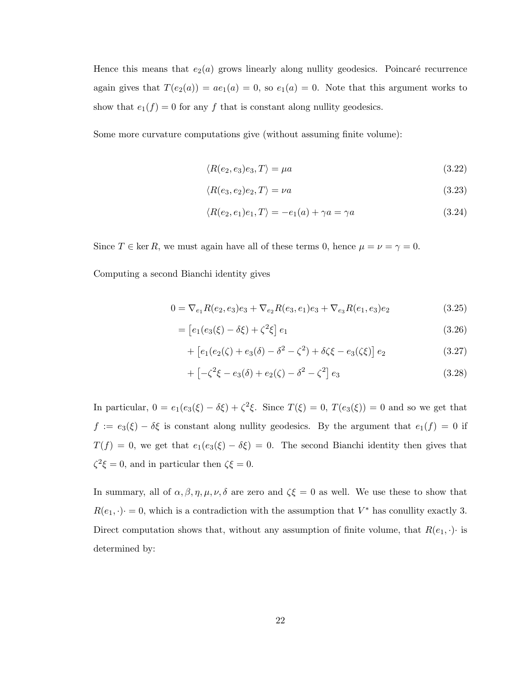Hence this means that  $e_2(a)$  grows linearly along nullity geodesics. Poincaré recurrence again gives that  $T(e_2(a)) = ae_1(a) = 0$ , so  $e_1(a) = 0$ . Note that this argument works to show that  $e_1(f) = 0$  for any f that is constant along nullity geodesics.

Some more curvature computations give (without assuming finite volume):

$$
\langle R(e_2, e_3)e_3, T \rangle = \mu a \tag{3.22}
$$

$$
\langle R(e_3, e_2)e_2, T \rangle = \nu a \tag{3.23}
$$

$$
\langle R(e_2, e_1)e_1, T \rangle = -e_1(a) + \gamma a = \gamma a \tag{3.24}
$$

Since  $T \in \text{ker } R$ , we must again have all of these terms 0, hence  $\mu = \nu = \gamma = 0$ .

Computing a second Bianchi identity gives

$$
0 = \nabla_{e_1} R(e_2, e_3)e_3 + \nabla_{e_2} R(e_3, e_1)e_3 + \nabla_{e_3} R(e_1, e_3)e_2
$$
\n(3.25)

$$
= [e_1(e_3(\xi) - \delta \xi) + \zeta^2 \xi] e_1
$$
\n(3.26)

+ 
$$
[e_1(e_2(\zeta) + e_3(\delta) - \delta^2 - \zeta^2) + \delta\zeta\xi - e_3(\zeta\xi)]e_2
$$
 (3.27)

$$
+ \left[ -\zeta^2 \xi - e_3(\delta) + e_2(\zeta) - \delta^2 - \zeta^2 \right] e_3 \tag{3.28}
$$

In particular,  $0 = e_1(e_3(\xi) - \delta \xi) + \zeta^2 \xi$ . Since  $T(\xi) = 0$ ,  $T(e_3(\xi)) = 0$  and so we get that  $f := e_3(\xi) - \delta \xi$  is constant along nullity geodesics. By the argument that  $e_1(f) = 0$  if  $T(f) = 0$ , we get that  $e_1(e_3(\xi) - \delta \xi) = 0$ . The second Bianchi identity then gives that  $\zeta^2 \xi = 0$ , and in particular then  $\zeta \xi = 0$ .

In summary, all of  $\alpha, \beta, \eta, \mu, \nu, \delta$  are zero and  $\zeta \xi = 0$  as well. We use these to show that  $R(e_1, \cdot) = 0$ , which is a contradiction with the assumption that  $V^*$  has conullity exactly 3. Direct computation shows that, without any assumption of finite volume, that  $R(e_1, \cdot)$  is determined by: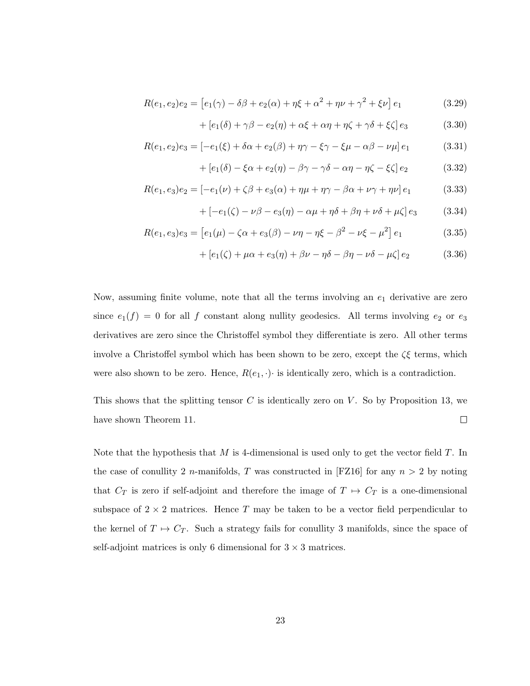$$
R(e_1, e_2)e_2 = [e_1(\gamma) - \delta\beta + e_2(\alpha) + \eta\xi + \alpha^2 + \eta\nu + \gamma^2 + \xi\nu]e_1
$$
\n(3.29)

$$
+[e_1(\delta) + \gamma \beta - e_2(\eta) + \alpha \xi + \alpha \eta + \eta \zeta + \gamma \delta + \xi \zeta] e_3 \qquad (3.30)
$$

$$
R(e_1, e_2)e_3 = [-e_1(\xi) + \delta\alpha + e_2(\beta) + \eta\gamma - \xi\gamma - \xi\mu - \alpha\beta - \nu\mu]e_1
$$
 (3.31)

$$
+[e_1(\delta)-\xi\alpha+e_2(\eta)-\beta\gamma-\gamma\delta-\alpha\eta-\eta\zeta-\xi\zeta]e_2 \qquad (3.32)
$$

$$
R(e_1, e_3)e_2 = [-e_1(\nu) + \zeta\beta + e_3(\alpha) + \eta\mu + \eta\gamma - \beta\alpha + \nu\gamma + \eta\nu]e_1
$$
 (3.33)

$$
+ [-e1(\zeta) - \nu \beta - e3(\eta) - \alpha \mu + \eta \delta + \beta \eta + \nu \delta + \mu \zeta] e3 \qquad (3.34)
$$

$$
R(e_1, e_3)e_3 = [e_1(\mu) - \zeta \alpha + e_3(\beta) - \nu \eta - \eta \xi - \beta^2 - \nu \xi - \mu^2] e_1 \qquad (3.35)
$$

$$
+[e_1(\zeta)+\mu\alpha+e_3(\eta)+\beta\nu-\eta\delta-\beta\eta-\nu\delta-\mu\zeta]e_2 \qquad (3.36)
$$

Now, assuming finite volume, note that all the terms involving an  $e_1$  derivative are zero since  $e_1(f) = 0$  for all f constant along nullity geodesics. All terms involving  $e_2$  or  $e_3$ derivatives are zero since the Christoffel symbol they differentiate is zero. All other terms involve a Christoffel symbol which has been shown to be zero, except the  $\zeta\xi$  terms, which were also shown to be zero. Hence,  $R(e_1, \cdot)$  is identically zero, which is a contradiction.

This shows that the splitting tensor  $C$  is identically zero on  $V$ . So by Proposition [13,](#page-22-3) we  $\Box$ have shown Theorem [11.](#page-22-2)

Note that the hypothesis that  $M$  is 4-dimensional is used only to get the vector field  $T$ . In the case of conullity 2 *n*-manifolds, T was constructed in [\[FZ16\]](#page-78-0) for any  $n > 2$  by noting that  $C_T$  is zero if self-adjoint and therefore the image of  $T \mapsto C_T$  is a one-dimensional subspace of  $2 \times 2$  matrices. Hence T may be taken to be a vector field perpendicular to the kernel of  $T \mapsto C_T$ . Such a strategy fails for conullity 3 manifolds, since the space of self-adjoint matrices is only 6 dimensional for  $3 \times 3$  matrices.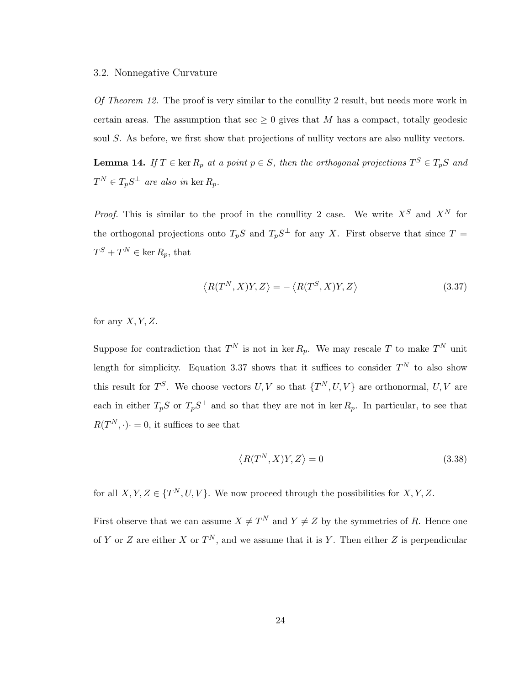#### <span id="page-29-0"></span>3.2. Nonnegative Curvature

Of Theorem [12.](#page-22-1) The proof is very similar to the conullity 2 result, but needs more work in certain areas. The assumption that sec  $\geq 0$  gives that M has a compact, totally geodesic soul S. As before, we first show that projections of nullity vectors are also nullity vectors.

**Lemma 14.** If  $T \in \text{ker } R_p$  at a point  $p \in S$ , then the orthogonal projections  $T^S \in T_pS$  and  $T^N \in T_p S^{\perp}$  are also in ker  $R_p$ .

*Proof.* This is similar to the proof in the conullity 2 case. We write  $X^S$  and  $X^N$  for the orthogonal projections onto  $T_pS$  and  $T_pS^{\perp}$  for any X. First observe that since  $T =$  $T^S + T^N \in \ker R_p$ , that

<span id="page-29-1"></span>
$$
\langle R(T^N, X)Y, Z \rangle = -\langle R(T^S, X)Y, Z \rangle \tag{3.37}
$$

for any  $X, Y, Z$ .

Suppose for contradiction that  $T^N$  is not in ker  $R_p$ . We may rescale T to make  $T^N$  unit length for simplicity. Equation [3.37](#page-29-1) shows that it suffices to consider  $T<sup>N</sup>$  to also show this result for  $T^S$ . We choose vectors  $U, V$  so that  $\{T^N, U, V\}$  are orthonormal,  $U, V$  are each in either  $T_pS$  or  $T_pS^{\perp}$  and so that they are not in ker  $R_p$ . In particular, to see that  $R(T^N, \cdot) = 0$ , it suffices to see that

$$
\langle R(T^N, X)Y, Z \rangle = 0 \tag{3.38}
$$

for all  $X, Y, Z \in \{T^N, U, V\}$ . We now proceed through the possibilities for  $X, Y, Z$ .

First observe that we can assume  $X \neq T^N$  and  $Y \neq Z$  by the symmetries of R. Hence one of Y or Z are either X or  $T^N$ , and we assume that it is Y. Then either Z is perpendicular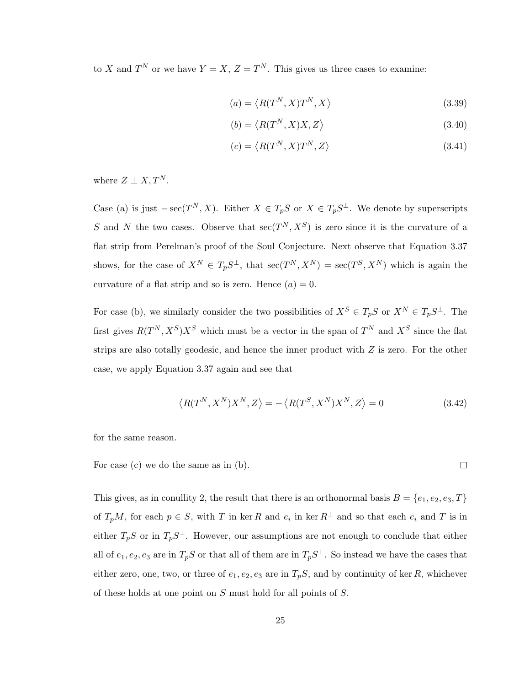to X and  $T^N$  or we have  $Y = X$ ,  $Z = T^N$ . This gives us three cases to examine:

$$
(a) = \langle R(T^N, X)T^N, X \rangle \tag{3.39}
$$

$$
(b) = \langle R(T^N, X)X, Z \rangle \tag{3.40}
$$

$$
(c) = \langle R(T^N, X) T^N, Z \rangle \tag{3.41}
$$

where  $Z \perp X, T^N$ .

Case (a) is just  $-{\rm sec}(T^N, X)$ . Either  $X \in T_pS$  or  $X \in T_pS^{\perp}$ . We denote by superscripts S and N the two cases. Observe that  $\sec(T^N, X^S)$  is zero since it is the curvature of a flat strip from Perelman's proof of the Soul Conjecture. Next observe that Equation [3.37](#page-29-1) shows, for the case of  $X^N \in T_pS^{\perp}$ , that  $\sec(T^N, X^N) = \sec(T^S, X^N)$  which is again the curvature of a flat strip and so is zero. Hence  $(a) = 0$ .

For case (b), we similarly consider the two possibilities of  $X^S \in T_pS$  or  $X^N \in T_pS^{\perp}$ . The first gives  $R(T^N, X^S)X^S$  which must be a vector in the span of  $T^N$  and  $X^S$  since the flat strips are also totally geodesic, and hence the inner product with Z is zero. For the other case, we apply Equation [3.37](#page-29-1) again and see that

$$
\langle R(T^N, X^N)X^N, Z \rangle = -\langle R(T^S, X^N)X^N, Z \rangle = 0
$$
\n(3.42)

for the same reason.

 $\Box$ For case (c) we do the same as in (b).

This gives, as in conullity 2, the result that there is an orthonormal basis  $B = \{e_1, e_2, e_3, T\}$ of  $T_pM$ , for each  $p \in S$ , with T in ker R and  $e_i$  in ker  $R^{\perp}$  and so that each  $e_i$  and T is in either  $T_pS$  or in  $T_pS^{\perp}$ . However, our assumptions are not enough to conclude that either all of  $e_1, e_2, e_3$  are in  $T_pS$  or that all of them are in  $T_pS^{\perp}$ . So instead we have the cases that either zero, one, two, or three of  $e_1, e_2, e_3$  are in  $T_pS$ , and by continuity of ker R, whichever of these holds at one point on S must hold for all points of S.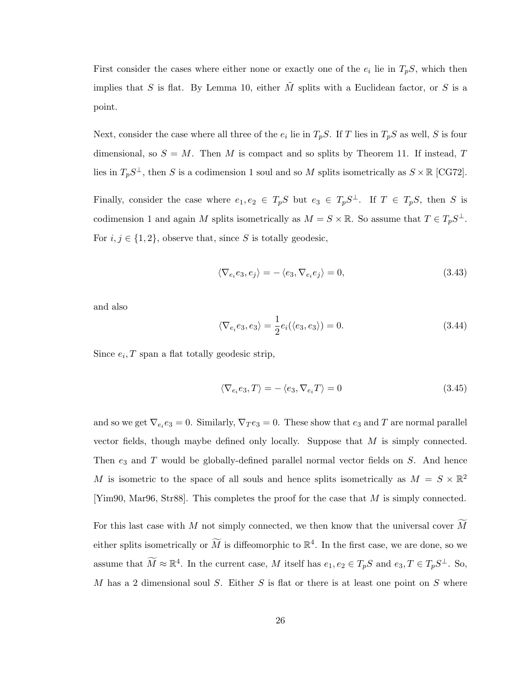First consider the cases where either none or exactly one of the  $e_i$  lie in  $T_pS$ , which then implies that S is flat. By Lemma [10,](#page-18-0) either  $\tilde{M}$  splits with a Euclidean factor, or S is a point.

Next, consider the case where all three of the  $e_i$  lie in  $T_pS$ . If T lies in  $T_pS$  as well, S is four dimensional, so  $S = M$ . Then M is compact and so splits by Theorem [11.](#page-22-2) If instead, T lies in  $T_pS^{\perp}$ , then S is a codimension 1 soul and so M splits isometrically as  $S \times \mathbb{R}$  [\[CG72\]](#page-78-9).

Finally, consider the case where  $e_1, e_2 \in T_pS$  but  $e_3 \in T_pS^{\perp}$ . If  $T \in T_pS$ , then S is codimension 1 and again M splits isometrically as  $M = S \times \mathbb{R}$ . So assume that  $T \in T_p S^{\perp}$ . For  $i, j \in \{1, 2\}$ , observe that, since S is totally geodesic,

$$
\langle \nabla_{e_i} e_3, e_j \rangle = -\langle e_3, \nabla_{e_i} e_j \rangle = 0, \tag{3.43}
$$

and also

$$
\langle \nabla_{e_i} e_3, e_3 \rangle = \frac{1}{2} e_i(\langle e_3, e_3 \rangle) = 0.
$$
\n(3.44)

Since  $e_i$ , T span a flat totally geodesic strip,

$$
\langle \nabla_{e_i} e_3, T \rangle = -\langle e_3, \nabla_{e_i} T \rangle = 0 \tag{3.45}
$$

and so we get  $\nabla_{e_i} e_3 = 0$ . Similarly,  $\nabla_T e_3 = 0$ . These show that  $e_3$  and T are normal parallel vector fields, though maybe defined only locally. Suppose that M is simply connected. Then  $e_3$  and  $T$  would be globally-defined parallel normal vector fields on  $S$ . And hence M is isometric to the space of all souls and hence splits isometrically as  $M = S \times \mathbb{R}^2$ [\[Yim90,](#page-80-6) [Mar96,](#page-79-11) [Str88\]](#page-79-12). This completes the proof for the case that M is simply connected.

For this last case with M not simply connected, we then know that the universal cover  $\widetilde{M}$ either splits isometrically or  $\widetilde{M}$  is diffeomorphic to  $\mathbb{R}^4$ . In the first case, we are done, so we assume that  $\widetilde{M} \approx \mathbb{R}^4$ . In the current case, M itself has  $e_1, e_2 \in T_pS$  and  $e_3, T \in T_pS^{\perp}$ . So, M has a 2 dimensional soul S. Either S is flat or there is at least one point on S where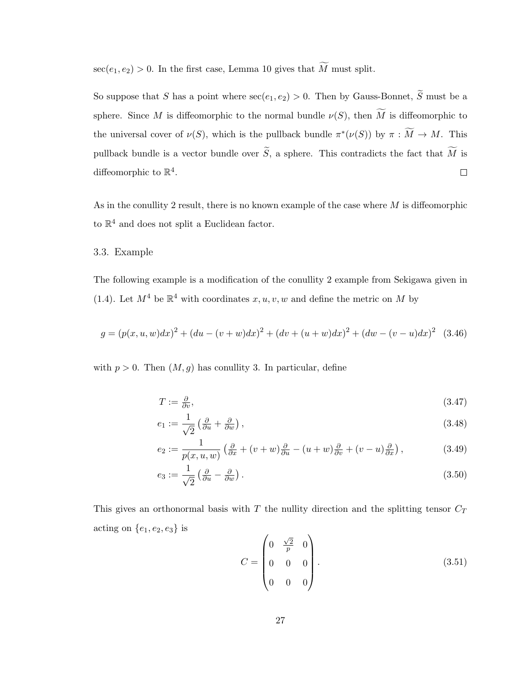$\sec(e_1, e_2) > 0$ . In the first case, Lemma [10](#page-18-0) gives that  $\widetilde{M}$  must split.

So suppose that S has a point where  $\sec(e_1, e_2) > 0$ . Then by Gauss-Bonnet,  $\widetilde{S}$  must be a sphere. Since M is diffeomorphic to the normal bundle  $\nu(S)$ , then  $\widetilde{M}$  is diffeomorphic to the universal cover of  $\nu(S)$ , which is the pullback bundle  $\pi^*(\nu(S))$  by  $\pi : \widetilde{M} \to M$ . This pullback bundle is a vector bundle over  $\widetilde{S}$ , a sphere. This contradicts the fact that  $\widetilde{M}$  is diffeomorphic to  $\mathbb{R}^4$ .  $\Box$ 

As in the conullity 2 result, there is no known example of the case where  $M$  is diffeomorphic to  $\mathbb{R}^4$  and does not split a Euclidean factor.

### <span id="page-32-0"></span>3.3. Example

The following example is a modification of the conullity 2 example from Sekigawa given in [\(1.4\)](#page-10-0). Let  $M^4$  be  $\mathbb{R}^4$  with coordinates  $x, u, v, w$  and define the metric on M by

$$
g = (p(x, u, w)dx)^{2} + (du - (v + w)dx)^{2} + (dv + (u + w)dx)^{2} + (dw - (v - u)dx)^{2}
$$
 (3.46)

with  $p > 0$ . Then  $(M, g)$  has conullity 3. In particular, define

$$
T := \frac{\partial}{\partial v},\tag{3.47}
$$

$$
e_1 := \frac{1}{\sqrt{2}} \left( \frac{\partial}{\partial u} + \frac{\partial}{\partial w} \right),\tag{3.48}
$$

$$
e_2 := \frac{1}{p(x, u, w)} \left( \frac{\partial}{\partial x} + (v + w) \frac{\partial}{\partial u} - (u + w) \frac{\partial}{\partial v} + (v - u) \frac{\partial}{\partial x} \right),\tag{3.49}
$$

$$
e_3 := \frac{1}{\sqrt{2}} \left( \frac{\partial}{\partial u} - \frac{\partial}{\partial w} \right). \tag{3.50}
$$

This gives an orthonormal basis with  $T$  the nullity direction and the splitting tensor  $C_T$ acting on  $\{e_1, e_2, e_3\}$  is

$$
C = \begin{pmatrix} 0 & \frac{\sqrt{2}}{p} & 0 \\ 0 & 0 & 0 \\ 0 & 0 & 0 \end{pmatrix}.
$$
 (3.51)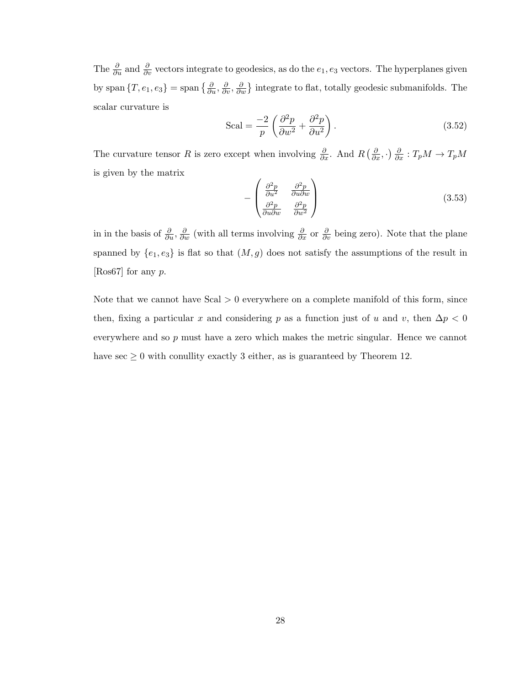The  $\frac{\partial}{\partial u}$  and  $\frac{\partial}{\partial v}$  vectors integrate to geodesics, as do the  $e_1, e_3$  vectors. The hyperplanes given by span  $\{T, e_1, e_3\} =$  span  $\{\frac{\partial}{\partial u}, \frac{\partial}{\partial v}, \frac{\partial}{\partial w}\}$  integrate to flat, totally geodesic submanifolds. The scalar curvature is

$$
\text{Scal} = \frac{-2}{p} \left( \frac{\partial^2 p}{\partial w^2} + \frac{\partial^2 p}{\partial u^2} \right). \tag{3.52}
$$

The curvature tensor R is zero except when involving  $\frac{\partial}{\partial x}$ . And  $R\left(\frac{\partial}{\partial x},\cdot\right)\frac{\partial}{\partial x}:T_pM\to T_pM$ is given by the matrix

$$
-\begin{pmatrix} \frac{\partial^2 p}{\partial u^2} & \frac{\partial^2 p}{\partial u \partial w} \\ \frac{\partial^2 p}{\partial u \partial w} & \frac{\partial^2 p}{\partial w^2} \end{pmatrix}
$$
(3.53)

in in the basis of  $\frac{\partial}{\partial u}$ ,  $\frac{\partial}{\partial w}$  (with all terms involving  $\frac{\partial}{\partial x}$  or  $\frac{\partial}{\partial v}$  being zero). Note that the plane spanned by  $\{e_1, e_3\}$  is flat so that  $(M, g)$  does not satisfy the assumptions of the result in [\[Ros67\]](#page-79-9) for any p.

Note that we cannot have  $Scal > 0$  everywhere on a complete manifold of this form, since then, fixing a particular x and considering p as a function just of u and v, then  $\Delta p < 0$ everywhere and so  $p$  must have a zero which makes the metric singular. Hence we cannot have  $\sec \geq 0$  with conullity exactly 3 either, as is guaranteed by Theorem [12.](#page-22-1)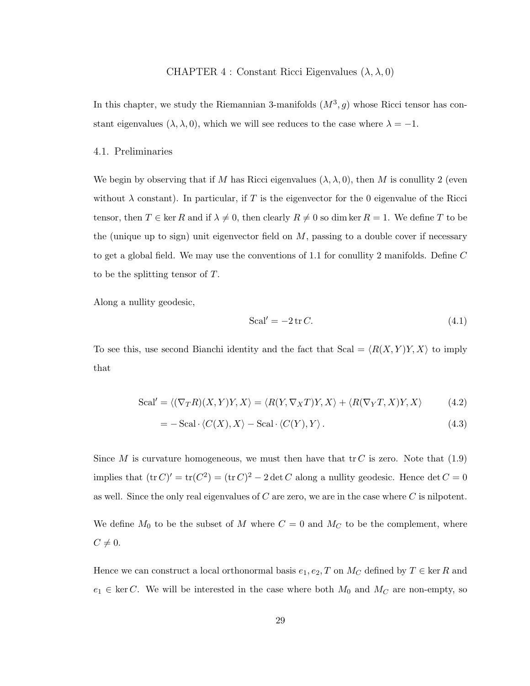## CHAPTER 4 : Constant Ricci Eigenvalues  $(\lambda, \lambda, 0)$

<span id="page-34-0"></span>In this chapter, we study the Riemannian 3-manifolds  $(M^3, g)$  whose Ricci tensor has constant eigenvalues  $(\lambda, \lambda, 0)$ , which we will see reduces to the case where  $\lambda = -1$ .

#### <span id="page-34-1"></span>4.1. Preliminaries

We begin by observing that if M has Ricci eigenvalues  $(\lambda, \lambda, 0)$ , then M is conullity 2 (even without  $\lambda$  constant). In particular, if T is the eigenvector for the 0 eigenvalue of the Ricci tensor, then  $T \in \ker R$  and if  $\lambda \neq 0$ , then clearly  $R \neq 0$  so dim ker  $R = 1$ . We define T to be the (unique up to sign) unit eigenvector field on  $M$ , passing to a double cover if necessary to get a global field. We may use the conventions of [1.1](#page-12-0) for conullity 2 manifolds. Define  $C$ to be the splitting tensor of T.

Along a nullity geodesic,

$$
Scal' = -2 \operatorname{tr} C. \tag{4.1}
$$

To see this, use second Bianchi identity and the fact that Scal =  $\langle R(X, Y)Y, X \rangle$  to imply that

$$
Scal' = \langle (\nabla_T R)(X, Y)Y, X \rangle = \langle R(Y, \nabla_X T)Y, X \rangle + \langle R(\nabla_Y T, X)Y, X \rangle \tag{4.2}
$$

$$
= -\operatorname{Scal} \cdot \langle C(X), X \rangle - \operatorname{Scal} \cdot \langle C(Y), Y \rangle. \tag{4.3}
$$

Since M is curvature homogeneous, we must then have that  $\mathfrak{t}r C$  is zero. Note that [\(1.9\)](#page-13-2) implies that  $(\text{tr } C)' = \text{tr}(C^2) = (\text{tr } C)^2 - 2 \det C$  along a nullity geodesic. Hence  $\det C = 0$ as well. Since the only real eigenvalues of  $C$  are zero, we are in the case where  $C$  is nilpotent. We define  $M_0$  to be the subset of M where  $C = 0$  and  $M_C$  to be the complement, where  $C \neq 0.$ 

Hence we can construct a local orthonormal basis  $e_1, e_2, T$  on  $M_C$  defined by  $T \in \text{ker } R$  and  $e_1 \in \text{ker } C$ . We will be interested in the case where both  $M_0$  and  $M_C$  are non-empty, so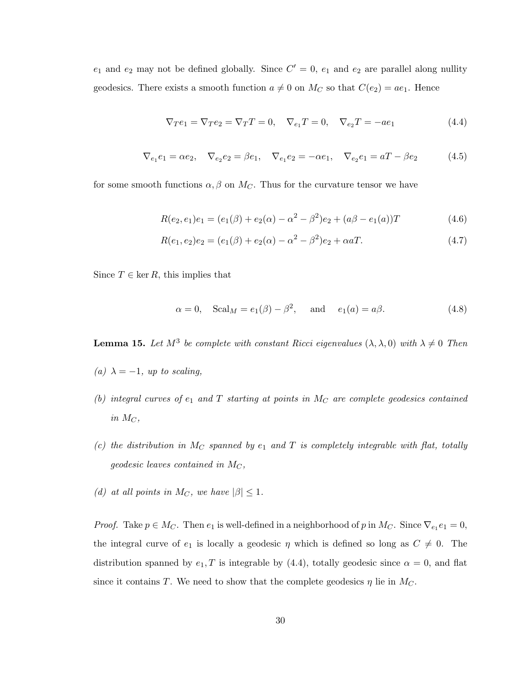$e_1$  and  $e_2$  may not be defined globally. Since  $C' = 0$ ,  $e_1$  and  $e_2$  are parallel along nullity geodesics. There exists a smooth function  $a \neq 0$  on  $M_C$  so that  $C(e_2) = ae_1$ . Hence

<span id="page-35-1"></span>
$$
\nabla_T e_1 = \nabla_T e_2 = \nabla_T T = 0, \quad \nabla_{e_1} T = 0, \quad \nabla_{e_2} T = -ae_1 \tag{4.4}
$$

$$
\nabla_{e_1} e_1 = \alpha e_2, \quad \nabla_{e_2} e_2 = \beta e_1, \quad \nabla_{e_1} e_2 = -\alpha e_1, \quad \nabla_{e_2} e_1 = aT - \beta e_2 \tag{4.5}
$$

for some smooth functions  $\alpha$ ,  $\beta$  on  $M_C$ . Thus for the curvature tensor we have

$$
R(e_2, e_1)e_1 = (e_1(\beta) + e_2(\alpha) - \alpha^2 - \beta^2)e_2 + (a\beta - e_1(\alpha))T
$$
\n(4.6)

$$
R(e_1, e_2)e_2 = (e_1(\beta) + e_2(\alpha) - \alpha^2 - \beta^2)e_2 + \alpha aT.
$$
\n(4.7)

Since  $T \in \text{ker } R$ , this implies that

$$
\alpha = 0, \quad \text{Scal}_M = e_1(\beta) - \beta^2, \quad \text{and} \quad e_1(a) = a\beta. \tag{4.8}
$$

<span id="page-35-0"></span>**Lemma 15.** Let  $M^3$  be complete with constant Ricci eigenvalues  $(\lambda, \lambda, 0)$  with  $\lambda \neq 0$  Then

- (a)  $\lambda = -1$ , up to scaling,
- (b) integral curves of  $e_1$  and  $T$  starting at points in  $M_C$  are complete geodesics contained in  $M_C$ ,
- (c) the distribution in M<sub>C</sub> spanned by  $e_1$  and T is completely integrable with flat, totally geodesic leaves contained in  $M_C$ ,
- (d) at all points in  $M_C$ , we have  $|\beta| \leq 1$ .

*Proof.* Take  $p \in M_C$ . Then  $e_1$  is well-defined in a neighborhood of p in  $M_C$ . Since  $\nabla_{e_1} e_1 = 0$ , the integral curve of  $e_1$  is locally a geodesic  $\eta$  which is defined so long as  $C \neq 0$ . The distribution spanned by  $e_1, T$  is integrable by [\(4.4\)](#page-35-1), totally geodesic since  $\alpha = 0$ , and flat since it contains T. We need to show that the complete geodesics  $\eta$  lie in  $M_C$ .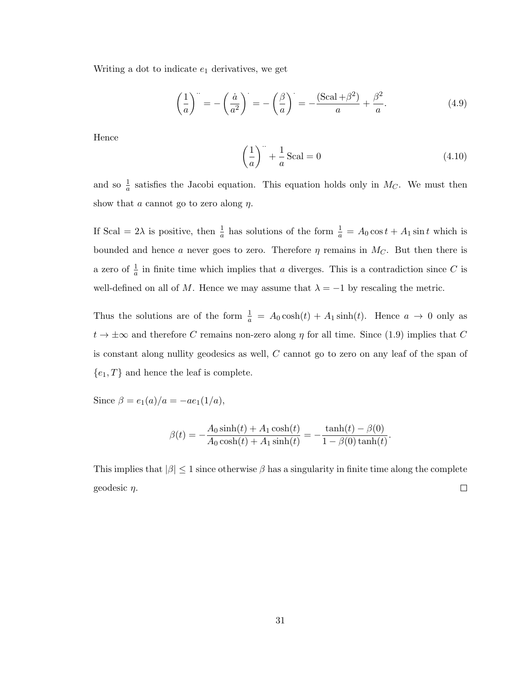Writing a dot to indicate  $e_1$  derivatives, we get

$$
\left(\frac{1}{a}\right)^{n} = -\left(\frac{\dot{a}}{a^{2}}\right)^{n} = -\left(\frac{\beta}{a}\right)^{n} = -\frac{(\text{Scal} + \beta^{2})}{a} + \frac{\beta^{2}}{a}.
$$
\n(4.9)

Hence

$$
\left(\frac{1}{a}\right)^n + \frac{1}{a}\text{Scal} = 0\tag{4.10}
$$

and so  $\frac{1}{a}$  satisfies the Jacobi equation. This equation holds only in  $M_C$ . We must then show that a cannot go to zero along  $\eta$ .

If Scal =  $2\lambda$  is positive, then  $\frac{1}{a}$  has solutions of the form  $\frac{1}{a} = A_0 \cos t + A_1 \sin t$  which is bounded and hence a never goes to zero. Therefore  $\eta$  remains in  $M_C$ . But then there is a zero of  $\frac{1}{a}$  in finite time which implies that a diverges. This is a contradiction since C is well-defined on all of M. Hence we may assume that  $\lambda = -1$  by rescaling the metric.

Thus the solutions are of the form  $\frac{1}{a} = A_0 \cosh(t) + A_1 \sinh(t)$ . Hence  $a \to 0$  only as  $t \to \pm \infty$  and therefore C remains non-zero along  $\eta$  for all time. Since [\(1.9\)](#page-13-0) implies that C is constant along nullity geodesics as well, C cannot go to zero on any leaf of the span of  ${e_1, T}$  and hence the leaf is complete.

Since  $\beta = e_1(a)/a = -ae_1(1/a),$ 

$$
\beta(t) = -\frac{A_0 \sinh(t) + A_1 \cosh(t)}{A_0 \cosh(t) + A_1 \sinh(t)} = -\frac{\tanh(t) - \beta(0)}{1 - \beta(0) \tanh(t)}.
$$

This implies that  $|\beta| \leq 1$  since otherwise  $\beta$  has a singularity in finite time along the complete  $\Box$ geodesic  $\eta$ .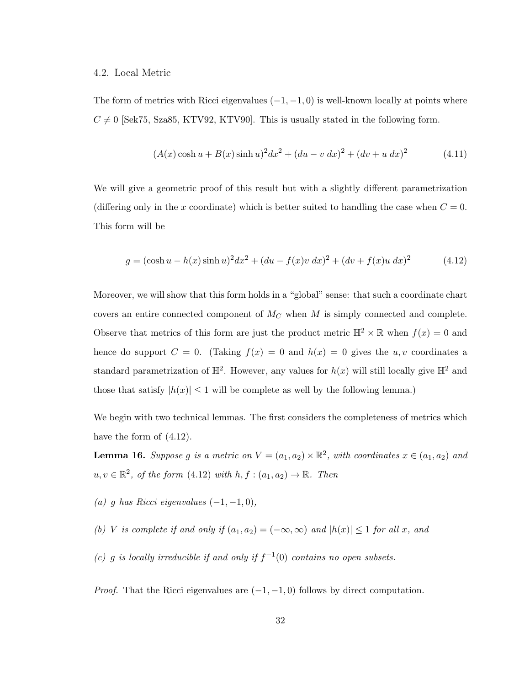### 4.2. Local Metric

The form of metrics with Ricci eigenvalues  $(-1, -1, 0)$  is well-known locally at points where  $C \neq 0$  [\[Sek75,](#page-79-0) [Sza85,](#page-80-0) [KTV92,](#page-78-0) [KTV90\]](#page-78-1). This is usually stated in the following form.

$$
(A(x)\cosh u + B(x)\sinh u)^{2}dx^{2} + (du - v dx)^{2} + (dv + u dx)^{2}
$$
\n(4.11)

We will give a geometric proof of this result but with a slightly different parametrization (differing only in the x coordinate) which is better suited to handling the case when  $C = 0$ . This form will be

<span id="page-37-0"></span>
$$
g = (\cosh u - h(x) \sinh u)^{2} dx^{2} + (du - f(x)v dx)^{2} + (dv + f(x)u dx)^{2}
$$
(4.12)

Moreover, we will show that this form holds in a "global" sense: that such a coordinate chart covers an entire connected component of  $M_C$  when M is simply connected and complete. Observe that metrics of this form are just the product metric  $\mathbb{H}^2 \times \mathbb{R}$  when  $f(x) = 0$  and hence do support  $C = 0$ . (Taking  $f(x) = 0$  and  $h(x) = 0$  gives the u, v coordinates a standard parametrization of  $\mathbb{H}^2$ . However, any values for  $h(x)$  will still locally give  $\mathbb{H}^2$  and those that satisfy  $|h(x)| \leq 1$  will be complete as well by the following lemma.)

We begin with two technical lemmas. The first considers the completeness of metrics which have the form of  $(4.12)$ .

<span id="page-37-1"></span>**Lemma 16.** Suppose g is a metric on  $V = (a_1, a_2) \times \mathbb{R}^2$ , with coordinates  $x \in (a_1, a_2)$  and  $u, v \in \mathbb{R}^2$ , of the form  $(4.12)$  with  $h, f : (a_1, a_2) \to \mathbb{R}$ . Then

(a) g has Ricci eigenvalues  $(-1, -1, 0)$ ,

(b) V is complete if and only if  $(a_1, a_2) = (-\infty, \infty)$  and  $|h(x)| \leq 1$  for all x, and

(c) g is locally irreducible if and only if  $f^{-1}(0)$  contains no open subsets.

*Proof.* That the Ricci eigenvalues are  $(-1, -1, 0)$  follows by direct computation.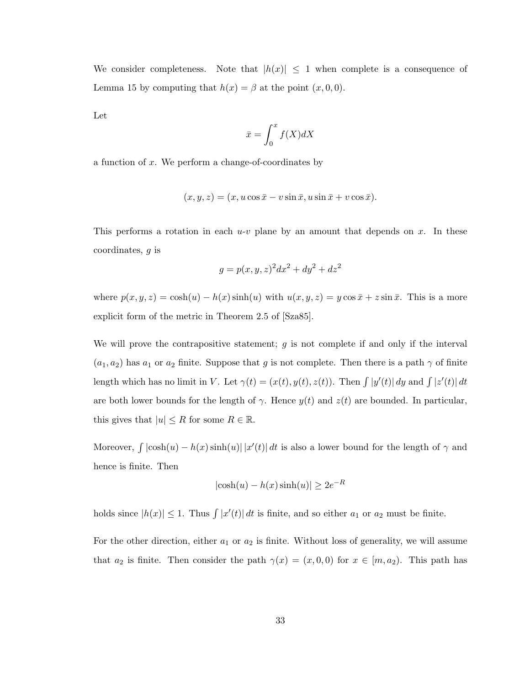We consider completeness. Note that  $|h(x)| \leq 1$  when complete is a consequence of Lemma [15](#page-35-0) by computing that  $h(x) = \beta$  at the point  $(x, 0, 0)$ .

Let

$$
\bar{x} = \int_0^x f(X)dX
$$

a function of x. We perform a change-of-coordinates by

$$
(x, y, z) = (x, u \cos \bar{x} - v \sin \bar{x}, u \sin \bar{x} + v \cos \bar{x}).
$$

This performs a rotation in each  $u-v$  plane by an amount that depends on x. In these coordinates, g is

$$
g = p(x, y, z)^2 dx^2 + dy^2 + dz^2
$$

where  $p(x, y, z) = \cosh(u) - h(x) \sinh(u)$  with  $u(x, y, z) = y \cos \bar{x} + z \sin \bar{x}$ . This is a more explicit form of the metric in Theorem 2.5 of [\[Sza85\]](#page-80-0).

We will prove the contrapositive statement;  $g$  is not complete if and only if the interval  $(a_1, a_2)$  has  $a_1$  or  $a_2$  finite. Suppose that g is not complete. Then there is a path  $\gamma$  of finite length which has no limit in V. Let  $\gamma(t) = (x(t), y(t), z(t))$ . Then  $\int |y'(t)| dy$  and  $\int |z'(t)| dt$ are both lower bounds for the length of  $\gamma$ . Hence  $y(t)$  and  $z(t)$  are bounded. In particular, this gives that  $|u| \leq R$  for some  $R \in \mathbb{R}$ .

Moreover,  $\int |\cosh(u) - h(x) \sinh(u)| |x'(t)| dt$  is also a lower bound for the length of  $\gamma$  and hence is finite. Then

$$
|\cosh(u) - h(x)\sinh(u)| \ge 2e^{-R}
$$

holds since  $|h(x)| \leq 1$ . Thus  $\int |x'(t)| dt$  is finite, and so either  $a_1$  or  $a_2$  must be finite.

For the other direction, either  $a_1$  or  $a_2$  is finite. Without loss of generality, we will assume that  $a_2$  is finite. Then consider the path  $\gamma(x) = (x, 0, 0)$  for  $x \in [m, a_2)$ . This path has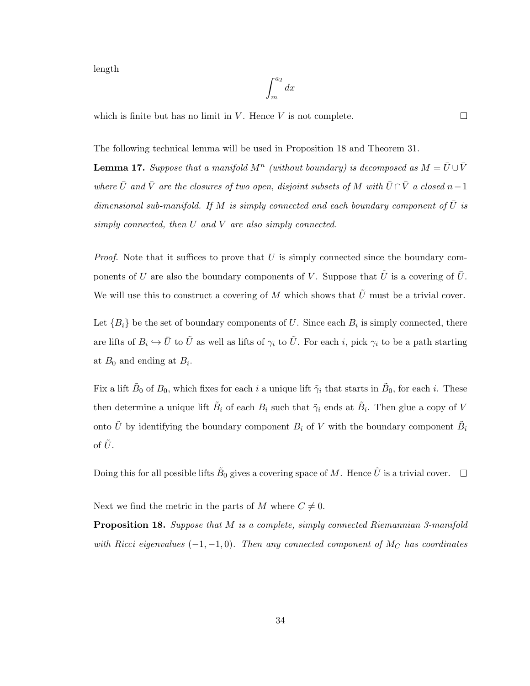length

$$
\int_{m}^{a_2} dx
$$

which is finite but has no limit in  $V$ . Hence  $V$  is not complete.

<span id="page-39-1"></span>The following technical lemma will be used in Proposition [18](#page-39-0) and Theorem [31.](#page-62-0)

**Lemma 17.** Suppose that a manifold  $M^n$  (without boundary) is decomposed as  $M = \bar{U} \cup \bar{V}$ where  $\bar{U}$  and  $\bar{V}$  are the closures of two open, disjoint subsets of M with  $\bar{U} \cap \bar{V}$  a closed n - 1 dimensional sub-manifold. If M is simply connected and each boundary component of  $\overline{U}$  is simply connected, then U and V are also simply connected.

*Proof.* Note that it suffices to prove that  $U$  is simply connected since the boundary components of U are also the boundary components of V. Suppose that  $\tilde{U}$  is a covering of  $\overline{U}$ . We will use this to construct a covering of M which shows that  $\tilde{U}$  must be a trivial cover.

Let  ${B_i}$  be the set of boundary components of U. Since each  $B_i$  is simply connected, there are lifts of  $B_i \hookrightarrow \bar{U}$  to  $\tilde{U}$  as well as lifts of  $\gamma_i$  to  $\tilde{U}$ . For each i, pick  $\gamma_i$  to be a path starting at  $B_0$  and ending at  $B_i$ .

Fix a lift  $\tilde{B}_0$  of  $B_0$ , which fixes for each i a unique lift  $\tilde{\gamma}_i$  that starts in  $\tilde{B}_0$ , for each i. These then determine a unique lift  $\tilde{B}_i$  of each  $B_i$  such that  $\tilde{\gamma}_i$  ends at  $\tilde{B}_i$ . Then glue a copy of V onto  $\tilde{U}$  by identifying the boundary component  $B_i$  of V with the boundary component  $\tilde{B_i}$ of  $\tilde{U}$ .

Doing this for all possible lifts  $\tilde{B}_0$  gives a covering space of  $M$ . Hence  $\tilde{U}$  is a trivial cover.

<span id="page-39-0"></span>Next we find the metric in the parts of M where  $C \neq 0$ .

Proposition 18. Suppose that M is a complete, simply connected Riemannian 3-manifold with Ricci eigenvalues  $(-1, -1, 0)$ . Then any connected component of M<sub>C</sub> has coordinates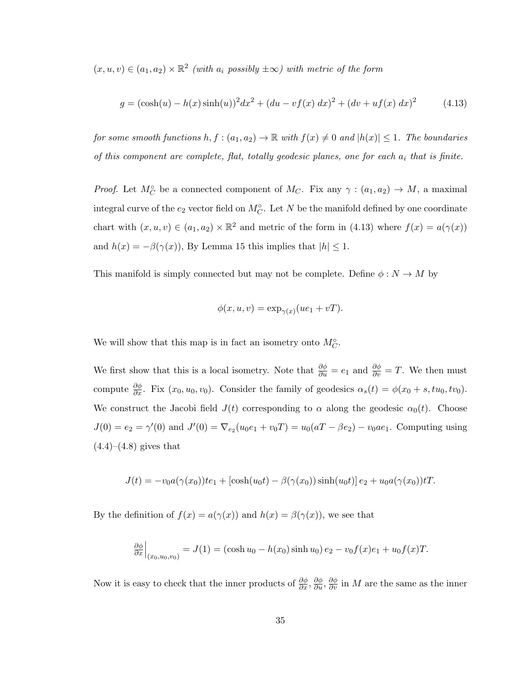$(x, u, v) \in (a_1, a_2) \times \mathbb{R}^2$  (with  $a_i$  possibly  $\pm \infty$ ) with metric of the form

<span id="page-40-0"></span>
$$
g = (\cosh(u) - h(x)\sinh(u))^2 dx^2 + (du - vf(x) dx)^2 + (dv + uf(x) dx)^2
$$
 (4.13)

for some smooth functions  $h, f : (a_1, a_2) \to \mathbb{R}$  with  $f(x) \neq 0$  and  $|h(x)| \leq 1$ . The boundaries of this component are complete, flat, totally geodesic planes, one for each  $a_i$  that is finite.

*Proof.* Let  $M_C^{\circ}$  be a connected component of  $M_C$ . Fix any  $\gamma : (a_1, a_2) \to M$ , a maximal integral curve of the  $e_2$  vector field on  $M_C^{\circ}$ . Let N be the manifold defined by one coordinate chart with  $(x, u, v) \in (a_1, a_2) \times \mathbb{R}^2$  and metric of the form in [\(4.13\)](#page-40-0) where  $f(x) = a(\gamma(x))$ and  $h(x) = -\beta(\gamma(x))$ , By Lemma [15](#page-35-0) this implies that  $|h| \leq 1$ .

This manifold is simply connected but may not be complete. Define  $\phi : N \to M$  by

$$
\phi(x, u, v) = \exp_{\gamma(x)}(u e_1 + v T).
$$

We will show that this map is in fact an isometry onto  $M_C^{\circ}$ .

We first show that this is a local isometry. Note that  $\frac{\partial \phi}{\partial u} = e_1$  and  $\frac{\partial \phi}{\partial v} = T$ . We then must compute  $\frac{\partial \phi}{\partial x}$ . Fix  $(x_0, u_0, v_0)$ . Consider the family of geodesics  $\alpha_s(t) = \phi(x_0 + s, tu_0, tv_0)$ . We construct the Jacobi field  $J(t)$  corresponding to  $\alpha$  along the geodesic  $\alpha_0(t)$ . Choose  $J(0) = e_2 = \gamma'(0)$  and  $J'(0) = \nabla_{e_2}(u_0 e_1 + v_0 T) = u_0(aT - \beta e_2) - v_0 a e_1$ . Computing using  $(4.4)–(4.8)$  $(4.4)–(4.8)$  $(4.4)–(4.8)$  gives that

$$
J(t) = -v_0 a(\gamma(x_0)) t e_1 + [\cosh(u_0 t) - \beta(\gamma(x_0)) \sinh(u_0 t)] e_2 + u_0 a(\gamma(x_0)) t T.
$$

By the definition of  $f(x) = a(\gamma(x))$  and  $h(x) = \beta(\gamma(x))$ , we see that

$$
\frac{\partial \phi}{\partial x}\Big|_{(x_0, u_0, v_0)} = J(1) = (\cosh u_0 - h(x_0) \sinh u_0) e_2 - v_0 f(x) e_1 + u_0 f(x) T.
$$

Now it is easy to check that the inner products of  $\frac{\partial \phi}{\partial x}, \frac{\partial \phi}{\partial u}, \frac{\partial \phi}{\partial v}$  in M are the same as the inner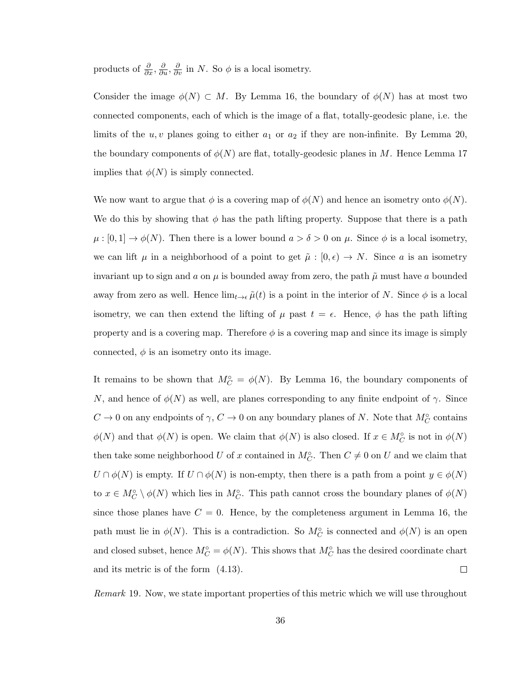products of  $\frac{\partial}{\partial x}, \frac{\partial}{\partial u}, \frac{\partial}{\partial v}$  in N. So  $\phi$  is a local isometry.

Consider the image  $\phi(N) \subset M$ . By Lemma [16,](#page-37-1) the boundary of  $\phi(N)$  has at most two connected components, each of which is the image of a flat, totally-geodesic plane, i.e. the limits of the  $u, v$  planes going to either  $a_1$  or  $a_2$  if they are non-infinite. By Lemma [20,](#page-42-0) the boundary components of  $\phi(N)$  are flat, totally-geodesic planes in M. Hence Lemma [17](#page-39-1) implies that  $\phi(N)$  is simply connected.

We now want to argue that  $\phi$  is a covering map of  $\phi(N)$  and hence an isometry onto  $\phi(N)$ . We do this by showing that  $\phi$  has the path lifting property. Suppose that there is a path  $\mu : [0,1] \to \phi(N)$ . Then there is a lower bound  $a > \delta > 0$  on  $\mu$ . Since  $\phi$  is a local isometry, we can lift  $\mu$  in a neighborhood of a point to get  $\tilde{\mu} : [0, \epsilon) \to N$ . Since a is an isometry invariant up to sign and a on  $\mu$  is bounded away from zero, the path  $\tilde{\mu}$  must have a bounded away from zero as well. Hence  $\lim_{t\to\epsilon}\tilde{\mu}(t)$  is a point in the interior of N. Since  $\phi$  is a local isometry, we can then extend the lifting of  $\mu$  past  $t = \epsilon$ . Hence,  $\phi$  has the path lifting property and is a covering map. Therefore  $\phi$  is a covering map and since its image is simply connected,  $\phi$  is an isometry onto its image.

It remains to be shown that  $M_C^{\circ} = \phi(N)$ . By Lemma [16,](#page-37-1) the boundary components of N, and hence of  $\phi(N)$  as well, are planes corresponding to any finite endpoint of  $\gamma$ . Since  $C \to 0$  on any endpoints of  $\gamma$ ,  $C \to 0$  on any boundary planes of N. Note that  $M_C^{\circ}$  contains  $\phi(N)$  and that  $\phi(N)$  is open. We claim that  $\phi(N)$  is also closed. If  $x \in M_C^{\circ}$  is not in  $\phi(N)$ then take some neighborhood U of x contained in  $M_C^{\circ}$ . Then  $C \neq 0$  on U and we claim that  $U \cap \phi(N)$  is empty. If  $U \cap \phi(N)$  is non-empty, then there is a path from a point  $y \in \phi(N)$ to  $x \in M_C^{\circ} \setminus \phi(N)$  which lies in  $M_C^{\circ}$ . This path cannot cross the boundary planes of  $\phi(N)$ since those planes have  $C = 0$ . Hence, by the completeness argument in Lemma [16,](#page-37-1) the path must lie in  $\phi(N)$ . This is a contradiction. So  $M_C^{\circ}$  is connected and  $\phi(N)$  is an open and closed subset, hence  $M_C^{\circ} = \phi(N)$ . This shows that  $M_C^{\circ}$  has the desired coordinate chart and its metric is of the form [\(4.13\)](#page-40-0).  $\Box$ 

<span id="page-41-0"></span>Remark 19. Now, we state important properties of this metric which we will use throughout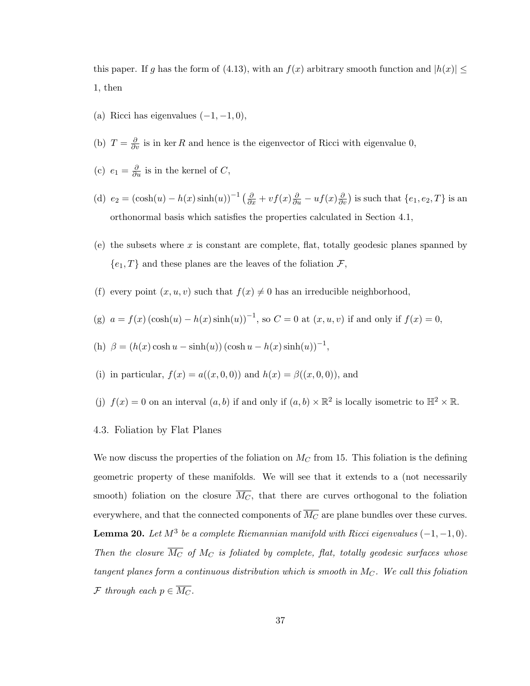this paper. If g has the form of [\(4.13\)](#page-40-0), with an  $f(x)$  arbitrary smooth function and  $|h(x)| \leq$ 1, then

- (a) Ricci has eigenvalues  $(-1, -1, 0)$ ,
- (b)  $T = \frac{\partial}{\partial v}$  is in ker R and hence is the eigenvector of Ricci with eigenvalue 0,
- (c)  $e_1 = \frac{\partial}{\partial u}$  is in the kernel of C,
- (d)  $e_2 = (\cosh(u) h(x) \sinh(u))^{-1} \left(\frac{\partial}{\partial x} + v f(x) \frac{\partial}{\partial u} u f(x) \frac{\partial}{\partial v}\right)$  is such that  $\{e_1, e_2, T\}$  is an orthonormal basis which satisfies the properties calculated in Section [4.1,](#page-34-0)
- (e) the subsets where x is constant are complete, flat, totally geodesic planes spanned by  $\{e_1, T\}$  and these planes are the leaves of the foliation  $\mathcal{F}$ ,
- (f) every point  $(x, u, v)$  such that  $f(x) \neq 0$  has an irreducible neighborhood,

(g) 
$$
a = f(x) (\cosh(u) - h(x) \sinh(u))^{-1}
$$
, so  $C = 0$  at  $(x, u, v)$  if and only if  $f(x) = 0$ ,

(h) 
$$
\beta = (h(x) \cosh u - \sinh(u)) (\cosh u - h(x) \sinh(u))^{-1},
$$

- (i) in particular,  $f(x) = a((x, 0, 0))$  and  $h(x) = \beta((x, 0, 0))$ , and
- (j)  $f(x) = 0$  on an interval  $(a, b)$  if and only if  $(a, b) \times \mathbb{R}^2$  is locally isometric to  $\mathbb{H}^2 \times \mathbb{R}$ .
- 4.3. Foliation by Flat Planes

<span id="page-42-0"></span>We now discuss the properties of the foliation on  $M_C$  from [15.](#page-35-0) This foliation is the defining geometric property of these manifolds. We will see that it extends to a (not necessarily smooth) foliation on the closure  $\overline{M_C}$ , that there are curves orthogonal to the foliation everywhere, and that the connected components of  $\overline{M_C}$  are plane bundles over these curves. **Lemma 20.** Let  $M^3$  be a complete Riemannian manifold with Ricci eigenvalues  $(-1, -1, 0)$ . Then the closure  $\overline{M_C}$  of  $M_C$  is foliated by complete, flat, totally geodesic surfaces whose tangent planes form a continuous distribution which is smooth in  $M_C$ . We call this foliation F through each  $p \in \overline{M_C}$ .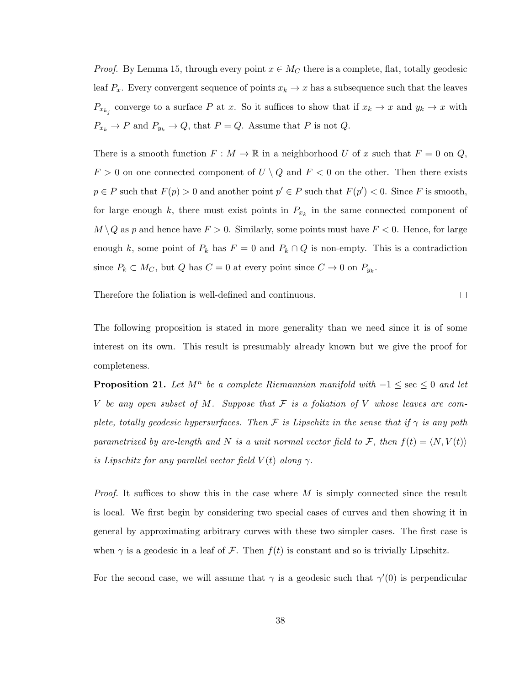*Proof.* By Lemma [15,](#page-35-0) through every point  $x \in M_C$  there is a complete, flat, totally geodesic leaf  $P_x$ . Every convergent sequence of points  $x_k \to x$  has a subsequence such that the leaves  $P_{x_{k_j}}$  converge to a surface P at x. So it suffices to show that if  $x_k \to x$  and  $y_k \to x$  with  $P_{x_k} \to P$  and  $P_{y_k} \to Q$ , that  $P = Q$ . Assume that P is not Q.

There is a smooth function  $F : M \to \mathbb{R}$  in a neighborhood U of x such that  $F = 0$  on Q,  $F > 0$  on one connected component of  $U \setminus Q$  and  $F < 0$  on the other. Then there exists  $p \in P$  such that  $F(p) > 0$  and another point  $p' \in P$  such that  $F(p') < 0$ . Since F is smooth, for large enough k, there must exist points in  $P_{x_k}$  in the same connected component of  $M \setminus Q$  as p and hence have  $F > 0$ . Similarly, some points must have  $F < 0$ . Hence, for large enough k, some point of  $P_k$  has  $F = 0$  and  $P_k \cap Q$  is non-empty. This is a contradiction since  $P_k \subset M_C$ , but  $Q$  has  $C = 0$  at every point since  $C \to 0$  on  $P_{y_k}$ .

Therefore the foliation is well-defined and continuous.

 $\Box$ 

The following proposition is stated in more generality than we need since it is of some interest on its own. This result is presumably already known but we give the proof for completeness.

<span id="page-43-0"></span>**Proposition 21.** Let  $M^n$  be a complete Riemannian manifold with  $-1 \leq \sec \leq 0$  and let V be any open subset of M. Suppose that  $\mathcal F$  is a foliation of V whose leaves are complete, totally geodesic hypersurfaces. Then F is Lipschitz in the sense that if  $\gamma$  is any path parametrized by arc-length and N is a unit normal vector field to F, then  $f(t) = \langle N, V(t) \rangle$ is Lipschitz for any parallel vector field  $V(t)$  along  $\gamma$ .

*Proof.* It suffices to show this in the case where  $M$  is simply connected since the result is local. We first begin by considering two special cases of curves and then showing it in general by approximating arbitrary curves with these two simpler cases. The first case is when  $\gamma$  is a geodesic in a leaf of F. Then  $f(t)$  is constant and so is trivially Lipschitz.

For the second case, we will assume that  $\gamma$  is a geodesic such that  $\gamma'(0)$  is perpendicular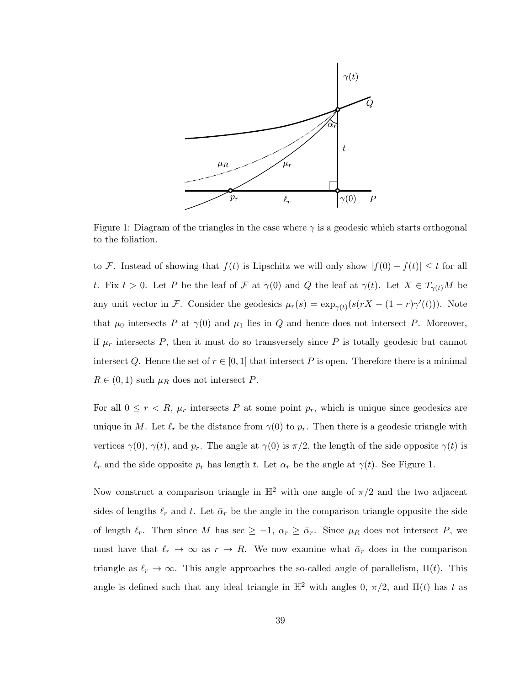

<span id="page-44-0"></span>Figure 1: Diagram of the triangles in the case where  $\gamma$  is a geodesic which starts orthogonal to the foliation.

to F. Instead of showing that  $f(t)$  is Lipschitz we will only show  $|f(0) - f(t)| \leq t$  for all t. Fix  $t > 0$ . Let P be the leaf of F at  $\gamma(0)$  and Q the leaf at  $\gamma(t)$ . Let  $X \in T_{\gamma(t)}M$  be any unit vector in F. Consider the geodesics  $\mu_r(s) = \exp_{\gamma(t)}(s(rX - (1 - r)\gamma'(t)))$ . Note that  $\mu_0$  intersects P at  $\gamma(0)$  and  $\mu_1$  lies in Q and hence does not intersect P. Moreover, if  $\mu_r$  intersects P, then it must do so transversely since P is totally geodesic but cannot intersect Q. Hence the set of  $r \in [0, 1]$  that intersect P is open. Therefore there is a minimal  $R \in (0,1)$  such  $\mu_R$  does not intersect P.

For all  $0 \leq r < R$ ,  $\mu_r$  intersects P at some point  $p_r$ , which is unique since geodesics are unique in M. Let  $\ell_r$  be the distance from  $\gamma(0)$  to  $p_r$ . Then there is a geodesic triangle with vertices  $\gamma(0)$ ,  $\gamma(t)$ , and  $p_r$ . The angle at  $\gamma(0)$  is  $\pi/2$ , the length of the side opposite  $\gamma(t)$  is  $\ell_r$  and the side opposite  $p_r$  has length t. Let  $\alpha_r$  be the angle at  $\gamma(t)$ . See Figure [1.](#page-44-0)

Now construct a comparison triangle in  $\mathbb{H}^2$  with one angle of  $\pi/2$  and the two adjacent sides of lengths  $\ell_r$  and t. Let  $\bar{\alpha}_r$  be the angle in the comparison triangle opposite the side of length  $\ell_r$ . Then since M has sec  $\geq -1$ ,  $\alpha_r \geq \bar{\alpha}_r$ . Since  $\mu_R$  does not intersect P, we must have that  $\ell_r \to \infty$  as  $r \to R$ . We now examine what  $\bar{\alpha}_r$  does in the comparison triangle as  $\ell_r \to \infty$ . This angle approaches the so-called angle of parallelism,  $\Pi(t)$ . This angle is defined such that any ideal triangle in  $\mathbb{H}^2$  with angles 0,  $\pi/2$ , and  $\Pi(t)$  has t as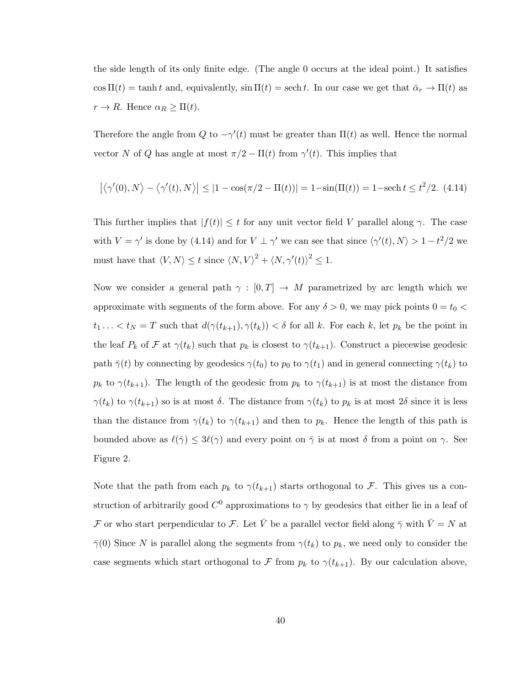the side length of its only finite edge. (The angle 0 occurs at the ideal point.) It satisfies  $\cos \Pi(t) = \tanh t$  and, equivalently,  $\sin \Pi(t) = \text{sech } t$ . In our case we get that  $\bar{\alpha}_r \to \Pi(t)$  as  $r \to R$ . Hence  $\alpha_R \geq \Pi(t)$ .

Therefore the angle from Q to  $-\gamma'(t)$  must be greater than  $\Pi(t)$  as well. Hence the normal vector N of Q has angle at most  $\pi/2 - \Pi(t)$  from  $\gamma'(t)$ . This implies that

<span id="page-45-0"></span>
$$
\left| \langle \gamma'(0), N \rangle - \langle \gamma'(t), N \rangle \right| \le |1 - \cos(\pi/2 - \Pi(t))| = 1 - \sin(\Pi(t)) = 1 - \operatorname{sech} t \le t^2/2. \tag{4.14}
$$

This further implies that  $|f(t)| \leq t$  for any unit vector field V parallel along  $\gamma$ . The case with  $V = \gamma'$  is done by [\(4.14\)](#page-45-0) and for  $V \perp \gamma'$  we can see that since  $\langle \gamma'(t), N \rangle > 1 - t^2/2$  we must have that  $\langle V, N \rangle \le t$  since  $\langle N, V \rangle^2 + \langle N, \gamma'(t) \rangle^2 \le 1$ .

Now we consider a general path  $\gamma : [0, T] \to M$  parametrized by arc length which we approximate with segments of the form above. For any  $\delta > 0$ , we may pick points  $0 = t_0 <$  $t_1 \ldots < t_N = T$  such that  $d(\gamma(t_{k+1}), \gamma(t_k)) < \delta$  for all k. For each k, let  $p_k$  be the point in the leaf  $P_k$  of  $\mathcal F$  at  $\gamma(t_k)$  such that  $p_k$  is closest to  $\gamma(t_{k+1})$ . Construct a piecewise geodesic path  $\bar{\gamma}(t)$  by connecting by geodesics  $\gamma(t_0)$  to  $p_0$  to  $\gamma(t_1)$  and in general connecting  $\gamma(t_k)$  to  $p_k$  to  $\gamma(t_{k+1})$ . The length of the geodesic from  $p_k$  to  $\gamma(t_{k+1})$  is at most the distance from  $\gamma(t_k)$  to  $\gamma(t_{k+1})$  so is at most  $\delta$ . The distance from  $\gamma(t_k)$  to  $p_k$  is at most  $2\delta$  since it is less than the distance from  $\gamma(t_k)$  to  $\gamma(t_{k+1})$  and then to  $p_k$ . Hence the length of this path is bounded above as  $\ell(\bar{\gamma}) \leq 3\ell(\gamma)$  and every point on  $\bar{\gamma}$  is at most  $\delta$  from a point on  $\gamma$ . See Figure [2.](#page-46-0)

Note that the path from each  $p_k$  to  $\gamma(t_{k+1})$  starts orthogonal to F. This gives us a construction of arbitrarily good  $C^0$  approximations to  $\gamma$  by geodesics that either lie in a leaf of F or who start perpendicular to F. Let  $\bar{V}$  be a parallel vector field along  $\bar{\gamma}$  with  $\bar{V}=N$  at  $\bar{\gamma}(0)$  Since N is parallel along the segments from  $\gamma(t_k)$  to  $p_k$ , we need only to consider the case segments which start orthogonal to F from  $p_k$  to  $\gamma(t_{k+1})$ . By our calculation above,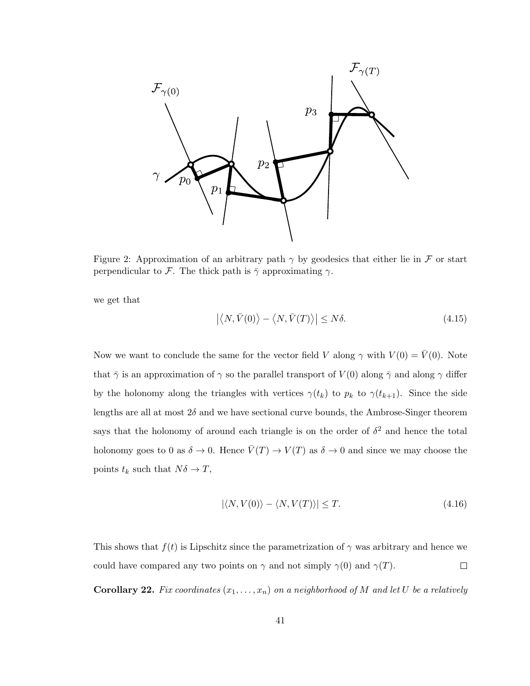

<span id="page-46-0"></span>Figure 2: Approximation of an arbitrary path  $\gamma$  by geodesics that either lie in F or start perpendicular to F. The thick path is  $\bar{\gamma}$  approximating  $\gamma$ .

we get that

$$
\left| \left\langle N, \bar{V}(0) \right\rangle - \left\langle N, \bar{V}(T) \right\rangle \right| \le N\delta. \tag{4.15}
$$

Now we want to conclude the same for the vector field V along  $\gamma$  with  $V(0) = \overline{V}(0)$ . Note that  $\bar{\gamma}$  is an approximation of  $\gamma$  so the parallel transport of  $V(0)$  along  $\bar{\gamma}$  and along  $\gamma$  differ by the holonomy along the triangles with vertices  $\gamma(t_k)$  to  $p_k$  to  $\gamma(t_{k+1})$ . Since the side lengths are all at most  $2\delta$  and we have sectional curve bounds, the Ambrose-Singer theorem says that the holonomy of around each triangle is on the order of  $\delta^2$  and hence the total holonomy goes to 0 as  $\delta \to 0$ . Hence  $\bar{V}(T) \to V(T)$  as  $\delta \to 0$  and since we may choose the points  $t_k$  such that  $N\delta \to T$ ,

$$
|\langle N, V(0) \rangle - \langle N, V(T) \rangle| \le T. \tag{4.16}
$$

This shows that  $f(t)$  is Lipschitz since the parametrization of  $\gamma$  was arbitrary and hence we could have compared any two points on  $\gamma$  and not simply  $\gamma(0)$  and  $\gamma(T)$ .  $\Box$ 

<span id="page-46-1"></span>**Corollary 22.** Fix coordinates  $(x_1, \ldots, x_n)$  on a neighborhood of M and let U be a relatively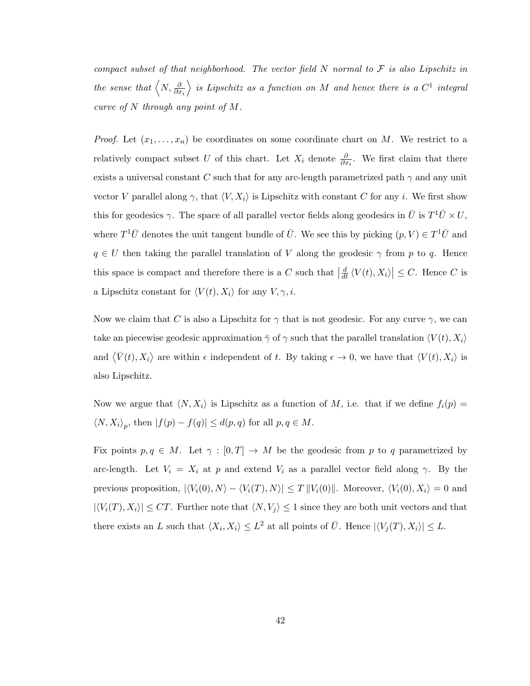compact subset of that neighborhood. The vector field  $N$  normal to  $\mathcal F$  is also Lipschitz in the sense that  $\left\langle N,\frac{\partial}{\partial x_{i}}\right\rangle$ is Lipschitz as a function on M and hence there is a  $C^1$  integral curve of N through any point of M.

*Proof.* Let  $(x_1, \ldots, x_n)$  be coordinates on some coordinate chart on M. We restrict to a relatively compact subset U of this chart. Let  $X_i$  denote  $\frac{\partial}{\partial x_i}$ . We first claim that there exists a universal constant C such that for any arc-length parametrized path  $\gamma$  and any unit vector V parallel along  $\gamma$ , that  $\langle V, X_i \rangle$  is Lipschitz with constant C for any i. We first show this for geodesics  $\gamma$ . The space of all parallel vector fields along geodesics in  $\bar{U}$  is  $T^1\bar{U} \times U$ , where  $T^1\bar{U}$  denotes the unit tangent bundle of  $\bar{U}$ . We see this by picking  $(p, V) \in T^1\bar{U}$  and  $q \in U$  then taking the parallel translation of V along the geodesic  $\gamma$  from p to q. Hence this space is compact and therefore there is a C such that  $\left|\frac{d}{dt}\langle V(t), X_i \rangle\right| \leq C$ . Hence C is a Lipschitz constant for  $\langle V(t), X_i \rangle$  for any  $V, \gamma, i$ .

Now we claim that C is also a Lipschitz for  $\gamma$  that is not geodesic. For any curve  $\gamma$ , we can take an piecewise geodesic approximation  $\bar{\gamma}$  of  $\gamma$  such that the parallel translation  $\langle V(t), X_i \rangle$ and  $\langle \bar{V}(t), X_i \rangle$  are within  $\epsilon$  independent of t. By taking  $\epsilon \to 0$ , we have that  $\langle V(t), X_i \rangle$  is also Lipschitz.

Now we argue that  $\langle N, X_i \rangle$  is Lipschitz as a function of M, i.e. that if we define  $f_i(p) =$  $\langle N, X_i \rangle_p$ , then  $|f(p) - f(q)| \le d(p, q)$  for all  $p, q \in M$ .

Fix points  $p, q \in M$ . Let  $\gamma : [0, T] \to M$  be the geodesic from p to q parametrized by arc-length. Let  $V_i = X_i$  at p and extend  $V_i$  as a parallel vector field along  $\gamma$ . By the previous proposition,  $|\langle V_i(0), N \rangle - \langle V_i(T), N \rangle| \leq T ||V_i(0)||$ . Moreover,  $\langle V_i(0), X_i \rangle = 0$  and  $|\langle V_i(T), X_i \rangle| \leq CT$ . Further note that  $\langle N, V_j \rangle \leq 1$  since they are both unit vectors and that there exists an L such that  $\langle X_i, X_i \rangle \leq L^2$  at all points of  $\overline{U}$ . Hence  $|\langle V_j(T), X_i \rangle| \leq L$ .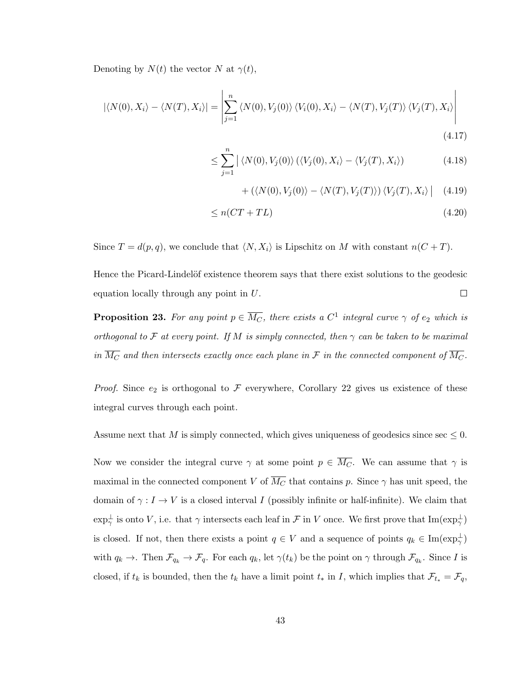Denoting by  $N(t)$  the vector N at  $\gamma(t)$ ,

$$
|\langle N(0), X_i \rangle - \langle N(T), X_i \rangle| = \left| \sum_{j=1}^n \langle N(0), V_j(0) \rangle \langle V_i(0), X_i \rangle - \langle N(T), V_j(T) \rangle \langle V_j(T), X_i \rangle \right|
$$
\n(4.17)

$$
\leq \sum_{j=1}^{n} |\langle N(0), V_j(0) \rangle (\langle V_j(0), X_i \rangle - \langle V_j(T), X_i \rangle) \tag{4.18}
$$

$$
+\left(\langle N(0), V_j(0) \rangle - \langle N(T), V_j(T) \rangle \right) \langle V_j(T), X_i \rangle \Big| \quad (4.19)
$$

$$
\leq n(CT + TL) \tag{4.20}
$$

Since  $T = d(p, q)$ , we conclude that  $\langle N, X_i \rangle$  is Lipschitz on M with constant  $n(C + T)$ .

Hence the Picard-Lindelöf existence theorem says that there exist solutions to the geodesic  $\Box$ equation locally through any point in U.

<span id="page-48-0"></span>**Proposition 23.** For any point  $p \in \overline{M_C}$ , there exists a  $C^1$  integral curve  $\gamma$  of  $e_2$  which is orthogonal to F at every point. If M is simply connected, then  $\gamma$  can be taken to be maximal in  $\overline{M_C}$  and then intersects exactly once each plane in F in the connected component of  $\overline{M_C}$ .

*Proof.* Since  $e_2$  is orthogonal to  $\mathcal F$  everywhere, Corollary [22](#page-46-1) gives us existence of these integral curves through each point.

Assume next that M is simply connected, which gives uniqueness of geodesics since sec  $\leq 0$ .

Now we consider the integral curve  $\gamma$  at some point  $p \in \overline{M_C}$ . We can assume that  $\gamma$  is maximal in the connected component V of  $\overline{M_C}$  that contains p. Since  $\gamma$  has unit speed, the domain of  $\gamma: I \to V$  is a closed interval I (possibly infinite or half-infinite). We claim that  $\exp_{\gamma}^{\perp}$  is onto V, i.e. that  $\gamma$  intersects each leaf in F in V once. We first prove that  $\text{Im}(\exp_{\gamma}^{\perp})$ is closed. If not, then there exists a point  $q \in V$  and a sequence of points  $q_k \in \text{Im}(\exp_{\gamma}^{\perp})$ with  $q_k \to \ldots$  Then  $\mathcal{F}_{q_k} \to \mathcal{F}_q$ . For each  $q_k$ , let  $\gamma(t_k)$  be the point on  $\gamma$  through  $\mathcal{F}_{q_k}$ . Since I is closed, if  $t_k$  is bounded, then the  $t_k$  have a limit point  $t_*$  in I, which implies that  $\mathcal{F}_{t_*} = \mathcal{F}_q$ ,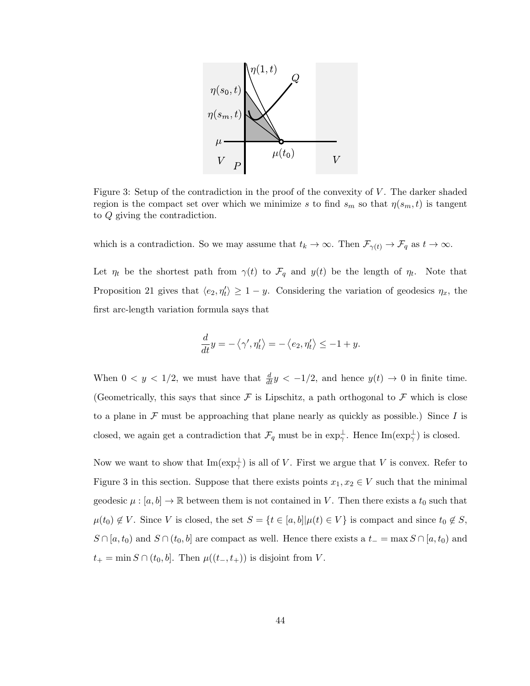

<span id="page-49-0"></span>Figure 3: Setup of the contradiction in the proof of the convexity of V. The darker shaded region is the compact set over which we minimize s to find  $s_m$  so that  $\eta(s_m, t)$  is tangent to Q giving the contradiction.

which is a contradiction. So we may assume that  $t_k \to \infty$ . Then  $\mathcal{F}_{\gamma(t)} \to \mathcal{F}_q$  as  $t \to \infty$ .

Let  $\eta_t$  be the shortest path from  $\gamma(t)$  to  $\mathcal{F}_q$  and  $y(t)$  be the length of  $\eta_t$ . Note that Proposition [21](#page-43-0) gives that  $\langle e_2, \eta'_t \rangle \geq 1 - y$ . Considering the variation of geodesics  $\eta_x$ , the first arc-length variation formula says that

$$
\frac{d}{dt}y = -\langle \gamma', \eta'_t \rangle = -\langle e_2, \eta'_t \rangle \le -1 + y.
$$

When  $0 < y < 1/2$ , we must have that  $\frac{d}{dt}y < -1/2$ , and hence  $y(t) \to 0$  in finite time. (Geometrically, this says that since  $\mathcal F$  is Lipschitz, a path orthogonal to  $\mathcal F$  which is close to a plane in  $\mathcal F$  must be approaching that plane nearly as quickly as possible.) Since I is closed, we again get a contradiction that  $\mathcal{F}_q$  must be in  $\exp_{\gamma}^{\perp}$ . Hence  $\text{Im}(\exp_{\gamma}^{\perp})$  is closed.

Now we want to show that  $\text{Im}(\exp_{\gamma}^{\perp})$  is all of V. First we argue that V is convex. Refer to Figure [3](#page-49-0) in this section. Suppose that there exists points  $x_1, x_2 \in V$  such that the minimal geodesic  $\mu : [a, b] \to \mathbb{R}$  between them is not contained in V. Then there exists a  $t_0$  such that  $\mu(t_0) \notin V$ . Since V is closed, the set  $S = \{t \in [a, b] | \mu(t) \in V\}$  is compact and since  $t_0 \notin S$ ,  $S \cap [a, t_0]$  and  $S \cap (t_0, b]$  are compact as well. Hence there exists a  $t_ - = \max S \cap [a, t_0]$  and  $t_{+} = \min S \cap (t_{0}, b]$ . Then  $\mu((t_{-}, t_{+}))$  is disjoint from V.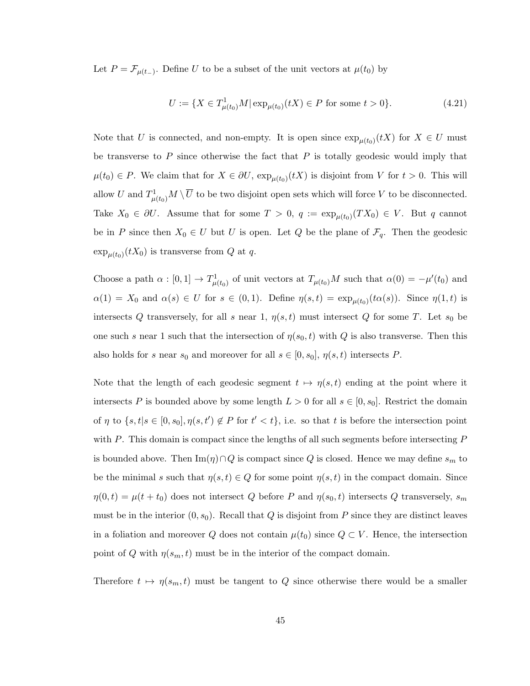Let  $P = \mathcal{F}_{\mu(t-)}$ . Define U to be a subset of the unit vectors at  $\mu(t_0)$  by

$$
U := \{ X \in T^1_{\mu(t_0)}M | \exp_{\mu(t_0)}(tX) \in P \text{ for some } t > 0 \}.
$$
 (4.21)

Note that U is connected, and non-empty. It is open since  $\exp_{\mu(t_0)}(tX)$  for  $X \in U$  must be transverse to P since otherwise the fact that  $P$  is totally geodesic would imply that  $\mu(t_0) \in P$ . We claim that for  $X \in \partial U$ ,  $\exp_{\mu(t_0)}(tX)$  is disjoint from V for  $t > 0$ . This will allow U and  $T^1_{\mu(t_0)}M\setminus\overline U$  to be two disjoint open sets which will force V to be disconnected. Take  $X_0 \in \partial U$ . Assume that for some  $T > 0$ ,  $q := \exp_{\mu(t_0)}(TX_0) \in V$ . But q cannot be in P since then  $X_0 \in U$  but U is open. Let Q be the plane of  $\mathcal{F}_q$ . Then the geodesic  $\exp_{\mu(t_0)}(tX_0)$  is transverse from Q at q.

Choose a path  $\alpha : [0,1] \to T^1_{\mu(t_0)}$  of unit vectors at  $T_{\mu(t_0)}M$  such that  $\alpha(0) = -\mu'(t_0)$  and  $\alpha(1) = X_0$  and  $\alpha(s) \in U$  for  $s \in (0,1)$ . Define  $\eta(s,t) = \exp_{\mu(t_0)}(t\alpha(s))$ . Since  $\eta(1,t)$  is intersects Q transversely, for all s near 1,  $\eta(s,t)$  must intersect Q for some T. Let  $s_0$  be one such s near 1 such that the intersection of  $\eta(s_0, t)$  with Q is also transverse. Then this also holds for s near  $s_0$  and moreover for all  $s \in [0, s_0]$ ,  $\eta(s, t)$  intersects P.

Note that the length of each geodesic segment  $t \mapsto \eta(s, t)$  ending at the point where it intersects P is bounded above by some length  $L > 0$  for all  $s \in [0, s_0]$ . Restrict the domain of  $\eta$  to  $\{s,t|s\in[0,s_0],\eta(s,t')\notin P$  for  $t'< t\}$ , i.e. so that t is before the intersection point with  $P$ . This domain is compact since the lengths of all such segments before intersecting  $P$ is bounded above. Then  $\text{Im}(\eta) \cap Q$  is compact since Q is closed. Hence we may define  $s_m$  to be the minimal s such that  $\eta(s,t) \in Q$  for some point  $\eta(s,t)$  in the compact domain. Since  $\eta(0,t) = \mu(t+t_0)$  does not intersect Q before P and  $\eta(s_0,t)$  intersects Q transversely,  $s_m$ must be in the interior  $(0, s_0)$ . Recall that Q is disjoint from P since they are distinct leaves in a foliation and moreover Q does not contain  $\mu(t_0)$  since  $Q \subset V$ . Hence, the intersection point of Q with  $\eta(s_m, t)$  must be in the interior of the compact domain.

Therefore  $t \mapsto \eta(s_m, t)$  must be tangent to Q since otherwise there would be a smaller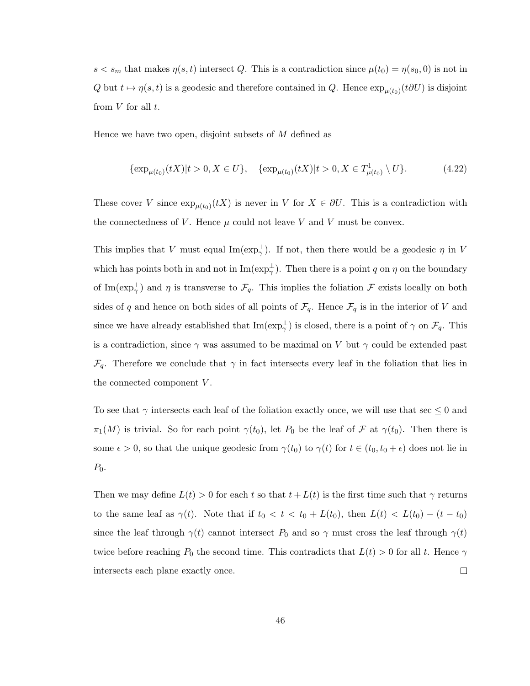$s < s_m$  that makes  $\eta(s,t)$  intersect Q. This is a contradiction since  $\mu(t_0) = \eta(s_0,0)$  is not in Q but  $t \mapsto \eta(s, t)$  is a geodesic and therefore contained in Q. Hence  $\exp_{\mu(t_0)}(t \partial U)$  is disjoint from  $V$  for all  $t$ .

Hence we have two open, disjoint subsets of M defined as

$$
\{\exp_{\mu(t_0)}(tX)|t>0, X\in U\}, \quad \{\exp_{\mu(t_0)}(tX)|t>0, X\in T^1_{\mu(t_0)}\setminus \overline{U}\}. \tag{4.22}
$$

These cover V since  $\exp_{\mu(t_0)}(tX)$  is never in V for  $X \in \partial U$ . This is a contradiction with the connectedness of V. Hence  $\mu$  could not leave V and V must be convex.

This implies that V must equal  $\text{Im}(\exp_{\gamma}^{\perp})$ . If not, then there would be a geodesic  $\eta$  in V which has points both in and not in  $\text{Im}(\exp_{\gamma}^{\perp})$ . Then there is a point q on  $\eta$  on the boundary of Im( $\exp_{\gamma}^{\perp}$ ) and  $\eta$  is transverse to  $\mathcal{F}_q$ . This implies the foliation  $\mathcal F$  exists locally on both sides of q and hence on both sides of all points of  $\mathcal{F}_q$ . Hence  $\mathcal{F}_q$  is in the interior of V and since we have already established that  $\text{Im}(\exp_{\gamma}^{\perp})$  is closed, there is a point of  $\gamma$  on  $\mathcal{F}_q$ . This is a contradiction, since  $\gamma$  was assumed to be maximal on V but  $\gamma$  could be extended past  $\mathcal{F}_q$ . Therefore we conclude that  $\gamma$  in fact intersects every leaf in the foliation that lies in the connected component V.

To see that  $\gamma$  intersects each leaf of the foliation exactly once, we will use that sec  $\leq 0$  and  $\pi_1(M)$  is trivial. So for each point  $\gamma(t_0)$ , let  $P_0$  be the leaf of  $\mathcal F$  at  $\gamma(t_0)$ . Then there is some  $\epsilon > 0$ , so that the unique geodesic from  $\gamma(t_0)$  to  $\gamma(t)$  for  $t \in (t_0, t_0 + \epsilon)$  does not lie in  $P_0$ .

Then we may define  $L(t) > 0$  for each t so that  $t + L(t)$  is the first time such that  $\gamma$  returns to the same leaf as  $\gamma(t)$ . Note that if  $t_0 < t < t_0 + L(t_0)$ , then  $L(t) < L(t_0) - (t - t_0)$ since the leaf through  $\gamma(t)$  cannot intersect  $P_0$  and so  $\gamma$  must cross the leaf through  $\gamma(t)$ twice before reaching  $P_0$  the second time. This contradicts that  $L(t) > 0$  for all t. Hence  $\gamma$ intersects each plane exactly once.  $\Box$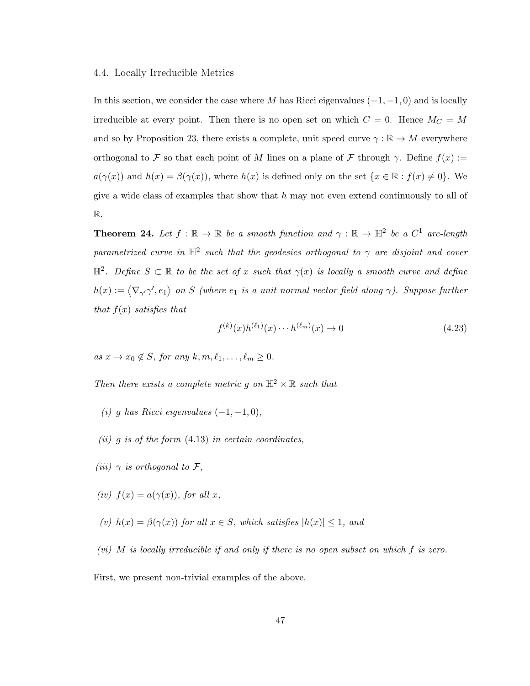#### 4.4. Locally Irreducible Metrics

In this section, we consider the case where M has Ricci eigenvalues  $(-1, -1, 0)$  and is locally irreducible at every point. Then there is no open set on which  $C = 0$ . Hence  $\overline{M_C} = M$ and so by Proposition [23,](#page-48-0) there exists a complete, unit speed curve  $\gamma : \mathbb{R} \to M$  everywhere orthogonal to F so that each point of M lines on a plane of F through  $\gamma$ . Define  $f(x) :=$  $a(\gamma(x))$  and  $h(x) = \beta(\gamma(x))$ , where  $h(x)$  is defined only on the set  $\{x \in \mathbb{R} : f(x) \neq 0\}$ . We give a wide class of examples that show that  $h$  may not even extend continuously to all of R.

<span id="page-52-0"></span>**Theorem 24.** Let  $f : \mathbb{R} \to \mathbb{R}$  be a smooth function and  $\gamma : \mathbb{R} \to \mathbb{H}^2$  be a  $C^1$  arc-length parametrized curve in  $\mathbb{H}^2$  such that the geodesics orthogonal to  $\gamma$  are disjoint and cover  $\mathbb{H}^2$ . Define  $S \subset \mathbb{R}$  to be the set of x such that  $\gamma(x)$  is locally a smooth curve and define  $h(x) := \langle \nabla_{\gamma'} \gamma', e_1 \rangle$  on S (where  $e_1$  is a unit normal vector field along  $\gamma$ ). Suppose further that  $f(x)$  satisfies that

$$
f^{(k)}(x)h^{(\ell_1)}(x)\cdots h^{(\ell_m)}(x) \to 0 \tag{4.23}
$$

as  $x \to x_0 \notin S$ , for any  $k, m, \ell_1, \ldots, \ell_m \ge 0$ .

Then there exists a complete metric q on  $\mathbb{H}^2 \times \mathbb{R}$  such that

- (i) g has Ricci eigenvalues  $(-1, -1, 0)$ ,
- $(ii)$  g is of the form  $(4.13)$  in certain coordinates,
- (iii)  $\gamma$  is orthogonal to F,
- (iv)  $f(x) = a(\gamma(x))$ , for all x,
- (v)  $h(x) = \beta(\gamma(x))$  for all  $x \in S$ , which satisfies  $|h(x)| \leq 1$ , and

(vi) M is locally irreducible if and only if there is no open subset on which f is zero.

First, we present non-trivial examples of the above.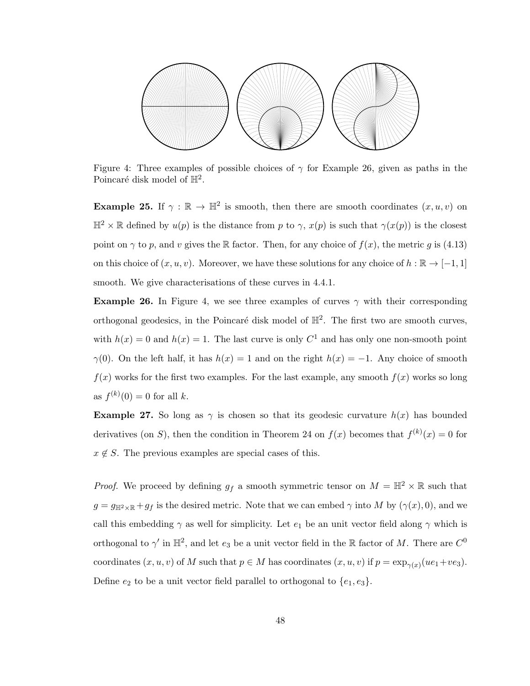

<span id="page-53-1"></span>Figure 4: Three examples of possible choices of  $\gamma$  for Example [26,](#page-53-0) given as paths in the Poincaré disk model of  $\mathbb{H}^2$ .

**Example 25.** If  $\gamma : \mathbb{R} \to \mathbb{H}^2$  is smooth, then there are smooth coordinates  $(x, u, v)$  on  $\mathbb{H}^2 \times \mathbb{R}$  defined by  $u(p)$  is the distance from p to  $\gamma$ ,  $x(p)$  is such that  $\gamma(x(p))$  is the closest point on  $\gamma$  to p, and v gives the R factor. Then, for any choice of  $f(x)$ , the metric g is [\(4.13\)](#page-40-0) on this choice of  $(x, u, v)$ . Moreover, we have these solutions for any choice of  $h : \mathbb{R} \to [-1, 1]$ smooth. We give characterisations of these curves in [4.4.1.](#page-58-0)

<span id="page-53-0"></span>**Example 26.** In Figure [4,](#page-53-1) we see three examples of curves  $\gamma$  with their corresponding orthogonal geodesics, in the Poincaré disk model of  $\mathbb{H}^2$ . The first two are smooth curves, with  $h(x) = 0$  and  $h(x) = 1$ . The last curve is only  $C<sup>1</sup>$  and has only one non-smooth point  $\gamma(0)$ . On the left half, it has  $h(x) = 1$  and on the right  $h(x) = -1$ . Any choice of smooth  $f(x)$  works for the first two examples. For the last example, any smooth  $f(x)$  works so long as  $f^{(k)}(0) = 0$  for all k.

**Example 27.** So long as  $\gamma$  is chosen so that its geodesic curvature  $h(x)$  has bounded derivatives (on S), then the condition in Theorem [24](#page-52-0) on  $f(x)$  becomes that  $f^{(k)}(x) = 0$  for  $x \notin S$ . The previous examples are special cases of this.

*Proof.* We proceed by defining  $g_f$  a smooth symmetric tensor on  $M = \mathbb{H}^2 \times \mathbb{R}$  such that  $g = g_{\mathbb{H}^2 \times \mathbb{R}} + gf$  is the desired metric. Note that we can embed  $\gamma$  into M by  $(\gamma(x), 0)$ , and we call this embedding  $\gamma$  as well for simplicity. Let  $e_1$  be an unit vector field along  $\gamma$  which is orthogonal to  $\gamma'$  in  $\mathbb{H}^2$ , and let  $e_3$  be a unit vector field in the R factor of M. There are  $C^0$ coordinates  $(x, u, v)$  of M such that  $p \in M$  has coordinates  $(x, u, v)$  if  $p = \exp_{\gamma(x)}(u e_1 + v e_3)$ . Define  $e_2$  to be a unit vector field parallel to orthogonal to  $\{e_1, e_3\}$ .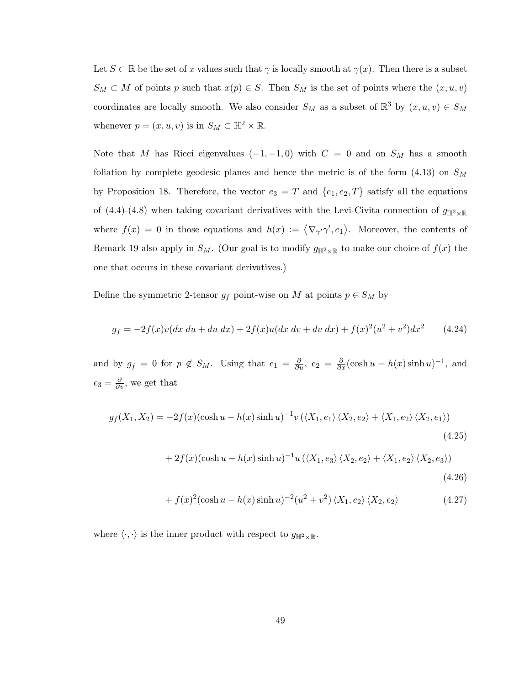Let  $S \subset \mathbb{R}$  be the set of x values such that  $\gamma$  is locally smooth at  $\gamma(x)$ . Then there is a subset  $S_M \subset M$  of points p such that  $x(p) \in S$ . Then  $S_M$  is the set of points where the  $(x, u, v)$ coordinates are locally smooth. We also consider  $S_M$  as a subset of  $\mathbb{R}^3$  by  $(x, u, v) \in S_M$ whenever  $p = (x, u, v)$  is in  $S_M \subset \mathbb{H}^2 \times \mathbb{R}$ .

Note that M has Ricci eigenvalues  $(-1, -1, 0)$  with  $C = 0$  and on  $S_M$  has a smooth foliation by complete geodesic planes and hence the metric is of the form  $(4.13)$  on  $S_M$ by Proposition [18.](#page-39-0) Therefore, the vector  $e_3 = T$  and  $\{e_1, e_2, T\}$  satisfy all the equations of [\(4.4\)](#page-35-1)-[\(4.8\)](#page-35-2) when taking covariant derivatives with the Levi-Civita connection of  $g_{\mathbb{H}^2 \times \mathbb{R}}$ where  $f(x) = 0$  in those equations and  $h(x) := \langle \nabla_{\gamma'} \gamma', e_1 \rangle$ . Moreover, the contents of Remark [19](#page-41-0) also apply in  $S_M$ . (Our goal is to modify  $g_{\mathbb{H}^2\times\mathbb{R}}$  to make our choice of  $f(x)$  the one that occurs in these covariant derivatives.)

Define the symmetric 2-tensor  $g_f$  point-wise on M at points  $p \in S_M$  by

$$
g_f = -2f(x)v(dx du + du dx) + 2f(x)u(dx dv + dv dx) + f(x)^2(u^2 + v^2)dx^2
$$
 (4.24)

and by  $g_f = 0$  for  $p \notin S_M$ . Using that  $e_1 = \frac{\partial}{\partial u}$ ,  $e_2 = \frac{\partial}{\partial x}(\cosh u - h(x) \sinh u)^{-1}$ , and  $e_3 = \frac{\partial}{\partial v}$ , we get that

$$
g_f(X_1, X_2) = -2f(x)(\cosh u - h(x)\sinh u)^{-1}v(\langle X_1, e_1 \rangle \langle X_2, e_2 \rangle + \langle X_1, e_2 \rangle \langle X_2, e_1 \rangle)
$$
\n(4.25)

<span id="page-54-0"></span>
$$
+ 2f(x)(\cosh u - h(x)\sinh u)^{-1}u(\langle X_1, e_3 \rangle \langle X_2, e_2 \rangle + \langle X_1, e_2 \rangle \langle X_2, e_3 \rangle)
$$
\n(4.26)

$$
+ f(x)^{2}(\cosh u - h(x) \sinh u)^{-2}(u^{2} + v^{2}) \langle X_{1}, e_{2} \rangle \langle X_{2}, e_{2} \rangle \tag{4.27}
$$

where  $\langle \cdot, \cdot \rangle$  is the inner product with respect to  $g_{\mathbb{H}^2 \times \mathbb{R}}$ .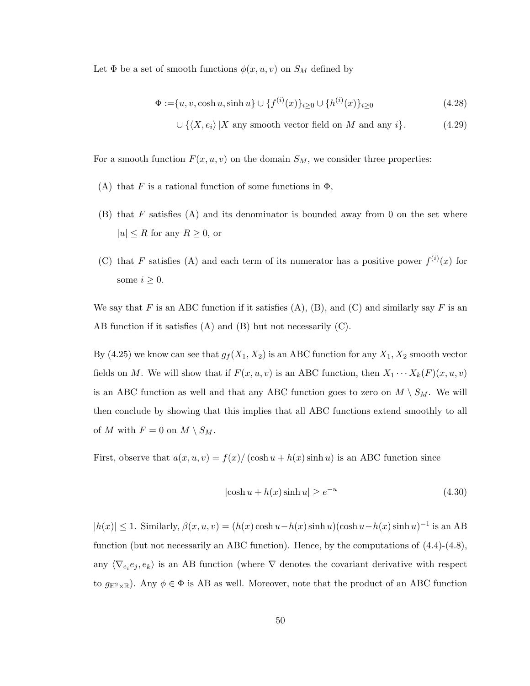Let  $\Phi$  be a set of smooth functions  $\phi(x, u, v)$  on  $S_M$  defined by

$$
\Phi := \{u, v, \cosh u, \sinh u\} \cup \{f^{(i)}(x)\}_{i \ge 0} \cup \{h^{(i)}(x)\}_{i \ge 0}
$$
\n(4.28)

$$
\cup \{ \langle X, e_i \rangle | X \text{ any smooth vector field on } M \text{ and any } i \}. \tag{4.29}
$$

For a smooth function  $F(x, u, v)$  on the domain  $S_M$ , we consider three properties:

- (A) that F is a rational function of some functions in  $\Phi$ ,
- $(B)$  that F satisfies  $(A)$  and its denominator is bounded away from 0 on the set where  $|u| \leq R$  for any  $R \geq 0$ , or
- (C) that F satisfies (A) and each term of its numerator has a positive power  $f^{(i)}(x)$  for some  $i \geq 0$ .

We say that F is an ABC function if it satisfies  $(A)$ ,  $(B)$ , and  $(C)$  and similarly say F is an AB function if it satisfies (A) and (B) but not necessarily (C).

By [\(4.25\)](#page-54-0) we know can see that  $g_f(X_1, X_2)$  is an ABC function for any  $X_1, X_2$  smooth vector fields on M. We will show that if  $F(x, u, v)$  is an ABC function, then  $X_1 \cdots X_k(F)(x, u, v)$ is an ABC function as well and that any ABC function goes to zero on  $M \setminus S_M$ . We will then conclude by showing that this implies that all ABC functions extend smoothly to all of M with  $F = 0$  on  $M \setminus S_M$ .

First, observe that  $a(x, u, v) = f(x) / (\cosh u + h(x) \sinh u)$  is an ABC function since

$$
|\cosh u + h(x)\sinh u| \ge e^{-u} \tag{4.30}
$$

 $|h(x)| \leq 1$ . Similarly,  $\beta(x, u, v) = (h(x) \cosh u - h(x) \sinh u)(\cosh u - h(x) \sinh u)^{-1}$  is an AB function (but not necessarily an ABC function). Hence, by the computations of [\(4.4\)](#page-35-1)-[\(4.8\)](#page-35-2), any  $\langle \nabla_{e_i} e_j, e_k \rangle$  is an AB function (where  $\nabla$  denotes the covariant derivative with respect to  $g_{\mathbb{H}^2\times\mathbb{R}}$ ). Any  $\phi \in \Phi$  is AB as well. Moreover, note that the product of an ABC function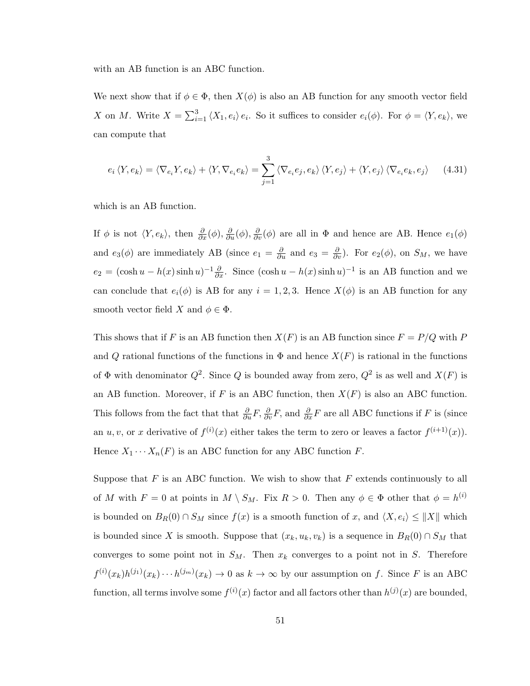with an AB function is an ABC function.

We next show that if  $\phi \in \Phi$ , then  $X(\phi)$  is also an AB function for any smooth vector field X on M. Write  $X = \sum_{i=1}^{3} \langle X_1, e_i \rangle e_i$ . So it suffices to consider  $e_i(\phi)$ . For  $\phi = \langle Y, e_k \rangle$ , we can compute that

$$
e_i \langle Y, e_k \rangle = \langle \nabla_{e_i} Y, e_k \rangle + \langle Y, \nabla_{e_i} e_k \rangle = \sum_{j=1}^3 \langle \nabla_{e_i} e_j, e_k \rangle \langle Y, e_j \rangle + \langle Y, e_j \rangle \langle \nabla_{e_i} e_k, e_j \rangle \tag{4.31}
$$

which is an AB function.

If  $\phi$  is not  $\langle Y, e_k \rangle$ , then  $\frac{\partial}{\partial x}(\phi), \frac{\partial}{\partial y}(\phi), \frac{\partial}{\partial y}(\phi)$  are all in  $\Phi$  and hence are AB. Hence  $e_1(\phi)$ and  $e_3(\phi)$  are immediately AB (since  $e_1 = \frac{\partial}{\partial u}$  and  $e_3 = \frac{\partial}{\partial v}$ ). For  $e_2(\phi)$ , on  $S_M$ , we have  $e_2 = (\cosh u - h(x) \sinh u)^{-1} \frac{\partial}{\partial x}$ . Since  $(\cosh u - h(x) \sinh u)^{-1}$  is an AB function and we can conclude that  $e_i(\phi)$  is AB for any  $i = 1, 2, 3$ . Hence  $X(\phi)$  is an AB function for any smooth vector field X and  $\phi \in \Phi$ .

This shows that if F is an AB function then  $X(F)$  is an AB function since  $F = P/Q$  with P and Q rational functions of the functions in  $\Phi$  and hence  $X(F)$  is rational in the functions of  $\Phi$  with denominator  $Q^2$ . Since Q is bounded away from zero,  $Q^2$  is as well and  $X(F)$  is an AB function. Moreover, if F is an ABC function, then  $X(F)$  is also an ABC function. This follows from the fact that that  $\frac{\partial}{\partial u}F$ ,  $\frac{\partial}{\partial v}F$ , and  $\frac{\partial}{\partial x}F$  are all ABC functions if F is (since an  $u, v$ , or x derivative of  $f^{(i)}(x)$  either takes the term to zero or leaves a factor  $f^{(i+1)}(x)$ . Hence  $X_1 \cdots X_n(F)$  is an ABC function for any ABC function F.

Suppose that  $F$  is an ABC function. We wish to show that  $F$  extends continuously to all of M with  $F = 0$  at points in  $M \setminus S_M$ . Fix  $R > 0$ . Then any  $\phi \in \Phi$  other that  $\phi = h^{(i)}$ is bounded on  $B_R(0) \cap S_M$  since  $f(x)$  is a smooth function of x, and  $\langle X, e_i \rangle \le ||X||$  which is bounded since X is smooth. Suppose that  $(x_k, u_k, v_k)$  is a sequence in  $B_R(0) \cap S_M$  that converges to some point not in  $S_M$ . Then  $x_k$  converges to a point not in S. Therefore  $f^{(i)}(x_k)h^{(j_1)}(x_k)\cdots h^{(j_m)}(x_k) \to 0$  as  $k\to\infty$  by our assumption on f. Since F is an ABC function, all terms involve some  $f^{(i)}(x)$  factor and all factors other than  $h^{(j)}(x)$  are bounded,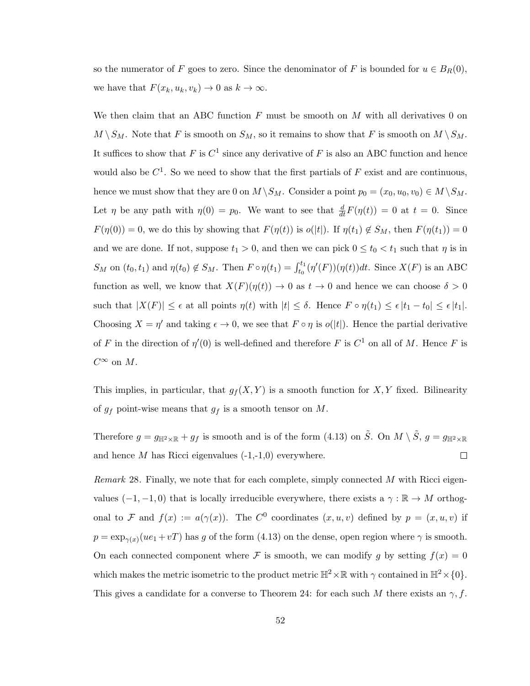so the numerator of F goes to zero. Since the denominator of F is bounded for  $u \in B_R(0)$ , we have that  $F(x_k, u_k, v_k) \to 0$  as  $k \to \infty$ .

We then claim that an ABC function  $F$  must be smooth on  $M$  with all derivatives 0 on  $M \setminus S_M$ . Note that F is smooth on  $S_M$ , so it remains to show that F is smooth on  $M \setminus S_M$ . It suffices to show that F is  $C^1$  since any derivative of F is also an ABC function and hence would also be  $C^1$ . So we need to show that the first partials of F exist and are continuous, hence we must show that they are 0 on  $M \backslash S_M$ . Consider a point  $p_0 = (x_0, u_0, v_0) \in M \backslash S_M$ . Let  $\eta$  be any path with  $\eta(0) = p_0$ . We want to see that  $\frac{d}{dt}F(\eta(t)) = 0$  at  $t = 0$ . Since  $F(\eta(0)) = 0$ , we do this by showing that  $F(\eta(t))$  is  $o(|t|)$ . If  $\eta(t_1) \notin S_M$ , then  $F(\eta(t_1)) = 0$ and we are done. If not, suppose  $t_1 > 0$ , and then we can pick  $0 \le t_0 < t_1$  such that  $\eta$  is in  $S_M$  on  $(t_0, t_1)$  and  $\eta(t_0) \notin S_M$ . Then  $F \circ \eta(t_1) = \int_{t_0}^{t_1} (\eta'(F))(\eta(t))dt$ . Since  $X(F)$  is an ABC function as well, we know that  $X(F)(\eta(t)) \to 0$  as  $t \to 0$  and hence we can choose  $\delta > 0$ such that  $|X(F)| \leq \epsilon$  at all points  $\eta(t)$  with  $|t| \leq \delta$ . Hence  $F \circ \eta(t_1) \leq \epsilon |t_1 - t_0| \leq \epsilon |t_1|$ . Choosing  $X = \eta'$  and taking  $\epsilon \to 0$ , we see that  $F \circ \eta$  is  $o(|t|)$ . Hence the partial derivative of F in the direction of  $\eta'(0)$  is well-defined and therefore F is  $C^1$  on all of M. Hence F is  $C^{\infty}$  on M.

This implies, in particular, that  $g_f(X, Y)$  is a smooth function for X, Y fixed. Bilinearity of  $g_f$  point-wise means that  $g_f$  is a smooth tensor on M.

Therefore  $g = g_{\mathbb{H}^2 \times \mathbb{R}} + g_f$  is smooth and is of the form [\(4.13\)](#page-40-0) on  $\tilde{S}$ . On  $M \setminus \tilde{S}$ ,  $g = g_{\mathbb{H}^2 \times \mathbb{R}}$  $\Box$ and hence  $M$  has Ricci eigenvalues  $(-1,-1,0)$  everywhere.

Remark 28. Finally, we note that for each complete, simply connected M with Ricci eigenvalues  $(-1, -1, 0)$  that is locally irreducible everywhere, there exists a  $\gamma : \mathbb{R} \to M$  orthogonal to F and  $f(x) := a(\gamma(x))$ . The C<sup>0</sup> coordinates  $(x, u, v)$  defined by  $p = (x, u, v)$  if  $p = \exp_{\gamma(x)}(ue_1 + vT)$  has g of the form [\(4.13\)](#page-40-0) on the dense, open region where  $\gamma$  is smooth. On each connected component where F is smooth, we can modify g by setting  $f(x) = 0$ which makes the metric isometric to the product metric  $\mathbb{H}^2 \times \mathbb{R}$  with  $\gamma$  contained in  $\mathbb{H}^2 \times \{0\}$ . This gives a candidate for a converse to Theorem [24:](#page-52-0) for each such M there exists an  $\gamma$ , f.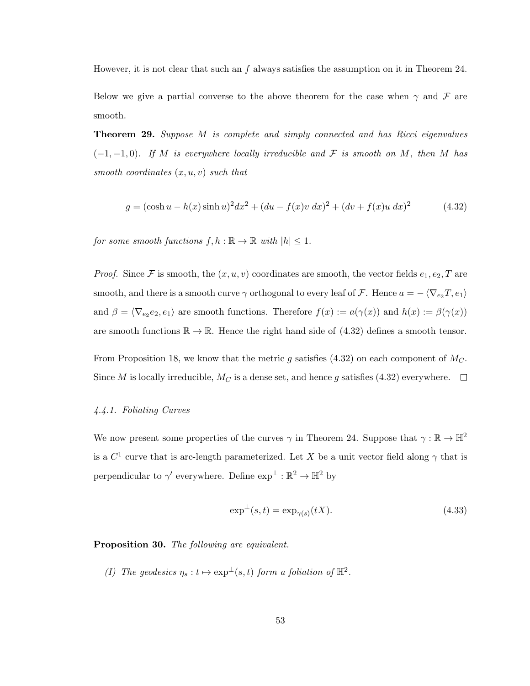However, it is not clear that such an f always satisfies the assumption on it in Theorem [24.](#page-52-0) Below we give a partial converse to the above theorem for the case when  $\gamma$  and  $\mathcal F$  are smooth.

Theorem 29. Suppose M is complete and simply connected and has Ricci eigenvalues  $(-1, -1, 0)$ . If M is everywhere locally irreducible and F is smooth on M, then M has smooth coordinates  $(x, u, v)$  such that

<span id="page-58-1"></span>
$$
g = (\cosh u - h(x)\sinh u)^2 dx^2 + (du - f(x)v\ dx)^2 + (dv + f(x)u\ dx)^2
$$
 (4.32)

for some smooth functions  $f, h : \mathbb{R} \to \mathbb{R}$  with  $|h| \leq 1$ .

*Proof.* Since F is smooth, the  $(x, u, v)$  coordinates are smooth, the vector fields  $e_1, e_2, T$  are smooth, and there is a smooth curve  $\gamma$  orthogonal to every leaf of  $\mathcal{F}$ . Hence  $a = -\langle \nabla_{e_2} T, e_1 \rangle$ and  $\beta = \langle \nabla_{e_2} e_2, e_1 \rangle$  are smooth functions. Therefore  $f(x) := a(\gamma(x))$  and  $h(x) := \beta(\gamma(x))$ are smooth functions  $\mathbb{R} \to \mathbb{R}$ . Hence the right hand side of [\(4.32\)](#page-58-1) defines a smooth tensor.

From Proposition [18,](#page-39-0) we know that the metric q satisfies [\(4.32\)](#page-58-1) on each component of  $M_C$ . Since M is locally irreducible,  $M_C$  is a dense set, and hence g satisfies [\(4.32\)](#page-58-1) everywhere.  $\Box$ 

## <span id="page-58-0"></span>4.4.1. Foliating Curves

We now present some properties of the curves  $\gamma$  in Theorem [24.](#page-52-0) Suppose that  $\gamma : \mathbb{R} \to \mathbb{H}^2$ is a  $C^1$  curve that is arc-length parameterized. Let X be a unit vector field along  $\gamma$  that is perpendicular to  $\gamma'$  everywhere. Define  $\exp^{\perp} : \mathbb{R}^2 \to \mathbb{H}^2$  by

$$
\exp^{\perp}(s,t) = \exp_{\gamma(s)}(tX). \tag{4.33}
$$

Proposition 30. The following are equivalent.

(I) The geodesics  $\eta_s : t \mapsto \exp^{\perp}(s, t)$  form a foliation of  $\mathbb{H}^2$ .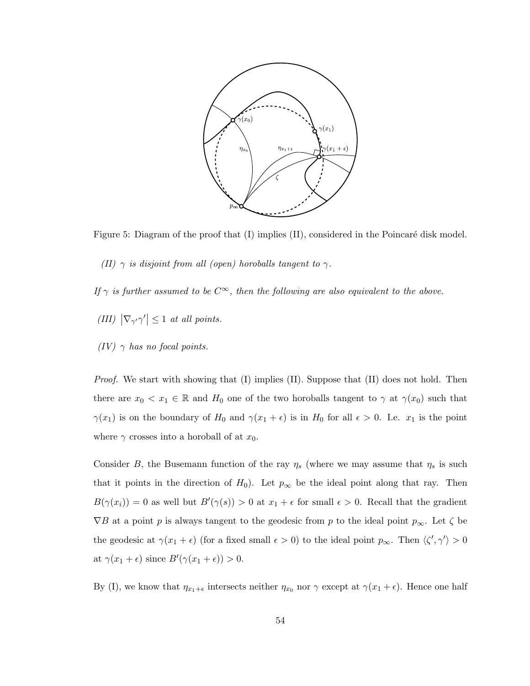

<span id="page-59-0"></span>Figure 5: Diagram of the proof that  $(I)$  implies  $(II)$ , considered in the Poincaré disk model.

(II)  $\gamma$  is disjoint from all (open) horoballs tangent to  $\gamma$ .

If  $\gamma$  is further assumed to be  $C^{\infty}$ , then the following are also equivalent to the above.

- (III)  $|\nabla_{\gamma'}\gamma'| \leq 1$  at all points.
- (IV)  $\gamma$  has no focal points.

*Proof.* We start with showing that  $(I)$  implies  $(II)$ . Suppose that  $(II)$  does not hold. Then there are  $x_0 < x_1 \in \mathbb{R}$  and  $H_0$  one of the two horoballs tangent to  $\gamma$  at  $\gamma(x_0)$  such that  $\gamma(x_1)$  is on the boundary of  $H_0$  and  $\gamma(x_1 + \epsilon)$  is in  $H_0$  for all  $\epsilon > 0$ . I.e.  $x_1$  is the point where  $\gamma$  crosses into a horoball of at  $x_0$ .

Consider B, the Busemann function of the ray  $\eta_s$  (where we may assume that  $\eta_s$  is such that it points in the direction of  $H_0$ ). Let  $p_{\infty}$  be the ideal point along that ray. Then  $B(\gamma(x_i)) = 0$  as well but  $B'(\gamma(s)) > 0$  at  $x_1 + \epsilon$  for small  $\epsilon > 0$ . Recall that the gradient  $\nabla B$  at a point p is always tangent to the geodesic from p to the ideal point  $p_{\infty}$ . Let  $\zeta$  be the geodesic at  $\gamma(x_1 + \epsilon)$  (for a fixed small  $\epsilon > 0$ ) to the ideal point  $p_{\infty}$ . Then  $\langle \zeta', \gamma' \rangle > 0$ at  $\gamma(x_1 + \epsilon)$  since  $B'(\gamma(x_1 + \epsilon)) > 0$ .

By (I), we know that  $\eta_{x_1+\epsilon}$  intersects neither  $\eta_{x_0}$  nor  $\gamma$  except at  $\gamma(x_1+\epsilon)$ . Hence one half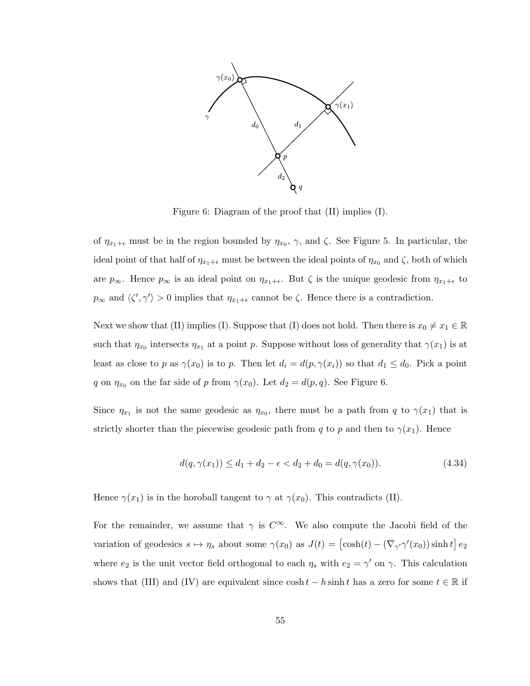

<span id="page-60-0"></span>Figure 6: Diagram of the proof that (II) implies (I).

of  $\eta_{x_1+\epsilon}$  must be in the region bounded by  $\eta_{x_0}$ ,  $\gamma$ , and  $\zeta$ . See Figure [5.](#page-59-0) In particular, the ideal point of that half of  $\eta_{x_1+\epsilon}$  must be between the ideal points of  $\eta_{x_0}$  and  $\zeta$ , both of which are  $p_{\infty}$ . Hence  $p_{\infty}$  is an ideal point on  $\eta_{x_1+\epsilon}$ . But  $\zeta$  is the unique geodesic from  $\eta_{x_1+\epsilon}$  to  $p_{\infty}$  and  $\langle \zeta', \gamma' \rangle > 0$  implies that  $\eta_{x_1+\epsilon}$  cannot be  $\zeta$ . Hence there is a contradiction.

Next we show that (II) implies (I). Suppose that (I) does not hold. Then there is  $x_0 \neq x_1 \in \mathbb{R}$ such that  $\eta_{x_0}$  intersects  $\eta_{x_1}$  at a point p. Suppose without loss of generality that  $\gamma(x_1)$  is at least as close to p as  $\gamma(x_0)$  is to p. Then let  $d_i = d(p, \gamma(x_i))$  so that  $d_1 \leq d_0$ . Pick a point q on  $\eta_{x_0}$  on the far side of p from  $\gamma(x_0)$ . Let  $d_2 = d(p, q)$ . See Figure [6.](#page-60-0)

Since  $\eta_{x_1}$  is not the same geodesic as  $\eta_{x_0}$ , there must be a path from q to  $\gamma(x_1)$  that is strictly shorter than the piecewise geodesic path from q to p and then to  $\gamma(x_1)$ . Hence

$$
d(q, \gamma(x_1)) \le d_1 + d_2 - \epsilon < d_2 + d_0 = d(q, \gamma(x_0)).\tag{4.34}
$$

Hence  $\gamma(x_1)$  is in the horoball tangent to  $\gamma$  at  $\gamma(x_0)$ . This contradicts (II).

For the remainder, we assume that  $\gamma$  is  $C^{\infty}$ . We also compute the Jacobi field of the variation of geodesics  $s \mapsto \eta_s$  about some  $\gamma(x_0)$  as  $J(t) = [\cosh(t) - (\nabla_{\gamma'} \gamma'(x_0)) \sinh t] e_2$ where  $e_2$  is the unit vector field orthogonal to each  $\eta_s$  with  $e_2 = \gamma'$  on  $\gamma$ . This calculation shows that (III) and (IV) are equivalent since  $\cosh t - h \sinh t$  has a zero for some  $t \in \mathbb{R}$  if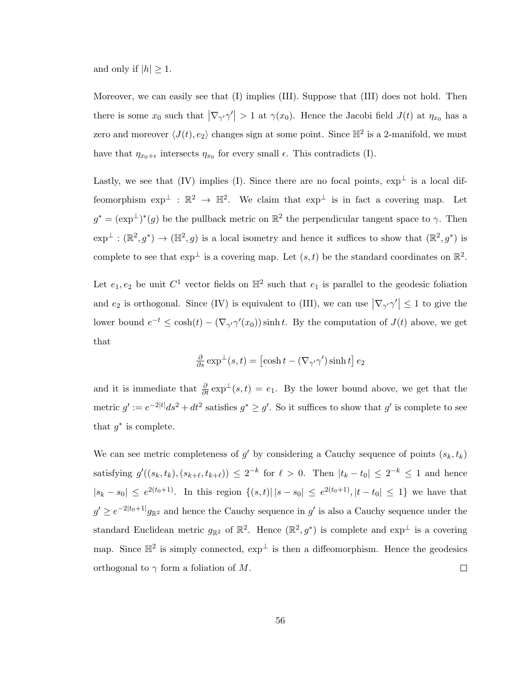and only if  $|h| \geq 1$ .

Moreover, we can easily see that (I) implies (III). Suppose that (III) does not hold. Then there is some  $x_0$  such that  $|\nabla_{\gamma'}\gamma'| > 1$  at  $\gamma(x_0)$ . Hence the Jacobi field  $J(t)$  at  $\eta_{x_0}$  has a zero and moreover  $\langle J(t), e_2 \rangle$  changes sign at some point. Since  $\mathbb{H}^2$  is a 2-manifold, we must have that  $\eta_{x_0+\epsilon}$  intersects  $\eta_{x_0}$  for every small  $\epsilon$ . This contradicts (I).

Lastly, we see that (IV) implies (I). Since there are no focal points,  $\exp^{\perp}$  is a local diffeomorphism  $\exp^{\perp} : \mathbb{R}^2 \to \mathbb{H}^2$ . We claim that  $\exp^{\perp}$  is in fact a covering map. Let  $g^* = (\exp^{\perp})^*(g)$  be the pullback metric on  $\mathbb{R}^2$  the perpendicular tangent space to  $\gamma$ . Then  $\exp^{\perp} : (\mathbb{R}^2, g^*) \to (\mathbb{H}^2, g)$  is a local isometry and hence it suffices to show that  $(\mathbb{R}^2, g^*)$  is complete to see that  $\exp^{\perp}$  is a covering map. Let  $(s, t)$  be the standard coordinates on  $\mathbb{R}^2$ .

Let  $e_1, e_2$  be unit  $C^1$  vector fields on  $\mathbb{H}^2$  such that  $e_1$  is parallel to the geodesic foliation and  $e_2$  is orthogonal. Since (IV) is equivalent to (III), we can use  $|\nabla_{\gamma'}\gamma'| \leq 1$  to give the lower bound  $e^{-t} \leq \cosh(t) - (\nabla_{\gamma'} \gamma'(x_0)) \sinh t$ . By the computation of  $J(t)$  above, we get that

$$
\frac{\partial}{\partial s} \exp^{\perp}(s, t) = \left[\cosh t - (\nabla_{\gamma'} \gamma') \sinh t\right] e_2
$$

and it is immediate that  $\frac{\partial}{\partial t} \exp^{\perp}(s,t) = e_1$ . By the lower bound above, we get that the metric  $g' := e^{-2|t|} ds^2 + dt^2$  satisfies  $g^* \ge g'$ . So it suffices to show that  $g'$  is complete to see that  $g^*$  is complete.

We can see metric completeness of  $g'$  by considering a Cauchy sequence of points  $(s_k, t_k)$ satisfying  $g'((s_k, t_k), (s_{k+\ell}, t_{k+\ell})) \leq 2^{-k}$  for  $\ell > 0$ . Then  $|t_k - t_0| \leq 2^{-k} \leq 1$  and hence  $|s_k - s_0| \leq e^{2(t_0+1)}$ . In this region  $\{(s,t) | |s - s_0| \leq e^{2(t_0+1)}, |t - t_0| \leq 1\}$  we have that  $g' \ge e^{-2|t_0+1|}g_{\mathbb{R}^2}$  and hence the Cauchy sequence in  $g'$  is also a Cauchy sequence under the standard Euclidean metric  $g_{\mathbb{R}^2}$  of  $\mathbb{R}^2$ . Hence  $(\mathbb{R}^2, g^*)$  is complete and  $\exp^{\perp}$  is a covering map. Since  $\mathbb{H}^2$  is simply connected,  $\exp^{\perp}$  is then a diffeomorphism. Hence the geodesics orthogonal to  $\gamma$  form a foliation of M.  $\Box$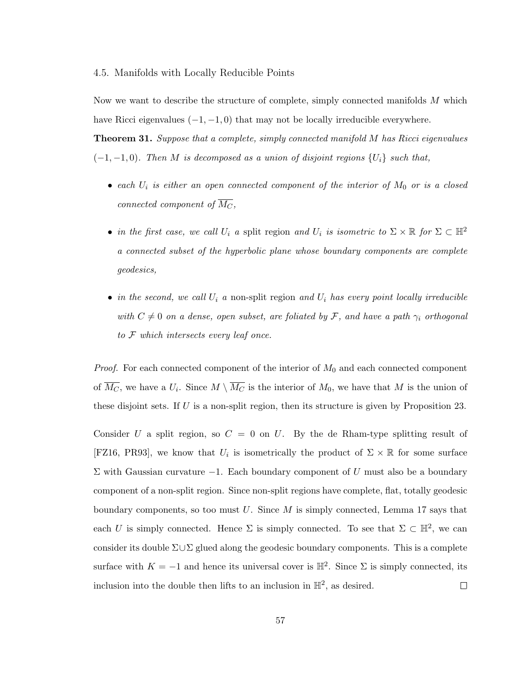#### 4.5. Manifolds with Locally Reducible Points

Now we want to describe the structure of complete, simply connected manifolds M which have Ricci eigenvalues  $(-1, -1, 0)$  that may not be locally irreducible everywhere.

<span id="page-62-0"></span>**Theorem 31.** Suppose that a complete, simply connected manifold M has Ricci eigenvalues  $(-1, -1, 0)$ . Then M is decomposed as a union of disjoint regions  $\{U_i\}$  such that,

- each  $U_i$  is either an open connected component of the interior of  $M_0$  or is a closed connected component of  $\overline{M_C}$ ,
- in the first case, we call  $U_i$  a split region and  $U_i$  is isometric to  $\Sigma \times \mathbb{R}$  for  $\Sigma \subset \mathbb{H}^2$ a connected subset of the hyperbolic plane whose boundary components are complete geodesics,
- in the second, we call  $U_i$  a non-split region and  $U_i$  has every point locally irreducible with  $C \neq 0$  on a dense, open subset, are foliated by F, and have a path  $\gamma_i$  orthogonal to F which intersects every leaf once.

*Proof.* For each connected component of the interior of  $M_0$  and each connected component of  $M_C$ , we have a  $U_i$ . Since  $M \setminus M_C$  is the interior of  $M_0$ , we have that M is the union of these disjoint sets. If U is a non-split region, then its structure is given by Proposition [23.](#page-48-0)

Consider U a split region, so  $C = 0$  on U. By the de Rham-type splitting result of [\[FZ16,](#page-78-2) [PR93\]](#page-79-1), we know that  $U_i$  is isometrically the product of  $\Sigma \times \mathbb{R}$  for some surface  $Σ$  with Gaussian curvature  $-1$ . Each boundary component of U must also be a boundary component of a non-split region. Since non-split regions have complete, flat, totally geodesic boundary components, so too must  $U$ . Since  $M$  is simply connected, Lemma [17](#page-39-1) says that each U is simply connected. Hence  $\Sigma$  is simply connected. To see that  $\Sigma \subset \mathbb{H}^2$ , we can consider its double  $\Sigma \cup \Sigma$  glued along the geodesic boundary components. This is a complete surface with  $K = -1$  and hence its universal cover is  $\mathbb{H}^2$ . Since  $\Sigma$  is simply connected, its inclusion into the double then lifts to an inclusion in  $\mathbb{H}^2$ , as desired.  $\Box$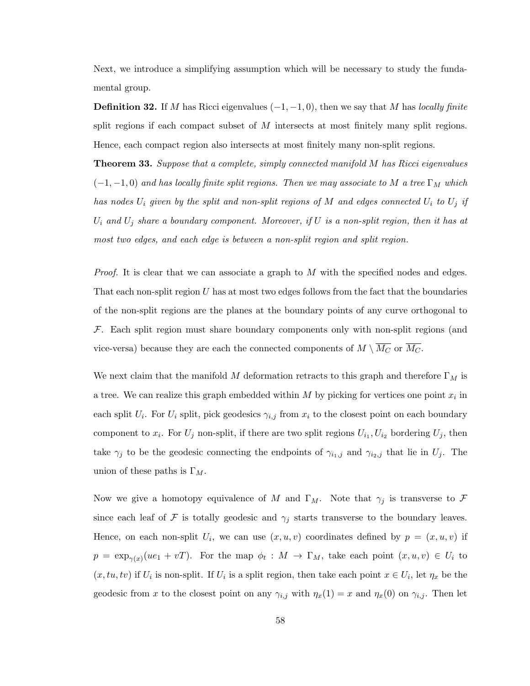Next, we introduce a simplifying assumption which will be necessary to study the fundamental group.

**Definition 32.** If M has Ricci eigenvalues  $(-1, -1, 0)$ , then we say that M has locally finite split regions if each compact subset of  $M$  intersects at most finitely many split regions. Hence, each compact region also intersects at most finitely many non-split regions.

<span id="page-63-0"></span>**Theorem 33.** Suppose that a complete, simply connected manifold M has Ricci eigenvalues  $(-1,-1,0)$  and has locally finite split regions. Then we may associate to M a tree  $\Gamma_M$  which has nodes  $U_i$  given by the split and non-split regions of M and edges connected  $U_i$  to  $U_j$  if  $U_i$  and  $U_j$  share a boundary component. Moreover, if U is a non-split region, then it has at most two edges, and each edge is between a non-split region and split region.

Proof. It is clear that we can associate a graph to M with the specified nodes and edges. That each non-split region  $U$  has at most two edges follows from the fact that the boundaries of the non-split regions are the planes at the boundary points of any curve orthogonal to  $\mathcal F$ . Each split region must share boundary components only with non-split regions (and vice-versa) because they are each the connected components of  $M \setminus \overline{M_C}$  or  $\overline{M_C}$ .

We next claim that the manifold M deformation retracts to this graph and therefore  $\Gamma_M$  is a tree. We can realize this graph embedded within  $M$  by picking for vertices one point  $x_i$  in each split  $U_i$ . For  $U_i$  split, pick geodesics  $\gamma_{i,j}$  from  $x_i$  to the closest point on each boundary component to  $x_i$ . For  $U_j$  non-split, if there are two split regions  $U_{i_1}, U_{i_2}$  bordering  $U_j$ , then take  $\gamma_j$  to be the geodesic connecting the endpoints of  $\gamma_{i,j}$  and  $\gamma_{i2,j}$  that lie in  $U_j$ . The union of these paths is  $\Gamma_M$ .

Now we give a homotopy equivalence of M and  $\Gamma_M$ . Note that  $\gamma_j$  is transverse to F since each leaf of F is totally geodesic and  $\gamma_j$  starts transverse to the boundary leaves. Hence, on each non-split  $U_i$ , we can use  $(x, u, v)$  coordinates defined by  $p = (x, u, v)$  if  $p = \exp_{\gamma(x)}(ue_1 + vT)$ . For the map  $\phi_t : M \to \Gamma_M$ , take each point  $(x, u, v) \in U_i$  to  $(x, tu, tv)$  if  $U_i$  is non-split. If  $U_i$  is a split region, then take each point  $x \in U_i$ , let  $\eta_x$  be the geodesic from x to the closest point on any  $\gamma_{i,j}$  with  $\eta_x(1) = x$  and  $\eta_x(0)$  on  $\gamma_{i,j}$ . Then let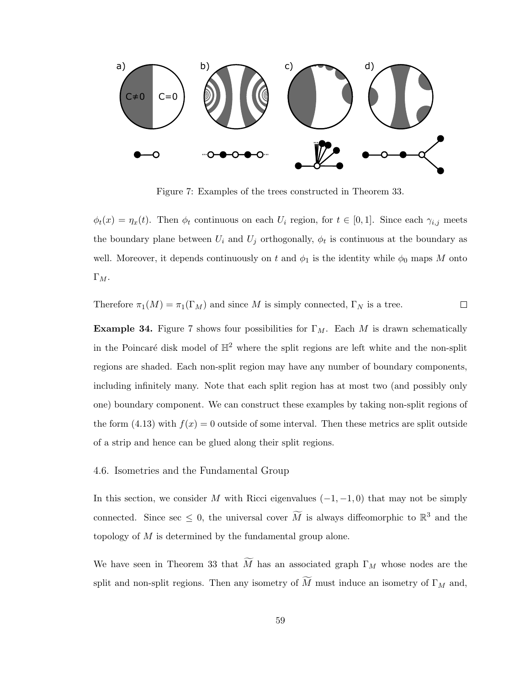

<span id="page-64-0"></span>Figure 7: Examples of the trees constructed in Theorem [33.](#page-63-0)

 $\phi_t(x) = \eta_x(t)$ . Then  $\phi_t$  continuous on each  $U_i$  region, for  $t \in [0,1]$ . Since each  $\gamma_{i,j}$  meets the boundary plane between  $U_i$  and  $U_j$  orthogonally,  $\phi_t$  is continuous at the boundary as well. Moreover, it depends continuously on t and  $\phi_1$  is the identity while  $\phi_0$  maps M onto  $\Gamma_M$ .

Therefore  $\pi_1(M) = \pi_1(\Gamma_M)$  and since M is simply connected,  $\Gamma_N$  is a tree.  $\Box$ 

**Example 34.** Figure [7](#page-64-0) shows four possibilities for  $\Gamma_M$ . Each M is drawn schematically in the Poincaré disk model of  $\mathbb{H}^2$  where the split regions are left white and the non-split regions are shaded. Each non-split region may have any number of boundary components, including infinitely many. Note that each split region has at most two (and possibly only one) boundary component. We can construct these examples by taking non-split regions of the form [\(4.13\)](#page-40-0) with  $f(x) = 0$  outside of some interval. Then these metrics are split outside of a strip and hence can be glued along their split regions.

# 4.6. Isometries and the Fundamental Group

In this section, we consider M with Ricci eigenvalues  $(-1, -1, 0)$  that may not be simply connected. Since sec  $\leq 0$ , the universal cover  $\widetilde{M}$  is always diffeomorphic to  $\mathbb{R}^3$  and the topology of M is determined by the fundamental group alone.

We have seen in Theorem [33](#page-63-0) that  $\widetilde{M}$  has an associated graph  $\Gamma_M$  whose nodes are the split and non-split regions. Then any isometry of  $\widetilde{M}$  must induce an isometry of  $\Gamma_M$  and,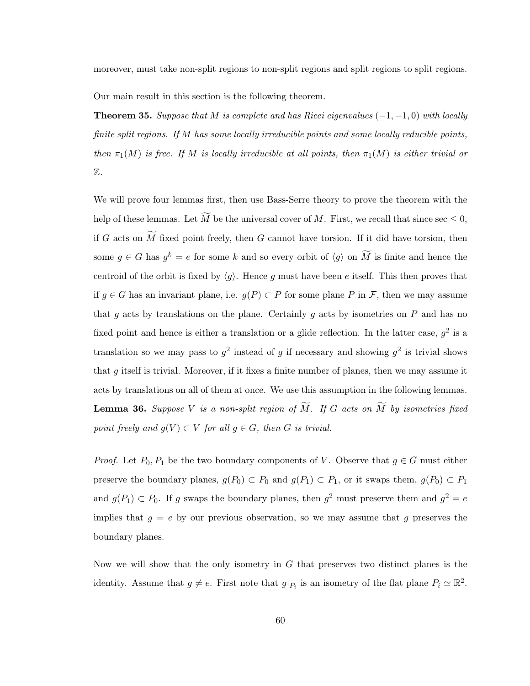moreover, must take non-split regions to non-split regions and split regions to split regions.

Our main result in this section is the following theorem.

**Theorem 35.** Suppose that M is complete and has Ricci eigenvalues  $(-1, -1, 0)$  with locally finite split regions. If M has some locally irreducible points and some locally reducible points, then  $\pi_1(M)$  is free. If M is locally irreducible at all points, then  $\pi_1(M)$  is either trivial or Z.

We will prove four lemmas first, then use Bass-Serre theory to prove the theorem with the help of these lemmas. Let M be the universal cover of M. First, we recall that since sec  $\leq 0$ , if G acts on  $\widetilde{M}$  fixed point freely, then G cannot have torsion. If it did have torsion, then some  $g \in G$  has  $g^k = e$  for some k and so every orbit of  $\langle g \rangle$  on M is finite and hence the centroid of the orbit is fixed by  $\langle q \rangle$ . Hence g must have been e itself. This then proves that if  $g \in G$  has an invariant plane, i.e.  $g(P) \subset P$  for some plane P in F, then we may assume that  $g$  acts by translations on the plane. Certainly  $g$  acts by isometries on  $P$  and has no fixed point and hence is either a translation or a glide reflection. In the latter case,  $g^2$  is a translation so we may pass to  $g^2$  instead of g if necessary and showing  $g^2$  is trivial shows that  $g$  itself is trivial. Moreover, if it fixes a finite number of planes, then we may assume it acts by translations on all of them at once. We use this assumption in the following lemmas. **Lemma 36.** Suppose V is a non-split region of  $\widetilde{M}$ . If G acts on  $\widetilde{M}$  by isometries fixed point freely and  $g(V) \subset V$  for all  $g \in G$ , then G is trivial.

*Proof.* Let  $P_0, P_1$  be the two boundary components of V. Observe that  $g \in G$  must either preserve the boundary planes,  $g(P_0) \subset P_0$  and  $g(P_1) \subset P_1$ , or it swaps them,  $g(P_0) \subset P_1$ and  $g(P_1) \subset P_0$ . If g swaps the boundary planes, then  $g^2$  must preserve them and  $g^2 = e$ implies that  $g = e$  by our previous observation, so we may assume that g preserves the boundary planes.

Now we will show that the only isometry in  $G$  that preserves two distinct planes is the identity. Assume that  $g \neq e$ . First note that  $g|_{P_i}$  is an isometry of the flat plane  $P_i \simeq \mathbb{R}^2$ .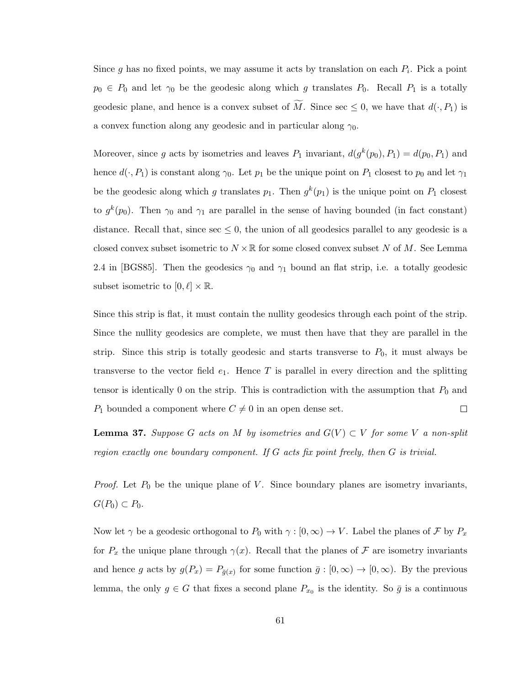Since g has no fixed points, we may assume it acts by translation on each  $P_i$ . Pick a point  $p_0 \in P_0$  and let  $\gamma_0$  be the geodesic along which g translates  $P_0$ . Recall  $P_1$  is a totally geodesic plane, and hence is a convex subset of M. Since sec  $\leq 0$ , we have that  $d(\cdot, P_1)$  is a convex function along any geodesic and in particular along  $\gamma_0$ .

Moreover, since g acts by isometries and leaves  $P_1$  invariant,  $d(g^k(p_0), P_1) = d(p_0, P_1)$  and hence  $d(\cdot, P_1)$  is constant along  $\gamma_0$ . Let  $p_1$  be the unique point on  $P_1$  closest to  $p_0$  and let  $\gamma_1$ be the geodesic along which g translates  $p_1$ . Then  $g^k(p_1)$  is the unique point on  $P_1$  closest to  $g^k(p_0)$ . Then  $\gamma_0$  and  $\gamma_1$  are parallel in the sense of having bounded (in fact constant) distance. Recall that, since  $\sec \leq 0$ , the union of all geodesics parallel to any geodesic is a closed convex subset isometric to  $N \times \mathbb{R}$  for some closed convex subset N of M. See Lemma 2.4 in [\[BGS85\]](#page-78-3). Then the geodesics  $\gamma_0$  and  $\gamma_1$  bound an flat strip, i.e. a totally geodesic subset isometric to  $[0, \ell] \times \mathbb{R}$ .

Since this strip is flat, it must contain the nullity geodesics through each point of the strip. Since the nullity geodesics are complete, we must then have that they are parallel in the strip. Since this strip is totally geodesic and starts transverse to  $P_0$ , it must always be transverse to the vector field  $e_1$ . Hence T is parallel in every direction and the splitting tensor is identically 0 on the strip. This is contradiction with the assumption that  $P_0$  and  $P_1$  bounded a component where  $C \neq 0$  in an open dense set.  $\Box$ 

<span id="page-66-0"></span>**Lemma 37.** Suppose G acts on M by isometries and  $G(V) \subset V$  for some V a non-split region exactly one boundary component. If G acts fix point freely, then G is trivial.

*Proof.* Let  $P_0$  be the unique plane of  $V$ . Since boundary planes are isometry invariants,  $G(P_0) \subset P_0$ .

Now let  $\gamma$  be a geodesic orthogonal to  $P_0$  with  $\gamma : [0, \infty) \to V$ . Label the planes of  $\mathcal F$  by  $P_x$ for  $P_x$  the unique plane through  $\gamma(x)$ . Recall that the planes of F are isometry invariants and hence g acts by  $g(P_x) = P_{\bar{g}(x)}$  for some function  $\bar{g} : [0, \infty) \to [0, \infty)$ . By the previous lemma, the only  $g \in G$  that fixes a second plane  $P_{x_0}$  is the identity. So  $\bar{g}$  is a continuous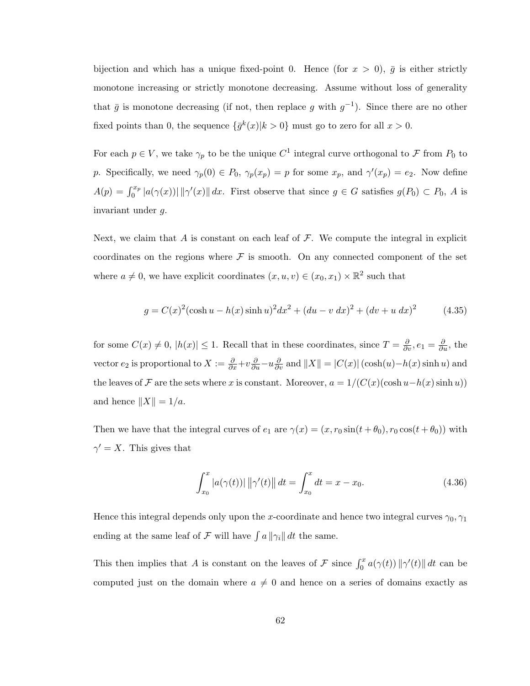bijection and which has a unique fixed-point 0. Hence (for  $x > 0$ ),  $\bar{g}$  is either strictly monotone increasing or strictly monotone decreasing. Assume without loss of generality that  $\bar{g}$  is monotone decreasing (if not, then replace g with  $g^{-1}$ ). Since there are no other fixed points than 0, the sequence  $\{\bar{g}^k(x)|k>0\}$  must go to zero for all  $x>0$ .

For each  $p \in V$ , we take  $\gamma_p$  to be the unique  $C^1$  integral curve orthogonal to F from  $P_0$  to p. Specifically, we need  $\gamma_p(0) \in P_0$ ,  $\gamma_p(x_p) = p$  for some  $x_p$ , and  $\gamma'(x_p) = e_2$ . Now define  $A(p) = \int_0^{x_p} |a(\gamma(x))| \, ||\gamma'(x)|| \, dx$ . First observe that since  $g \in G$  satisfies  $g(P_0) \subset P_0$ , A is invariant under g.

Next, we claim that A is constant on each leaf of  $\mathcal F$ . We compute the integral in explicit coordinates on the regions where  $\mathcal F$  is smooth. On any connected component of the set where  $a \neq 0$ , we have explicit coordinates  $(x, u, v) \in (x_0, x_1) \times \mathbb{R}^2$  such that

$$
g = C(x)^{2}(\cosh u - h(x)\sinh u)^{2}dx^{2} + (du - v dx)^{2} + (dv + u dx)^{2}
$$
 (4.35)

for some  $C(x) \neq 0$ ,  $|h(x)| \leq 1$ . Recall that in these coordinates, since  $T = \frac{\partial}{\partial v}$ ,  $e_1 = \frac{\partial}{\partial u}$ , the vector  $e_2$  is proportional to  $X := \frac{\partial}{\partial x} + v \frac{\partial}{\partial u} - u \frac{\partial}{\partial v}$  and  $||X|| = |C(x)| (\cosh(u) - h(x) \sinh u)$  and the leaves of F are the sets where x is constant. Moreover,  $a = 1/(C(x)(\cosh u-h(x)\sinh u))$ and hence  $||X|| = 1/a$ .

Then we have that the integral curves of  $e_1$  are  $\gamma(x) = (x, r_0 \sin(t + \theta_0), r_0 \cos(t + \theta_0))$  with  $\gamma' = X$ . This gives that

$$
\int_{x_0}^x |a(\gamma(t))| \, ||\gamma'(t)|| \, dt = \int_{x_0}^x dt = x - x_0. \tag{4.36}
$$

Hence this integral depends only upon the x-coordinate and hence two integral curves  $\gamma_0$ ,  $\gamma_1$ ending at the same leaf of  $\mathcal F$  will have  $\int a ||\gamma_i|| dt$  the same.

This then implies that A is constant on the leaves of F since  $\int_0^x a(\gamma(t)) \|\gamma'(t)\| dt$  can be computed just on the domain where  $a \neq 0$  and hence on a series of domains exactly as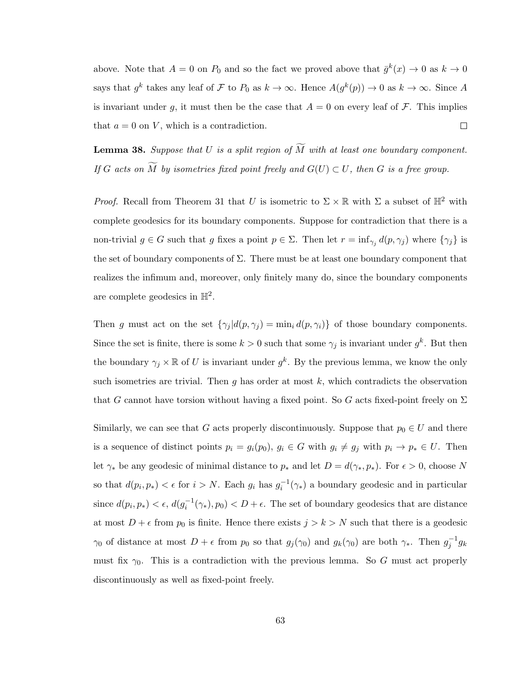above. Note that  $A = 0$  on  $P_0$  and so the fact we proved above that  $\bar{g}^k(x) \to 0$  as  $k \to 0$ says that  $g^k$  takes any leaf of F to  $P_0$  as  $k \to \infty$ . Hence  $A(g^k(p)) \to 0$  as  $k \to \infty$ . Since A is invariant under g, it must then be the case that  $A = 0$  on every leaf of F. This implies that  $a = 0$  on V, which is a contradiction.  $\Box$ 

**Lemma 38.** Suppose that U is a split region of  $\widetilde{M}$  with at least one boundary component. If G acts on  $\widetilde{M}$  by isometries fixed point freely and  $G(U) \subset U$ , then G is a free group.

*Proof.* Recall from Theorem [31](#page-62-0) that U is isometric to  $\Sigma \times \mathbb{R}$  with  $\Sigma$  a subset of  $\mathbb{H}^2$  with complete geodesics for its boundary components. Suppose for contradiction that there is a non-trivial  $g \in G$  such that g fixes a point  $p \in \Sigma$ . Then let  $r = \inf_{\gamma_j} d(p, \gamma_j)$  where  $\{\gamma_j\}$  is the set of boundary components of  $\Sigma$ . There must be at least one boundary component that realizes the infimum and, moreover, only finitely many do, since the boundary components are complete geodesics in  $\mathbb{H}^2$ .

Then g must act on the set  $\{\gamma_j | d(p, \gamma_j) = \min_i d(p, \gamma_i)\}$  of those boundary components. Since the set is finite, there is some  $k > 0$  such that some  $\gamma_j$  is invariant under  $g^k$ . But then the boundary  $\gamma_j \times \mathbb{R}$  of U is invariant under  $g^k$ . By the previous lemma, we know the only such isometries are trivial. Then  $g$  has order at most  $k$ , which contradicts the observation that G cannot have torsion without having a fixed point. So G acts fixed-point freely on  $\Sigma$ 

Similarly, we can see that G acts properly discontinuously. Suppose that  $p_0 \in U$  and there is a sequence of distinct points  $p_i = g_i(p_0)$ ,  $g_i \in G$  with  $g_i \neq g_j$  with  $p_i \to p_* \in U$ . Then let  $\gamma_*$  be any geodesic of minimal distance to  $p_*$  and let  $D = d(\gamma_*, p_*)$ . For  $\epsilon > 0$ , choose N so that  $d(p_i, p_*) < \epsilon$  for  $i > N$ . Each  $g_i$  has  $g_i^{-1}(\gamma_*)$  a boundary geodesic and in particular since  $d(p_i, p_*) < \epsilon$ ,  $d(g_i^{-1}(\gamma_*), p_0) < D + \epsilon$ . The set of boundary geodesics that are distance at most  $D + \epsilon$  from  $p_0$  is finite. Hence there exists  $j > k > N$  such that there is a geodesic  $\gamma_0$  of distance at most  $D + \epsilon$  from  $p_0$  so that  $g_j(\gamma_0)$  and  $g_k(\gamma_0)$  are both  $\gamma_*$ . Then  $g_j^{-1}g_k$ must fix  $\gamma_0$ . This is a contradiction with the previous lemma. So G must act properly discontinuously as well as fixed-point freely.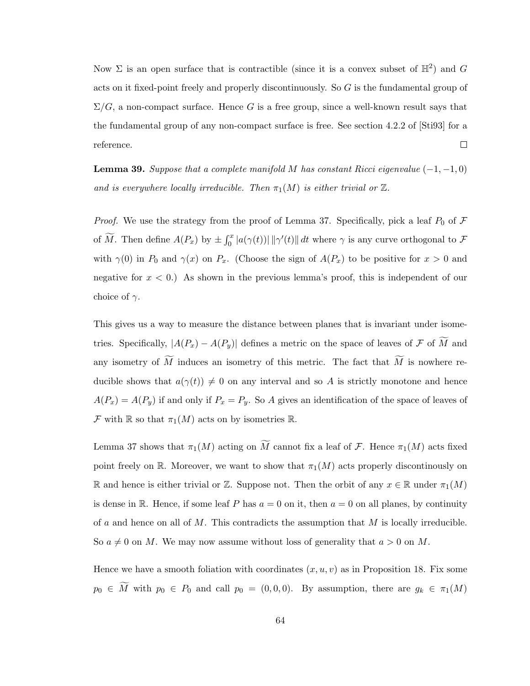Now  $\Sigma$  is an open surface that is contractible (since it is a convex subset of  $\mathbb{H}^2$ ) and G acts on it fixed-point freely and properly discontinuously. So G is the fundamental group of  $\Sigma/G$ , a non-compact surface. Hence G is a free group, since a well-known result says that the fundamental group of any non-compact surface is free. See section 4.2.2 of [\[Sti93\]](#page-79-2) for a reference.  $\Box$ 

**Lemma 39.** Suppose that a complete manifold M has constant Ricci eigenvalue  $(-1, -1, 0)$ and is everywhere locally irreducible. Then  $\pi_1(M)$  is either trivial or  $\mathbb Z$ .

*Proof.* We use the strategy from the proof of Lemma [37.](#page-66-0) Specifically, pick a leaf  $P_0$  of  $\mathcal F$ of  $\widetilde{M}$ . Then define  $A(P_x)$  by  $\pm \int_0^x |a(\gamma(t))| \, ||\gamma'(t)|| dt$  where  $\gamma$  is any curve orthogonal to  $\mathcal F$ with  $\gamma(0)$  in  $P_0$  and  $\gamma(x)$  on  $P_x$ . (Choose the sign of  $A(P_x)$  to be positive for  $x > 0$  and negative for  $x < 0$ .) As shown in the previous lemma's proof, this is independent of our choice of  $\gamma$ .

This gives us a way to measure the distance between planes that is invariant under isometries. Specifically,  $|A(P_x) - A(P_y)|$  defines a metric on the space of leaves of  $\mathcal F$  of  $\widetilde{M}$  and any isometry of  $\widetilde{M}$  induces an isometry of this metric. The fact that  $\widetilde{M}$  is nowhere reducible shows that  $a(\gamma(t)) \neq 0$  on any interval and so A is strictly monotone and hence  $A(P_x) = A(P_y)$  if and only if  $P_x = P_y$ . So A gives an identification of the space of leaves of F with  $\mathbb R$  so that  $\pi_1(M)$  acts on by isometries  $\mathbb R$ .

Lemma [37](#page-66-0) shows that  $\pi_1(M)$  acting on  $\widetilde{M}$  cannot fix a leaf of  $\mathcal F$ . Hence  $\pi_1(M)$  acts fixed point freely on R. Moreover, we want to show that  $\pi_1(M)$  acts properly discontinously on R and hence is either trivial or Z. Suppose not. Then the orbit of any  $x \in \mathbb{R}$  under  $\pi_1(M)$ is dense in R. Hence, if some leaf P has  $a = 0$  on it, then  $a = 0$  on all planes, by continuity of a and hence on all of M. This contradicts the assumption that  $M$  is locally irreducible. So  $a \neq 0$  on M. We may now assume without loss of generality that  $a > 0$  on M.

Hence we have a smooth foliation with coordinates  $(x, u, v)$  as in Proposition [18.](#page-39-0) Fix some  $p_0 \in \widetilde{M}$  with  $p_0 \in P_0$  and call  $p_0 = (0, 0, 0)$ . By assumption, there are  $g_k \in \pi_1(M)$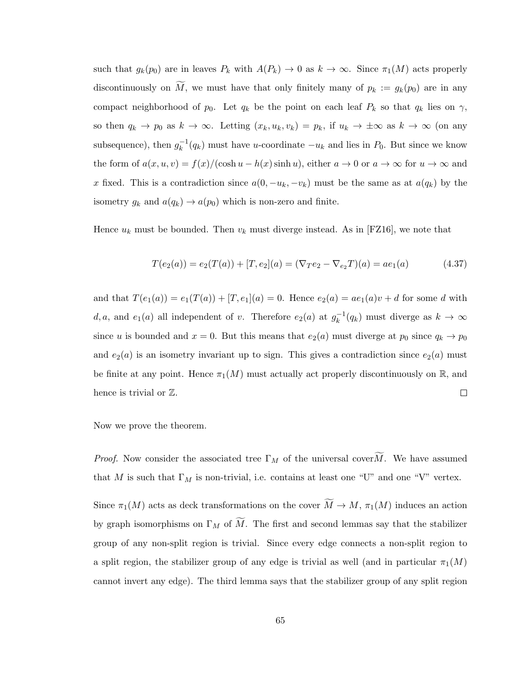such that  $g_k(p_0)$  are in leaves  $P_k$  with  $A(P_k) \to 0$  as  $k \to \infty$ . Since  $\pi_1(M)$  acts properly discontinuously on  $\widetilde{M}$ , we must have that only finitely many of  $p_k := g_k(p_0)$  are in any compact neighborhood of  $p_0$ . Let  $q_k$  be the point on each leaf  $P_k$  so that  $q_k$  lies on  $\gamma$ , so then  $q_k \to p_0$  as  $k \to \infty$ . Letting  $(x_k, u_k, v_k) = p_k$ , if  $u_k \to \pm \infty$  as  $k \to \infty$  (on any subsequence), then  $g_k^{-1}$  $k_k^{-1}(q_k)$  must have u-coordinate  $-u_k$  and lies in  $P_0$ . But since we know the form of  $a(x, u, v) = f(x)/(\cosh u - h(x) \sinh u)$ , either  $a \to 0$  or  $a \to \infty$  for  $u \to \infty$  and x fixed. This is a contradiction since  $a(0, -u_k, -v_k)$  must be the same as at  $a(q_k)$  by the isometry  $g_k$  and  $a(q_k) \rightarrow a(p_0)$  which is non-zero and finite.

Hence  $u_k$  must be bounded. Then  $v_k$  must diverge instead. As in [\[FZ16\]](#page-78-2), we note that

$$
T(e_2(a)) = e_2(T(a)) + [T, e_2](a) = (\nabla_T e_2 - \nabla_{e_2} T)(a) = ae_1(a)
$$
\n(4.37)

and that  $T(e_1(a)) = e_1(T(a)) + [T, e_1](a) = 0$ . Hence  $e_2(a) = ae_1(a)v + d$  for some d with d, a, and  $e_1(a)$  all independent of v. Therefore  $e_2(a)$  at  $g_k^{-1}$  $k_k^{-1}(q_k)$  must diverge as  $k \to \infty$ since u is bounded and  $x = 0$ . But this means that  $e_2(a)$  must diverge at  $p_0$  since  $q_k \to p_0$ and  $e_2(a)$  is an isometry invariant up to sign. This gives a contradiction since  $e_2(a)$  must be finite at any point. Hence  $\pi_1(M)$  must actually act properly discontinuously on R, and hence is trivial or  $\mathbb{Z}$ .  $\Box$ 

Now we prove the theorem.

*Proof.* Now consider the associated tree  $\Gamma_M$  of the universal cover  $\widetilde{M}$ . We have assumed that M is such that  $\Gamma_M$  is non-trivial, i.e. contains at least one "U" and one "V" vertex.

Since  $\pi_1(M)$  acts as deck transformations on the cover  $\widetilde{M} \to M$ ,  $\pi_1(M)$  induces an action by graph isomorphisms on  $\Gamma_M$  of  $\widetilde{M}$ . The first and second lemmas say that the stabilizer group of any non-split region is trivial. Since every edge connects a non-split region to a split region, the stabilizer group of any edge is trivial as well (and in particular  $\pi_1(M)$ ) cannot invert any edge). The third lemma says that the stabilizer group of any split region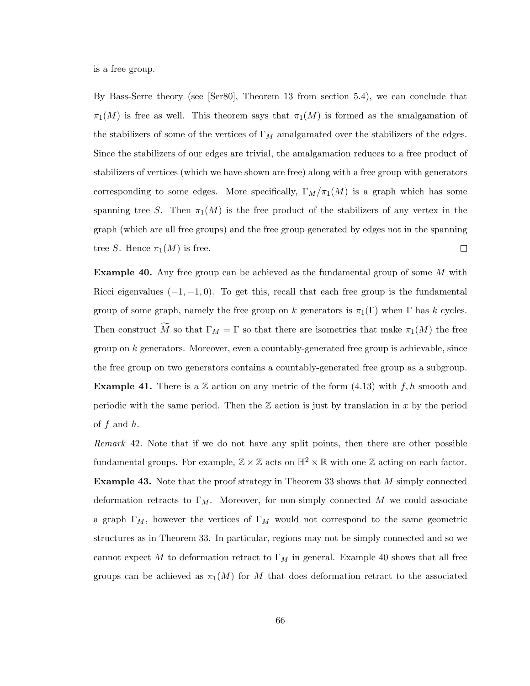is a free group.

By Bass-Serre theory (see [\[Ser80\]](#page-79-3), Theorem 13 from section 5.4), we can conclude that  $\pi_1(M)$  is free as well. This theorem says that  $\pi_1(M)$  is formed as the amalgamation of the stabilizers of some of the vertices of  $\Gamma_M$  amalgamated over the stabilizers of the edges. Since the stabilizers of our edges are trivial, the amalgamation reduces to a free product of stabilizers of vertices (which we have shown are free) along with a free group with generators corresponding to some edges. More specifically,  $\Gamma_M/\pi_1(M)$  is a graph which has some spanning tree S. Then  $\pi_1(M)$  is the free product of the stabilizers of any vertex in the graph (which are all free groups) and the free group generated by edges not in the spanning tree S. Hence  $\pi_1(M)$  is free.  $\Box$ 

<span id="page-71-0"></span>**Example 40.** Any free group can be achieved as the fundamental group of some M with Ricci eigenvalues  $(-1, -1, 0)$ . To get this, recall that each free group is the fundamental group of some graph, namely the free group on k generators is  $\pi_1(\Gamma)$  when  $\Gamma$  has k cycles. Then construct M so that  $\Gamma_M = \Gamma$  so that there are isometries that make  $\pi_1(M)$  the free group on  $k$  generators. Moreover, even a countably-generated free group is achievable, since the free group on two generators contains a countably-generated free group as a subgroup. **Example 41.** There is a  $\mathbb{Z}$  action on any metric of the form [\(4.13\)](#page-40-0) with  $f, h$  smooth and periodic with the same period. Then the  $\mathbb Z$  action is just by translation in x by the period of  $f$  and  $h$ .

Remark 42. Note that if we do not have any split points, then there are other possible fundamental groups. For example,  $\mathbb{Z} \times \mathbb{Z}$  acts on  $\mathbb{H}^2 \times \mathbb{R}$  with one  $\mathbb{Z}$  acting on each factor. **Example 43.** Note that the proof strategy in Theorem [33](#page-63-0) shows that M simply connected deformation retracts to  $\Gamma_M$ . Moreover, for non-simply connected M we could associate a graph  $\Gamma_M$ , however the vertices of  $\Gamma_M$  would not correspond to the same geometric structures as in Theorem [33.](#page-63-0) In particular, regions may not be simply connected and so we cannot expect M to deformation retract to  $\Gamma_M$  in general. Example [40](#page-71-0) shows that all free groups can be achieved as  $\pi_1(M)$  for M that does deformation retract to the associated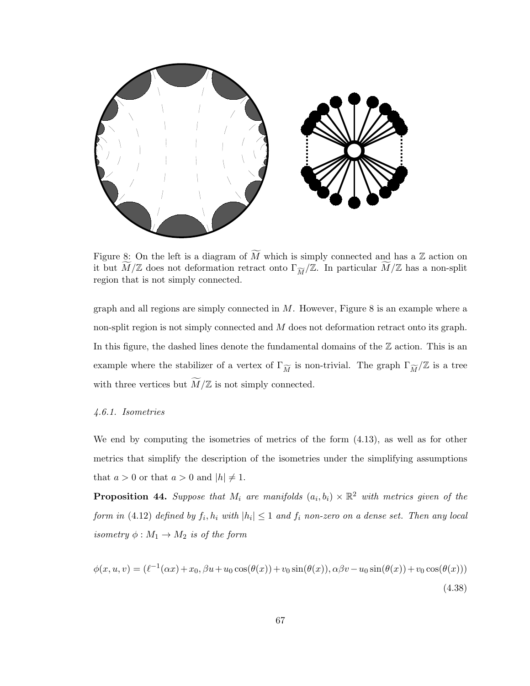

<span id="page-72-0"></span>Figure 8: On the left is a diagram of  $\widetilde{M}$  which is simply connected and has a Z action on it but  $\widetilde{M}/\mathbb{Z}$  does not deformation retract onto  $\Gamma_{\widetilde{M}}/\mathbb{Z}$ . In particular  $\widetilde{M}/\mathbb{Z}$  has a non-split region that is not simply connected.

graph and all regions are simply connected in  $M$ . However, Figure [8](#page-72-0) is an example where a non-split region is not simply connected and M does not deformation retract onto its graph. In this figure, the dashed lines denote the fundamental domains of the  $\mathbb Z$  action. This is an example where the stabilizer of a vertex of  $\Gamma_{\widetilde{M}}$  is non-trivial. The graph  $\Gamma_{\widetilde{M}}/\mathbb{Z}$  is a tree with three vertices but  $\widetilde{M}/\mathbb{Z}$  is not simply connected.

## 4.6.1. Isometries

We end by computing the isometries of metrics of the form [\(4.13\)](#page-40-0), as well as for other metrics that simplify the description of the isometries under the simplifying assumptions that  $a > 0$  or that  $a > 0$  and  $|h| \neq 1$ .

**Proposition 44.** Suppose that  $M_i$  are manifolds  $(a_i, b_i) \times \mathbb{R}^2$  with metrics given of the form in [\(4.12\)](#page-37-0) defined by  $f_i, h_i$  with  $|h_i| \leq 1$  and  $f_i$  non-zero on a dense set. Then any local isometry  $\phi : M_1 \to M_2$  is of the form

$$
\phi(x, u, v) = (\ell^{-1}(\alpha x) + x_0, \beta u + u_0 \cos(\theta(x)) + v_0 \sin(\theta(x)), \alpha \beta v - u_0 \sin(\theta(x)) + v_0 \cos(\theta(x)))
$$
\n(4.38)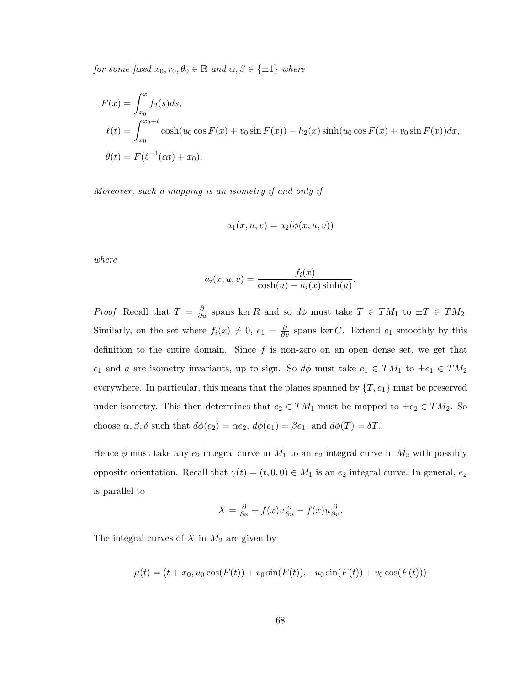for some fixed  $x_0, r_0, \theta_0 \in \mathbb{R}$  and  $\alpha, \beta \in \{\pm 1\}$  where

$$
F(x) = \int_{x_0}^x f_2(s)ds,
$$
  
\n
$$
\ell(t) = \int_{x_0}^{x_0+t} \cosh(u_0 \cos F(x) + v_0 \sin F(x)) - h_2(x) \sinh(u_0 \cos F(x) + v_0 \sin F(x))dx,
$$
  
\n
$$
\theta(t) = F(\ell^{-1}(\alpha t) + x_0).
$$

Moreover, such a mapping is an isometry if and only if

$$
a_1(x, u, v) = a_2(\phi(x, u, v))
$$

where

$$
a_i(x, u, v) = \frac{f_i(x)}{\cosh(u) - h_i(x)\sinh(u)}.
$$

*Proof.* Recall that  $T = \frac{\partial}{\partial u}$  spans ker R and so  $d\phi$  must take  $T \in TM_1$  to  $\pm T \in TM_2$ . Similarly, on the set where  $f_i(x) \neq 0$ ,  $e_1 = \frac{\partial}{\partial v}$  spans ker C. Extend  $e_1$  smoothly by this definition to the entire domain. Since  $f$  is non-zero on an open dense set, we get that e<sub>1</sub> and a are isometry invariants, up to sign. So  $d\phi$  must take  $e_1 \in TM_1$  to  $\pm e_1 \in TM_2$ everywhere. In particular, this means that the planes spanned by  $\{T, e_1\}$  must be preserved under isometry. This then determines that  $e_2 \in TM_1$  must be mapped to  $\pm e_2 \in TM_2$ . So choose  $\alpha, \beta, \delta$  such that  $d\phi(e_2) = \alpha e_2$ ,  $d\phi(e_1) = \beta e_1$ , and  $d\phi(T) = \delta T$ .

Hence  $\phi$  must take any  $e_2$  integral curve in  $M_1$  to an  $e_2$  integral curve in  $M_2$  with possibly opposite orientation. Recall that  $\gamma(t) = (t, 0, 0) \in M_1$  is an  $e_2$  integral curve. In general,  $e_2$ is parallel to

$$
X = \frac{\partial}{\partial x} + f(x)v\frac{\partial}{\partial u} - f(x)u\frac{\partial}{\partial v}.
$$

The integral curves of  $X$  in  $M_2$  are given by

$$
\mu(t) = (t + x_0, u_0 \cos(F(t)) + v_0 \sin(F(t)), -u_0 \sin(F(t)) + v_0 \cos(F(t)))
$$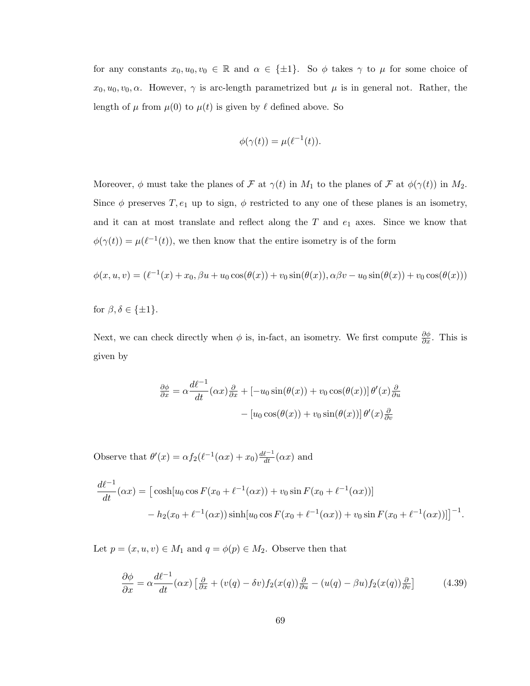for any constants  $x_0, u_0, v_0 \in \mathbb{R}$  and  $\alpha \in {\pm 1}$ . So  $\phi$  takes  $\gamma$  to  $\mu$  for some choice of  $x_0, u_0, v_0, \alpha$ . However,  $\gamma$  is arc-length parametrized but  $\mu$  is in general not. Rather, the length of  $\mu$  from  $\mu(0)$  to  $\mu(t)$  is given by  $\ell$  defined above. So

$$
\phi(\gamma(t)) = \mu(\ell^{-1}(t)).
$$

Moreover,  $\phi$  must take the planes of  $\mathcal F$  at  $\gamma(t)$  in  $M_1$  to the planes of  $\mathcal F$  at  $\phi(\gamma(t))$  in  $M_2$ . Since  $\phi$  preserves T,  $e_1$  up to sign,  $\phi$  restricted to any one of these planes is an isometry, and it can at most translate and reflect along the  $T$  and  $e_1$  axes. Since we know that  $\phi(\gamma(t)) = \mu(\ell^{-1}(t)),$  we then know that the entire isometry is of the form

$$
\phi(x, u, v) = (\ell^{-1}(x) + x_0, \beta u + u_0 \cos(\theta(x)) + v_0 \sin(\theta(x)), \alpha \beta v - u_0 \sin(\theta(x)) + v_0 \cos(\theta(x)))
$$

for  $\beta, \delta \in \{\pm 1\}.$ 

Next, we can check directly when  $\phi$  is, in-fact, an isometry. We first compute  $\frac{\partial \phi}{\partial x}$ . This is given by

$$
\frac{\partial \phi}{\partial x} = \alpha \frac{d\ell^{-1}}{dt} (\alpha x) \frac{\partial}{\partial x} + \left[ -u_0 \sin(\theta(x)) + v_0 \cos(\theta(x)) \right] \theta'(x) \frac{\partial}{\partial u}
$$

$$
- \left[ u_0 \cos(\theta(x)) + v_0 \sin(\theta(x)) \right] \theta'(x) \frac{\partial}{\partial v}
$$

Observe that  $\theta'(x) = \alpha f_2(\ell^{-1}(\alpha x) + x_0) \frac{d\ell^{-1}}{dt}(\alpha x)$  and

$$
\frac{d\ell^{-1}}{dt}(\alpha x) = \left[\cosh[u_0 \cos F(x_0 + \ell^{-1}(\alpha x)) + v_0 \sin F(x_0 + \ell^{-1}(\alpha x))\right] \n- h_2(x_0 + \ell^{-1}(\alpha x)) \sinh[u_0 \cos F(x_0 + \ell^{-1}(\alpha x)) + v_0 \sin F(x_0 + \ell^{-1}(\alpha x))] \right]^{-1}.
$$

Let  $p = (x, u, v) \in M_1$  and  $q = \phi(p) \in M_2$ . Observe then that

$$
\frac{\partial \phi}{\partial x} = \alpha \frac{d\ell^{-1}}{dt} (\alpha x) \left[ \frac{\partial}{\partial x} + (v(q) - \delta v) f_2(x(q)) \frac{\partial}{\partial u} - (u(q) - \beta u) f_2(x(q)) \frac{\partial}{\partial v} \right]
$$
(4.39)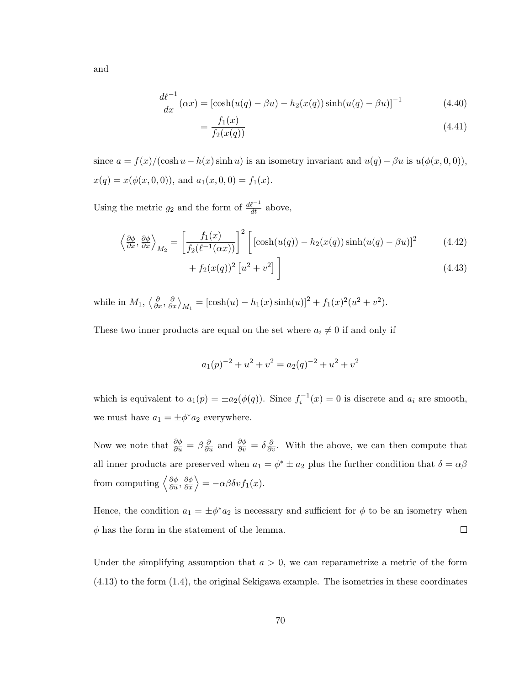and

$$
\frac{d\ell^{-1}}{dx}(\alpha x) = [\cosh(u(q) - \beta u) - h_2(x(q))\sinh(u(q) - \beta u)]^{-1}
$$
(4.40)

$$
=\frac{f_1(x)}{f_2(x(q))}\tag{4.41}
$$

since  $a = f(x)/(\cosh u - h(x) \sinh u)$  is an isometry invariant and  $u(q) - \beta u$  is  $u(\phi(x, 0, 0)),$  $x(q) = x(\phi(x, 0, 0)),$  and  $a_1(x, 0, 0) = f_1(x)$ .

Using the metric  $g_2$  and the form of  $\frac{d\ell^{-1}}{dt}$  above,

$$
\left\langle \frac{\partial \phi}{\partial x}, \frac{\partial \phi}{\partial x} \right\rangle_{M_2} = \left[ \frac{f_1(x)}{f_2(\ell^{-1}(\alpha x))} \right]^2 \left[ \left[ \cosh(u(q)) - h_2(x(q)) \sinh(u(q) - \beta u) \right]^2 \right] \tag{4.42}
$$

$$
+ f_2(x(q))^2 [u^2 + v^2] \bigg]
$$
\n(4.43)

while in  $M_1, \left\langle \frac{\partial}{\partial x}, \frac{\partial}{\partial x} \right\rangle_{M_1} = \left[ \cosh(u) - h_1(x) \sinh(u) \right]^2 + f_1(x)^2 (u^2 + v^2).$ 

These two inner products are equal on the set where  $a_i \neq 0$  if and only if

$$
a_1(p)^{-2} + u^2 + v^2 = a_2(q)^{-2} + u^2 + v^2
$$

which is equivalent to  $a_1(p) = \pm a_2(\phi(q))$ . Since  $f_i^{-1}(x) = 0$  is discrete and  $a_i$  are smooth, we must have  $a_1 = \pm \phi^* a_2$  everywhere.

Now we note that  $\frac{\partial \phi}{\partial u} = \beta \frac{\partial}{\partial u}$  and  $\frac{\partial \phi}{\partial v} = \delta \frac{\partial}{\partial v}$ . With the above, we can then compute that all inner products are preserved when  $a_1 = \phi^* \pm a_2$  plus the further condition that  $\delta = \alpha \beta$ from computing  $\left\langle \frac{\partial \phi}{\partial u}, \frac{\partial \phi}{\partial x} \right\rangle = -\alpha \beta \delta v f_1(x)$ .

Hence, the condition  $a_1 = \pm \phi^* a_2$  is necessary and sufficient for  $\phi$  to be an isometry when  $\phi$  has the form in the statement of the lemma.  $\Box$ 

Under the simplifying assumption that  $a > 0$ , we can reparametrize a metric of the form [\(4.13\)](#page-40-0) to the form [\(1.4\)](#page-10-0), the original Sekigawa example. The isometries in these coordinates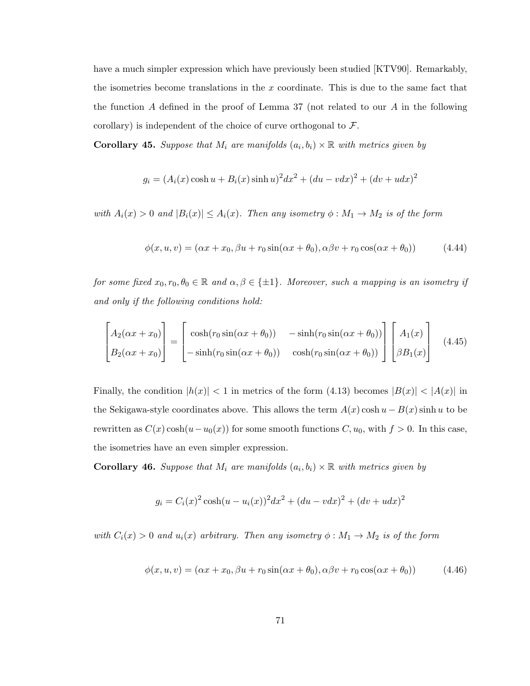have a much simpler expression which have previously been studied [\[KTV90\]](#page-78-0). Remarkably, the isometries become translations in the  $x$  coordinate. This is due to the same fact that the function A defined in the proof of Lemma [37](#page-66-0) (not related to our A in the following corollary) is independent of the choice of curve orthogonal to  $\mathcal{F}$ .

**Corollary 45.** Suppose that  $M_i$  are manifolds  $(a_i, b_i) \times \mathbb{R}$  with metrics given by

$$
g_i = (A_i(x)\cosh u + B_i(x)\sinh u)^2 dx^2 + (du - vdx)^2 + (dv + udx)^2
$$

with  $A_i(x) > 0$  and  $|B_i(x)| \leq A_i(x)$ . Then any isometry  $\phi : M_1 \to M_2$  is of the form

$$
\phi(x, u, v) = (\alpha x + x_0, \beta u + r_0 \sin(\alpha x + \theta_0), \alpha \beta v + r_0 \cos(\alpha x + \theta_0))
$$
\n(4.44)

for some fixed  $x_0, r_0, \theta_0 \in \mathbb{R}$  and  $\alpha, \beta \in \{\pm 1\}$ . Moreover, such a mapping is an isometry if and only if the following conditions hold:

$$
\begin{bmatrix}\nA_2(\alpha x + x_0) \\
B_2(\alpha x + x_0)\n\end{bmatrix} = \begin{bmatrix}\n\cosh(r_0 \sin(\alpha x + \theta_0)) & -\sinh(r_0 \sin(\alpha x + \theta_0)) \\
-\sinh(r_0 \sin(\alpha x + \theta_0)) & \cosh(r_0 \sin(\alpha x + \theta_0))\n\end{bmatrix} \begin{bmatrix}\nA_1(x) \\
\beta B_1(x)\n\end{bmatrix}
$$
\n(4.45)

Finally, the condition  $|h(x)| < 1$  in metrics of the form [\(4.13\)](#page-40-0) becomes  $|B(x)| < |A(x)|$  in the Sekigawa-style coordinates above. This allows the term  $A(x) \cosh u - B(x) \sinh u$  to be rewritten as  $C(x) \cosh(u - u_0(x))$  for some smooth functions  $C, u_0$ , with  $f > 0$ . In this case, the isometries have an even simpler expression.

**Corollary 46.** Suppose that  $M_i$  are manifolds  $(a_i, b_i) \times \mathbb{R}$  with metrics given by

$$
g_i = C_i(x)^2 \cosh(u - u_i(x))^2 dx^2 + (du - v dx)^2 + (dv + u dx)^2
$$

with  $C_i(x) > 0$  and  $u_i(x)$  arbitrary. Then any isometry  $\phi : M_1 \to M_2$  is of the form

$$
\phi(x, u, v) = (\alpha x + x_0, \beta u + r_0 \sin(\alpha x + \theta_0), \alpha \beta v + r_0 \cos(\alpha x + \theta_0))
$$
\n(4.46)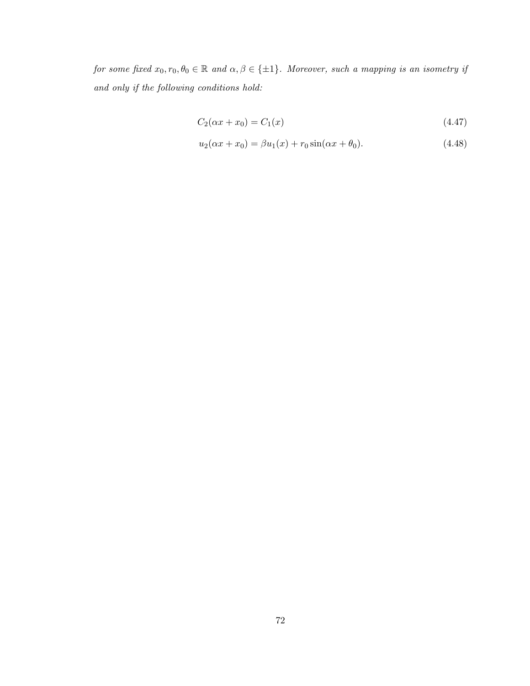for some fixed  $x_0, r_0, \theta_0 \in \mathbb{R}$  and  $\alpha, \beta \in \{\pm 1\}$ . Moreover, such a mapping is an isometry if and only if the following conditions hold:

$$
C_2(\alpha x + x_0) = C_1(x) \tag{4.47}
$$

$$
u_2(\alpha x + x_0) = \beta u_1(x) + r_0 \sin(\alpha x + \theta_0).
$$
 (4.48)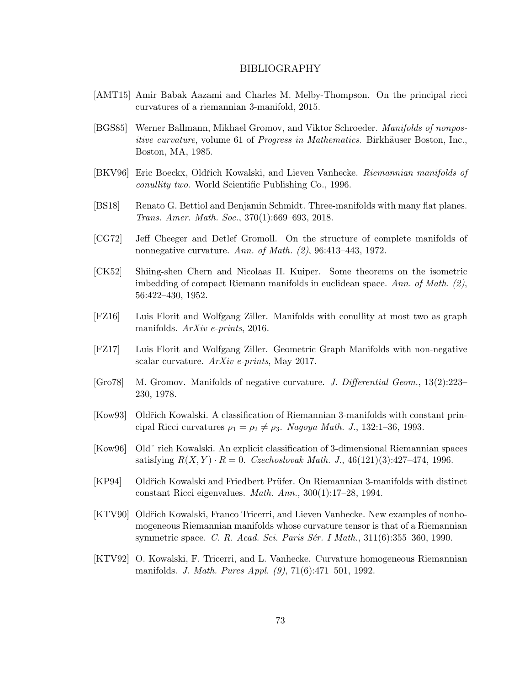## BIBLIOGRAPHY

- [AMT15] Amir Babak Aazami and Charles M. Melby-Thompson. On the principal ricci curvatures of a riemannian 3-manifold, 2015.
- [BGS85] Werner Ballmann, Mikhael Gromov, and Viktor Schroeder. Manifolds of nonpositive curvature, volume 61 of Progress in Mathematics. Birkhäuser Boston, Inc., Boston, MA, 1985.
- [BKV96] Eric Boeckx, Oldřich Kowalski, and Lieven Vanhecke. Riemannian manifolds of conullity two. World Scientific Publishing Co., 1996.
- [BS18] Renato G. Bettiol and Benjamin Schmidt. Three-manifolds with many flat planes. Trans. Amer. Math. Soc., 370(1):669–693, 2018.
- [CG72] Jeff Cheeger and Detlef Gromoll. On the structure of complete manifolds of nonnegative curvature. Ann. of Math. (2), 96:413-443, 1972.
- [CK52] Shiing-shen Chern and Nicolaas H. Kuiper. Some theorems on the isometric imbedding of compact Riemann manifolds in euclidean space. Ann. of Math. (2), 56:422–430, 1952.
- [FZ16] Luis Florit and Wolfgang Ziller. Manifolds with conullity at most two as graph manifolds. ArXiv e-prints, 2016.
- [FZ17] Luis Florit and Wolfgang Ziller. Geometric Graph Manifolds with non-negative scalar curvature. ArXiv e-prints, May 2017.
- [Gro78] M. Gromov. Manifolds of negative curvature. J. Differential Geom., 13(2):223– 230, 1978.
- [Kow93] Oldˇrich Kowalski. A classification of Riemannian 3-manifolds with constant principal Ricci curvatures  $\rho_1 = \rho_2 \neq \rho_3$ . Nagoya Math. J., 132:1–36, 1993.
- [Kow96] Oldˇ rich Kowalski. An explicit classification of 3-dimensional Riemannian spaces satisfying  $R(X, Y) \cdot R = 0$ . Czechoslovak Math. J., 46(121)(3):427-474, 1996.
- [KP94] Oldřich Kowalski and Friedbert Prüfer. On Riemannian 3-manifolds with distinct constant Ricci eigenvalues. Math. Ann., 300(1):17–28, 1994.
- <span id="page-78-0"></span>[KTV90] Oldřich Kowalski, Franco Tricerri, and Lieven Vanhecke. New examples of nonhomogeneous Riemannian manifolds whose curvature tensor is that of a Riemannian symmetric space. C. R. Acad. Sci. Paris Sér. I Math., 311(6):355-360, 1990.
- [KTV92] O. Kowalski, F. Tricerri, and L. Vanhecke. Curvature homogeneous Riemannian manifolds. J. Math. Pures Appl. (9), 71(6):471–501, 1992.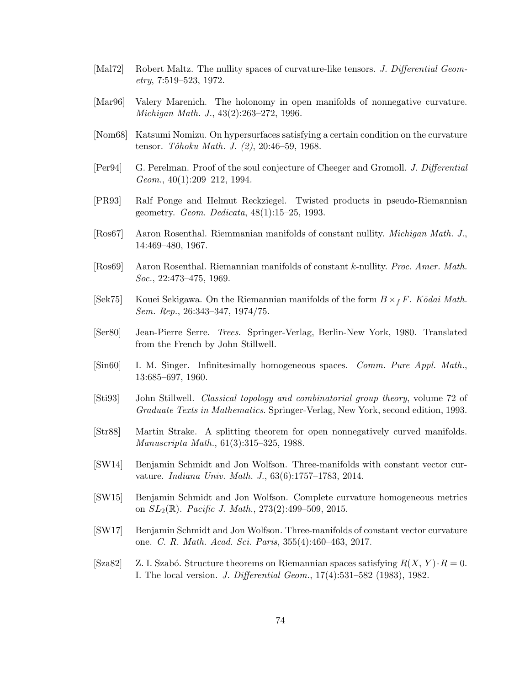- [Mal72] Robert Maltz. The nullity spaces of curvature-like tensors. J. Differential Geometry, 7:519–523, 1972.
- [Mar96] Valery Marenich. The holonomy in open manifolds of nonnegative curvature. Michigan Math. J., 43(2):263–272, 1996.
- [Nom68] Katsumi Nomizu. On hypersurfaces satisfying a certain condition on the curvature tensor. Tôhoku Math. J.  $(2)$ , 20:46–59, 1968.
- [Per94] G. Perelman. Proof of the soul conjecture of Cheeger and Gromoll. J. Differential Geom., 40(1):209–212, 1994.
- [PR93] Ralf Ponge and Helmut Reckziegel. Twisted products in pseudo-Riemannian geometry. Geom. Dedicata, 48(1):15–25, 1993.
- [Ros67] Aaron Rosenthal. Riemmanian manifolds of constant nullity. Michigan Math. J., 14:469–480, 1967.
- [Ros69] Aaron Rosenthal. Riemannian manifolds of constant k-nullity. Proc. Amer. Math. Soc., 22:473–475, 1969.
- [Sek75] Kouei Sekigawa. On the Riemannian manifolds of the form  $B \times_f F$ . Kōdai Math. Sem. Rep., 26:343–347, 1974/75.
- [Ser80] Jean-Pierre Serre. Trees. Springer-Verlag, Berlin-New York, 1980. Translated from the French by John Stillwell.
- [Sin60] I. M. Singer. Infinitesimally homogeneous spaces. Comm. Pure Appl. Math., 13:685–697, 1960.
- [Sti93] John Stillwell. Classical topology and combinatorial group theory, volume 72 of Graduate Texts in Mathematics. Springer-Verlag, New York, second edition, 1993.
- [Str88] Martin Strake. A splitting theorem for open nonnegatively curved manifolds. Manuscripta Math., 61(3):315–325, 1988.
- [SW14] Benjamin Schmidt and Jon Wolfson. Three-manifolds with constant vector curvature. Indiana Univ. Math. J., 63(6):1757–1783, 2014.
- [SW15] Benjamin Schmidt and Jon Wolfson. Complete curvature homogeneous metrics on  $SL_2(\mathbb{R})$ . Pacific J. Math., 273(2):499-509, 2015.
- [SW17] Benjamin Schmidt and Jon Wolfson. Three-manifolds of constant vector curvature one. C. R. Math. Acad. Sci. Paris, 355(4):460–463, 2017.
- [Sza82] Z. I. Szabó. Structure theorems on Riemannian spaces satisfying  $R(X, Y) \cdot R = 0$ . I. The local version. J. Differential Geom., 17(4):531–582 (1983), 1982.